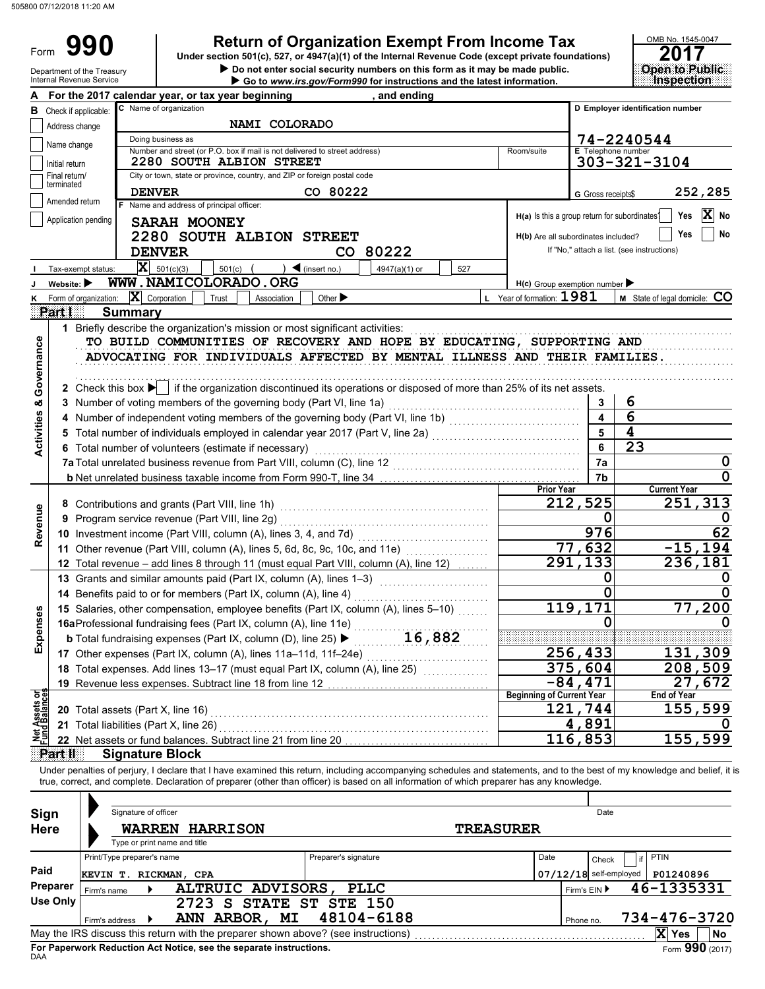Form

# **990** Return of Organization Exempt From Income Tax <br>
Under section 501(c), 527, or 4947(a)(1) of the Internal Revenue Code (except private foundations) 2017

**• Do not enter social security numbers on this form as it may be made public. Open to Public Under section 501(c), 527, or 4947(a)(1) of the Internal Revenue Code (except private foundations)**

|                                |                                 | Department of the Treasury<br>Internal Revenue Service |                            |                                                                                                         |               |                             | Do not enter social security numbers on this form as it may be made public.<br>Go to www.irs.gov/Form990 for instructions and the latest information.                   |                  |                                                              |                      |                         |                                            | Open to Public<br><b>Inspection</b> |                 |
|--------------------------------|---------------------------------|--------------------------------------------------------|----------------------------|---------------------------------------------------------------------------------------------------------|---------------|-----------------------------|-------------------------------------------------------------------------------------------------------------------------------------------------------------------------|------------------|--------------------------------------------------------------|----------------------|-------------------------|--------------------------------------------|-------------------------------------|-----------------|
|                                |                                 |                                                        |                            | For the 2017 calendar year, or tax year beginning                                                       |               |                             | , and ending                                                                                                                                                            |                  |                                                              |                      |                         |                                            |                                     |                 |
|                                | <b>B</b> Check if applicable:   |                                                        |                            | C Name of organization                                                                                  |               |                             |                                                                                                                                                                         |                  |                                                              |                      |                         |                                            | D Employer identification number    |                 |
|                                | Address change                  |                                                        |                            |                                                                                                         | NAMI COLORADO |                             |                                                                                                                                                                         |                  |                                                              |                      |                         |                                            |                                     |                 |
|                                | Name change                     |                                                        |                            | Doing business as                                                                                       |               |                             |                                                                                                                                                                         |                  |                                                              |                      |                         | 74-2240544                                 |                                     |                 |
|                                |                                 |                                                        |                            | Number and street (or P.O. box if mail is not delivered to street address)<br>2280 SOUTH ALBION STREET  |               |                             |                                                                                                                                                                         |                  | Room/suite                                                   |                      |                         | <b>E</b> Telephone number                  |                                     |                 |
|                                | Initial return<br>Final return/ |                                                        |                            | City or town, state or province, country, and ZIP or foreign postal code                                |               |                             |                                                                                                                                                                         |                  |                                                              |                      |                         | $303 - 321 - 3104$                         |                                     |                 |
|                                | terminated                      |                                                        | <b>DENVER</b>              |                                                                                                         |               | CO 80222                    |                                                                                                                                                                         |                  |                                                              |                      |                         |                                            |                                     |                 |
|                                | Amended return                  |                                                        |                            | F Name and address of principal officer:                                                                |               |                             |                                                                                                                                                                         |                  |                                                              |                      | G Gross receipts\$      |                                            |                                     | 252,285         |
|                                |                                 | Application pending                                    |                            | SARAH MOONEY                                                                                            |               |                             |                                                                                                                                                                         |                  | H(a) Is this a group return for subordinates?                |                      |                         |                                            | Yes                                 | $\mathbf{X}$ No |
|                                |                                 |                                                        |                            | 2280 SOUTH ALBION STREET                                                                                |               |                             |                                                                                                                                                                         |                  | H(b) Are all subordinates included?                          |                      |                         |                                            | Yes                                 | No              |
|                                |                                 |                                                        |                            | <b>DENVER</b>                                                                                           |               |                             | CO 80222                                                                                                                                                                |                  |                                                              |                      |                         | If "No," attach a list. (see instructions) |                                     |                 |
|                                |                                 |                                                        |                            | $\mathbf{X}$ 501(c)(3)                                                                                  |               | $\log$ (insert no.)         |                                                                                                                                                                         |                  |                                                              |                      |                         |                                            |                                     |                 |
|                                | Website: $\blacktriangleright$  | Tax-exempt status:                                     |                            | $501(c)$ (<br>WWW.NAMICOLORADO.ORG                                                                      |               |                             | 4947(a)(1) or                                                                                                                                                           | 527              |                                                              |                      |                         |                                            |                                     |                 |
|                                |                                 | Form of organization: $\ \mathbf{X}\ $ Corporation     |                            | Trust                                                                                                   |               | Other $\blacktriangleright$ |                                                                                                                                                                         |                  | $H(c)$ Group exemption number<br>L Year of formation: $1981$ |                      |                         |                                            | M State of legal domicile: CO       |                 |
| κ                              | Part I                          |                                                        | <b>Summary</b>             |                                                                                                         | Association   |                             |                                                                                                                                                                         |                  |                                                              |                      |                         |                                            |                                     |                 |
|                                |                                 |                                                        |                            | 1 Briefly describe the organization's mission or most significant activities:                           |               |                             |                                                                                                                                                                         |                  |                                                              |                      |                         |                                            |                                     |                 |
|                                |                                 |                                                        |                            |                                                                                                         |               |                             | TO BUILD COMMUNITIES OF RECOVERY AND HOPE BY EDUCATING, SUPPORTING AND                                                                                                  |                  |                                                              |                      |                         |                                            |                                     |                 |
|                                |                                 |                                                        |                            |                                                                                                         |               |                             | ADVOCATING FOR INDIVIDUALS AFFECTED BY MENTAL ILLNESS AND THEIR FAMILIES.                                                                                               |                  |                                                              |                      |                         |                                            |                                     |                 |
|                                |                                 |                                                        |                            |                                                                                                         |               |                             |                                                                                                                                                                         |                  |                                                              |                      |                         |                                            |                                     |                 |
| Governance                     |                                 |                                                        |                            |                                                                                                         |               |                             | 2 Check this box $\blacktriangleright$   if the organization discontinued its operations or disposed of more than 25% of its net assets.                                |                  |                                                              |                      |                         |                                            |                                     |                 |
| œ                              |                                 |                                                        |                            | 3 Number of voting members of the governing body (Part VI, line 1a)                                     |               |                             |                                                                                                                                                                         |                  |                                                              |                      | 3                       | 6                                          |                                     |                 |
|                                |                                 |                                                        |                            |                                                                                                         |               |                             |                                                                                                                                                                         |                  |                                                              |                      | $\overline{\mathbf{4}}$ | $\overline{6}$                             |                                     |                 |
|                                |                                 |                                                        |                            |                                                                                                         |               |                             |                                                                                                                                                                         |                  |                                                              |                      | 5                       | 4                                          |                                     |                 |
| Activities                     |                                 |                                                        |                            | 6 Total number of volunteers (estimate if necessary)                                                    |               |                             |                                                                                                                                                                         | 6                | $\overline{23}$                                              |                      |                         |                                            |                                     |                 |
|                                |                                 |                                                        |                            |                                                                                                         |               |                             |                                                                                                                                                                         |                  |                                                              |                      | 7a                      |                                            |                                     | 0               |
|                                |                                 |                                                        |                            |                                                                                                         |               |                             | <b>b</b> Net unrelated business taxable income from Form 990-T, line 34 [10] Met unrelated business taxable income from Form 990-T, line 34                             |                  |                                                              |                      | 7b                      |                                            |                                     | 0               |
|                                |                                 |                                                        |                            |                                                                                                         |               |                             |                                                                                                                                                                         |                  | <b>Prior Year</b>                                            |                      |                         |                                            | <b>Current Year</b>                 |                 |
|                                |                                 |                                                        |                            |                                                                                                         |               |                             |                                                                                                                                                                         |                  |                                                              | 212,525              |                         |                                            | 251,313                             |                 |
| Revenue                        |                                 |                                                        |                            | 9 Program service revenue (Part VIII, line 2g)                                                          |               |                             |                                                                                                                                                                         |                  |                                                              |                      | 0                       |                                            |                                     |                 |
|                                |                                 |                                                        |                            |                                                                                                         |               |                             |                                                                                                                                                                         |                  |                                                              |                      | 976                     |                                            |                                     | 62              |
|                                |                                 |                                                        |                            |                                                                                                         |               |                             | 11 Other revenue (Part VIII, column (A), lines 5, 6d, 8c, 9c, 10c, and 11e)                                                                                             |                  |                                                              | 77,632               |                         |                                            | $-15, 194$                          |                 |
|                                |                                 |                                                        |                            |                                                                                                         |               |                             | 12 Total revenue - add lines 8 through 11 (must equal Part VIII, column (A), line 12)                                                                                   |                  |                                                              | $\overline{291,133}$ |                         |                                            | 236,181                             |                 |
|                                |                                 |                                                        |                            | 13 Grants and similar amounts paid (Part IX, column (A), lines 1-3)                                     |               |                             |                                                                                                                                                                         |                  |                                                              |                      | 0                       |                                            |                                     |                 |
|                                |                                 |                                                        |                            | 14 Benefits paid to or for members (Part IX, column (A), line 4)                                        |               |                             |                                                                                                                                                                         |                  |                                                              |                      | 0                       |                                            |                                     |                 |
| ses                            |                                 |                                                        |                            |                                                                                                         |               |                             | 15 Salaries, other compensation, employee benefits (Part IX, column (A), lines 5-10)                                                                                    |                  |                                                              | 119,171              |                         |                                            |                                     | 77,200          |
|                                |                                 |                                                        |                            | 16aProfessional fundraising fees (Part IX, column (A), line 11e)                                        |               |                             |                                                                                                                                                                         |                  |                                                              |                      | O                       |                                            |                                     |                 |
| Expen                          |                                 |                                                        |                            |                                                                                                         |               |                             | <b>b</b> Total fundraising expenses (Part IX, column (D), line 25) $\blacktriangleright$ 16, 882                                                                        |                  |                                                              |                      |                         |                                            |                                     |                 |
|                                |                                 |                                                        |                            |                                                                                                         |               |                             | 17 Other expenses (Part IX, column (A), lines 11a-11d, 11f-24e)                                                                                                         |                  |                                                              | 256,433              |                         |                                            | 131,309                             |                 |
|                                |                                 |                                                        |                            |                                                                                                         |               |                             | 18 Total expenses. Add lines 13-17 (must equal Part IX, column (A), line 25)                                                                                            |                  |                                                              | 375,604              |                         |                                            | 208,509                             |                 |
|                                |                                 |                                                        |                            | 19 Revenue less expenses. Subtract line 18 from line 12                                                 |               |                             |                                                                                                                                                                         |                  |                                                              | $-84, 471$           |                         |                                            |                                     | 27,672          |
| Net Assets or<br>Fund Balances |                                 |                                                        |                            |                                                                                                         |               |                             |                                                                                                                                                                         |                  | <b>Beginning of Current Year</b>                             |                      |                         |                                            | <b>End of Year</b>                  |                 |
|                                |                                 |                                                        |                            | 20 Total assets (Part X, line 16)                                                                       |               |                             |                                                                                                                                                                         |                  |                                                              | 121,744<br>4,891     |                         |                                            | 155,599                             |                 |
|                                |                                 |                                                        |                            | 21 Total liabilities (Part X, line 26)<br>22 Net assets or fund balances. Subtract line 21 from line 20 |               |                             |                                                                                                                                                                         |                  |                                                              | 116,853              |                         |                                            | 155,599                             |                 |
|                                | Part II                         |                                                        |                            | <b>Signature Block</b>                                                                                  |               |                             |                                                                                                                                                                         |                  |                                                              |                      |                         |                                            |                                     |                 |
|                                |                                 |                                                        |                            |                                                                                                         |               |                             | Under penalties of perjury, I declare that I have examined this return, including accompanying schedules and statements, and to the best of my knowledge and belief, it |                  |                                                              |                      |                         |                                            |                                     |                 |
|                                |                                 |                                                        |                            |                                                                                                         |               |                             | true, correct, and complete. Declaration of preparer (other than officer) is based on all information of which preparer has any knowledge.                              |                  |                                                              |                      |                         |                                            |                                     |                 |
|                                |                                 |                                                        |                            |                                                                                                         |               |                             |                                                                                                                                                                         |                  |                                                              |                      |                         |                                            |                                     |                 |
| Sign                           |                                 |                                                        | Signature of officer       |                                                                                                         |               |                             |                                                                                                                                                                         |                  |                                                              |                      | Date                    |                                            |                                     |                 |
| <b>Here</b>                    |                                 |                                                        |                            | <b>WARREN HARRISON</b>                                                                                  |               |                             |                                                                                                                                                                         | <b>TREASURER</b> |                                                              |                      |                         |                                            |                                     |                 |
|                                |                                 |                                                        |                            | Type or print name and title                                                                            |               |                             |                                                                                                                                                                         |                  |                                                              |                      |                         |                                            |                                     |                 |
|                                |                                 |                                                        | Print/Type preparer's name |                                                                                                         |               | Preparer's signature        |                                                                                                                                                                         |                  | Date                                                         |                      | Check                   |                                            | <b>PTIN</b>                         |                 |
| Paid                           |                                 |                                                        |                            | KEVIN T. RICKMAN, CPA                                                                                   |               |                             |                                                                                                                                                                         |                  |                                                              |                      |                         | $07/12/18$ self-employed                   | P01240896                           |                 |
|                                | <b>Preparer</b>                 | Firm's name                                            |                            | ALTRUIC ADVISORS, PLLC                                                                                  |               |                             |                                                                                                                                                                         |                  |                                                              | Firm's EIN ▶         |                         |                                            | 46-1335331                          |                 |
|                                | <b>Use Only</b>                 |                                                        |                            | 2723 S STATE ST STE 150                                                                                 |               |                             |                                                                                                                                                                         |                  |                                                              |                      |                         |                                            |                                     |                 |
|                                |                                 | Firm's address ▶                                       |                            | ANN ARBOR, MI                                                                                           |               |                             | 48104-6188                                                                                                                                                              |                  |                                                              | Phone no.            |                         |                                            | 734-476-3720                        |                 |
|                                |                                 |                                                        |                            | May the IRS discuss this return with the preparer shown above? (see instructions)                       |               |                             |                                                                                                                                                                         |                  |                                                              |                      |                         |                                            | X Yes                               | No              |

| Sign        | Signature of officer         |                                                                                   |                      | Date<br><b>TREASURER</b> |           |                          |                   |           |  |
|-------------|------------------------------|-----------------------------------------------------------------------------------|----------------------|--------------------------|-----------|--------------------------|-------------------|-----------|--|
| <b>Here</b> | Type or print name and title | WARREN HARRISON                                                                   |                      |                          |           |                          |                   |           |  |
|             | Print/Type preparer's name   |                                                                                   | Preparer's signature | Date                     |           | Check                    | <b>PTIN</b><br>if |           |  |
| Paid        | KEVIN T. RICKMAN, CPA        |                                                                                   |                      |                          |           | $07/12/18$ self-employed | P01240896         |           |  |
| Preparer    | Firm's name                  | ALTRUIC ADVISORS                                                                  | <b>PLLC</b>          | Firm's $EIN$             |           |                          | 46-1335331        |           |  |
| Use Only    |                              | <b>STATE</b><br>2723<br>S.                                                        | ST STE 150           |                          |           |                          |                   |           |  |
|             | Firm's address               | MI<br>ANN ARBOR,                                                                  | 48104-6188           |                          | Phone no. |                          | 734-476-3720      |           |  |
|             |                              | May the IRS discuss this return with the preparer shown above? (see instructions) |                      |                          |           |                          | IХ<br>Yes         | <b>No</b> |  |
| <b>DAA</b>  |                              | For Paperwork Reduction Act Notice, see the separate instructions.                |                      |                          |           |                          | Form 990 (2017)   |           |  |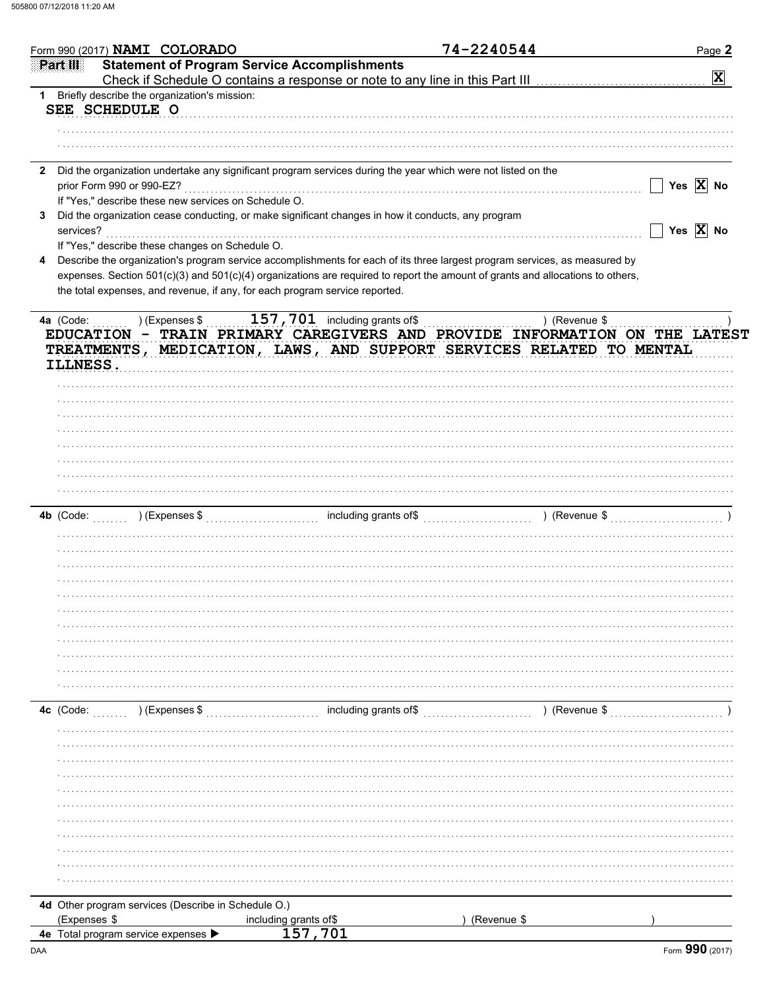|              | Form 990 (2017) NAMI COLORADO                        |                                                                                                                                | 74-2240544    | Page 2                |
|--------------|------------------------------------------------------|--------------------------------------------------------------------------------------------------------------------------------|---------------|-----------------------|
| Part III     |                                                      | <b>Statement of Program Service Accomplishments</b>                                                                            |               |                       |
|              |                                                      |                                                                                                                                |               | $\mathbf{x}$          |
|              | 1 Briefly describe the organization's mission:       |                                                                                                                                |               |                       |
|              | SEE SCHEDULE O                                       |                                                                                                                                |               |                       |
|              |                                                      |                                                                                                                                |               |                       |
|              |                                                      |                                                                                                                                |               |                       |
|              |                                                      | Did the organization undertake any significant program services during the year which were not listed on the                   |               |                       |
|              | prior Form 990 or 990-EZ?                            |                                                                                                                                |               | Yes $\overline{X}$ No |
|              | If "Yes," describe these new services on Schedule O. |                                                                                                                                |               |                       |
|              |                                                      | Did the organization cease conducting, or make significant changes in how it conducts, any program                             |               |                       |
| services?    |                                                      |                                                                                                                                |               | Yes $\overline{X}$ No |
|              | If "Yes," describe these changes on Schedule O.      |                                                                                                                                |               |                       |
|              |                                                      | Describe the organization's program service accomplishments for each of its three largest program services, as measured by     |               |                       |
|              |                                                      | expenses. Section 501(c)(3) and 501(c)(4) organizations are required to report the amount of grants and allocations to others, |               |                       |
|              |                                                      | the total expenses, and revenue, if any, for each program service reported.                                                    |               |                       |
|              |                                                      |                                                                                                                                |               |                       |
| 4a (Code:    | ) (Expenses \$                                       | 157, 701 including grants of\$                                                                                                 |               | ) (Revenue \$         |
|              |                                                      | EDUCATION - TRAIN PRIMARY CAREGIVERS AND PROVIDE INFORMATION ON THE LATEST                                                     |               |                       |
|              |                                                      | TREATMENTS, MEDICATION, LAWS, AND SUPPORT SERVICES RELATED TO MENTAL                                                           |               |                       |
| ILLNESS.     |                                                      |                                                                                                                                |               |                       |
|              |                                                      |                                                                                                                                |               |                       |
|              |                                                      |                                                                                                                                |               |                       |
|              |                                                      |                                                                                                                                |               |                       |
|              |                                                      |                                                                                                                                |               |                       |
|              |                                                      |                                                                                                                                |               |                       |
|              |                                                      |                                                                                                                                |               |                       |
|              |                                                      |                                                                                                                                |               |                       |
|              |                                                      |                                                                                                                                |               |                       |
|              |                                                      |                                                                                                                                |               |                       |
|              |                                                      |                                                                                                                                |               |                       |
|              |                                                      |                                                                                                                                |               |                       |
|              |                                                      |                                                                                                                                |               |                       |
|              |                                                      |                                                                                                                                |               |                       |
|              |                                                      |                                                                                                                                |               |                       |
|              |                                                      |                                                                                                                                |               |                       |
|              |                                                      |                                                                                                                                |               |                       |
|              |                                                      |                                                                                                                                |               |                       |
|              |                                                      |                                                                                                                                |               |                       |
|              |                                                      |                                                                                                                                |               |                       |
|              |                                                      |                                                                                                                                |               |                       |
|              |                                                      |                                                                                                                                |               |                       |
|              |                                                      |                                                                                                                                |               |                       |
| 4c (Code:    | ) (Expenses \$                                       | including grants of\$                                                                                                          |               | ) (Revenue \$         |
|              |                                                      |                                                                                                                                |               |                       |
|              |                                                      |                                                                                                                                |               |                       |
|              |                                                      |                                                                                                                                |               |                       |
|              |                                                      |                                                                                                                                |               |                       |
|              |                                                      |                                                                                                                                |               |                       |
|              |                                                      |                                                                                                                                |               |                       |
|              |                                                      |                                                                                                                                |               |                       |
|              |                                                      |                                                                                                                                |               |                       |
|              |                                                      |                                                                                                                                |               |                       |
|              |                                                      |                                                                                                                                |               |                       |
|              |                                                      |                                                                                                                                |               |                       |
|              |                                                      |                                                                                                                                |               |                       |
|              | 4d Other program services (Describe in Schedule O.)  |                                                                                                                                |               |                       |
| (Expenses \$ |                                                      | including grants of\$                                                                                                          | ) (Revenue \$ |                       |
|              | 4e Total program service expenses >                  | 157,701                                                                                                                        |               |                       |
|              |                                                      |                                                                                                                                |               |                       |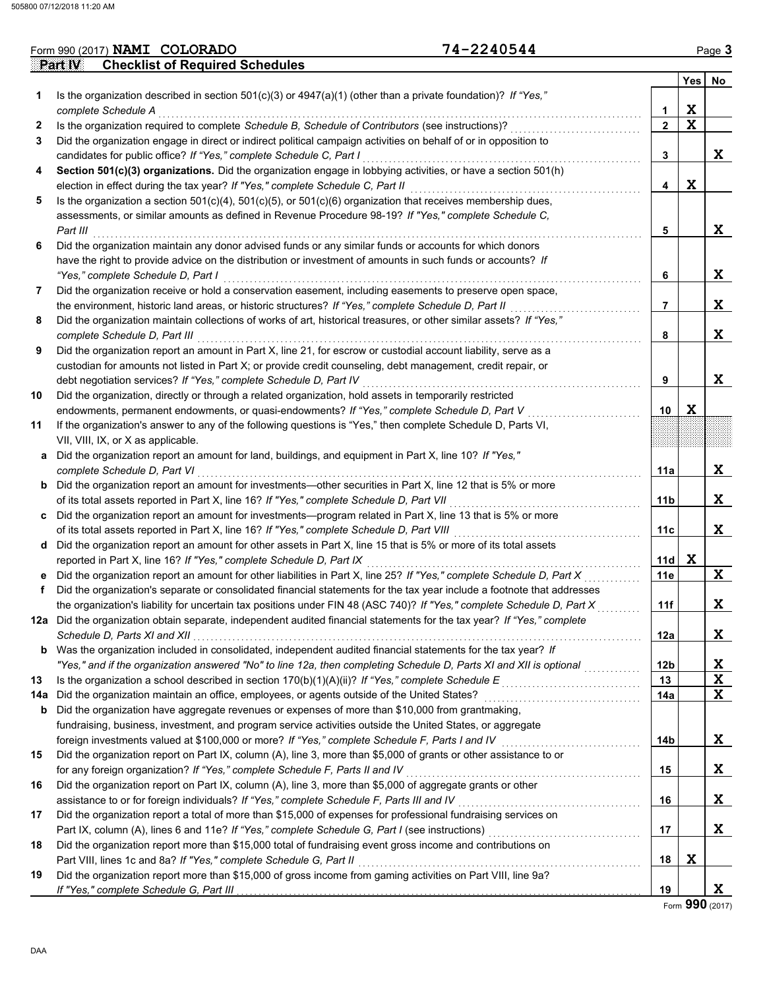|     | Form 990 (2017) NAMI COLORADO                                                                                           | 74-2240544 |                 |             | Page 3 |
|-----|-------------------------------------------------------------------------------------------------------------------------|------------|-----------------|-------------|--------|
|     | Part IV<br><b>Checklist of Required Schedules</b>                                                                       |            |                 |             |        |
|     |                                                                                                                         |            |                 | Yes         | No     |
| 1   | Is the organization described in section $501(c)(3)$ or $4947(a)(1)$ (other than a private foundation)? If "Yes,"       |            |                 |             |        |
|     | complete Schedule A                                                                                                     |            | 1               | X           |        |
| 2   | Is the organization required to complete Schedule B, Schedule of Contributors (see instructions)?                       |            | $\overline{2}$  | $\mathbf x$ |        |
| 3   | Did the organization engage in direct or indirect political campaign activities on behalf of or in opposition to        |            |                 |             |        |
|     | candidates for public office? If "Yes," complete Schedule C, Part I                                                     |            | 3               |             | X      |
| 4   | Section 501(c)(3) organizations. Did the organization engage in lobbying activities, or have a section 501(h)           |            |                 |             |        |
|     | election in effect during the tax year? If "Yes," complete Schedule C, Part II                                          |            | 4               | X           |        |
| 5   | Is the organization a section $501(c)(4)$ , $501(c)(5)$ , or $501(c)(6)$ organization that receives membership dues,    |            |                 |             |        |
|     | assessments, or similar amounts as defined in Revenue Procedure 98-19? If "Yes," complete Schedule C,                   |            |                 |             |        |
|     | Part III                                                                                                                |            | 5               |             | X      |
| 6   | Did the organization maintain any donor advised funds or any similar funds or accounts for which donors                 |            |                 |             |        |
|     | have the right to provide advice on the distribution or investment of amounts in such funds or accounts? If             |            |                 |             |        |
|     | "Yes," complete Schedule D, Part I                                                                                      |            | 6               |             | X      |
| 7   | Did the organization receive or hold a conservation easement, including easements to preserve open space,               |            |                 |             |        |
|     | the environment, historic land areas, or historic structures? If "Yes," complete Schedule D, Part II                    |            | 7               |             | X      |
|     | Did the organization maintain collections of works of art, historical treasures, or other similar assets? If "Yes,"     |            |                 |             |        |
| 8   |                                                                                                                         |            |                 |             | X      |
|     | complete Schedule D, Part III                                                                                           |            | 8               |             |        |
| 9   | Did the organization report an amount in Part X, line 21, for escrow or custodial account liability, serve as a         |            |                 |             |        |
|     | custodian for amounts not listed in Part X; or provide credit counseling, debt management, credit repair, or            |            |                 |             |        |
|     | debt negotiation services? If "Yes," complete Schedule D, Part IV                                                       |            | 9               |             | X      |
| 10  | Did the organization, directly or through a related organization, hold assets in temporarily restricted                 |            |                 |             |        |
|     | endowments, permanent endowments, or quasi-endowments? If "Yes," complete Schedule D, Part V                            |            | 10              | X           |        |
| 11  | If the organization's answer to any of the following questions is "Yes," then complete Schedule D, Parts VI,            |            |                 |             |        |
|     | VII, VIII, IX, or X as applicable.                                                                                      |            |                 |             |        |
| a   | Did the organization report an amount for land, buildings, and equipment in Part X, line 10? If "Yes,"                  |            |                 |             |        |
|     | complete Schedule D, Part VI                                                                                            |            | 11a             |             | X      |
|     | <b>b</b> Did the organization report an amount for investments—other securities in Part X, line 12 that is 5% or more   |            |                 |             |        |
|     | of its total assets reported in Part X, line 16? If "Yes," complete Schedule D, Part VII                                |            | 11 b            |             | X      |
|     | c Did the organization report an amount for investments—program related in Part X, line 13 that is 5% or more           |            |                 |             |        |
|     | of its total assets reported in Part X, line 16? If "Yes," complete Schedule D, Part VIII                               |            | 11c             |             | X      |
|     | d Did the organization report an amount for other assets in Part X, line 15 that is 5% or more of its total assets      |            |                 |             |        |
|     | reported in Part X, line 16? If "Yes," complete Schedule D, Part IX                                                     |            | 11d             | X           |        |
|     | e Did the organization report an amount for other liabilities in Part X, line 25? If "Yes," complete Schedule D, Part X |            | 11e             |             | X      |
| f   | Did the organization's separate or consolidated financial statements for the tax year include a footnote that addresses |            |                 |             |        |
|     | the organization's liability for uncertain tax positions under FIN 48 (ASC 740)? If "Yes," complete Schedule D, Part X  |            | 11f             |             | X      |
|     | 12a Did the organization obtain separate, independent audited financial statements for the tax year? If "Yes," complete |            |                 |             |        |
|     | Schedule D, Parts XI and XII                                                                                            |            | 12a             |             | X      |
| b   | Was the organization included in consolidated, independent audited financial statements for the tax year? If            |            |                 |             |        |
|     | "Yes," and if the organization answered "No" to line 12a, then completing Schedule D, Parts XI and XII is optional      |            | 12 <sub>b</sub> |             | X      |
| 13  | Is the organization a school described in section $170(b)(1)(A)(ii)?$ If "Yes," complete Schedule E                     |            | 13              |             | X      |
| 14a | Did the organization maintain an office, employees, or agents outside of the United States?                             |            | 14a             |             | X      |
| b   | Did the organization have aggregate revenues or expenses of more than \$10,000 from grantmaking,                        |            |                 |             |        |
|     | fundraising, business, investment, and program service activities outside the United States, or aggregate               |            |                 |             |        |
|     | foreign investments valued at \$100,000 or more? If "Yes," complete Schedule F, Parts I and IV                          |            | 14b             |             | X      |
| 15  | Did the organization report on Part IX, column (A), line 3, more than \$5,000 of grants or other assistance to or       |            |                 |             |        |
|     | for any foreign organization? If "Yes," complete Schedule F, Parts II and IV                                            |            | 15              |             | X      |
|     |                                                                                                                         |            |                 |             |        |
| 16  | Did the organization report on Part IX, column (A), line 3, more than \$5,000 of aggregate grants or other              |            |                 |             | X      |
|     | assistance to or for foreign individuals? If "Yes," complete Schedule F, Parts III and IV                               |            | 16              |             |        |
| 17  | Did the organization report a total of more than \$15,000 of expenses for professional fundraising services on          |            |                 |             |        |
|     | Part IX, column (A), lines 6 and 11e? If "Yes," complete Schedule G, Part I (see instructions)                          |            | 17              |             | X      |
| 18  | Did the organization report more than \$15,000 total of fundraising event gross income and contributions on             |            |                 |             |        |
|     | Part VIII, lines 1c and 8a? If "Yes," complete Schedule G, Part II                                                      |            | 18              | X           |        |

**19** Did the organization report more than \$15,000 of gross income from gaming activities on Part VIII, line 9a? **19** If "Yes," complete Schedule G, Part III

Form **990** (2017)

**X**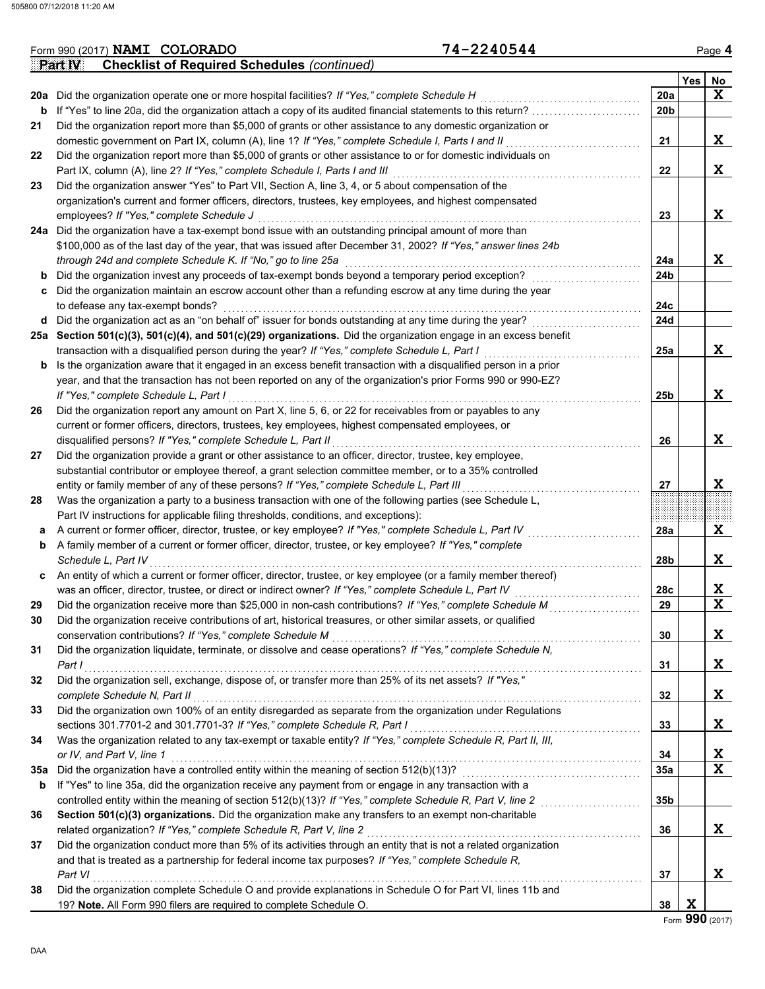|     | Form 990 (2017) NAMI COLORADO                                                                                    | 74-2240544      |     | Page 4                  |
|-----|------------------------------------------------------------------------------------------------------------------|-----------------|-----|-------------------------|
|     | <b>Checklist of Required Schedules (continued)</b><br>Part IV                                                    |                 |     |                         |
|     |                                                                                                                  |                 | Yes | No                      |
|     | 20a Did the organization operate one or more hospital facilities? If "Yes," complete Schedule H                  | 20a             |     | X                       |
|     | b If "Yes" to line 20a, did the organization attach a copy of its audited financial statements to this return?   | 20 <sub>b</sub> |     |                         |
| 21  | Did the organization report more than \$5,000 of grants or other assistance to any domestic organization or      |                 |     |                         |
|     | domestic government on Part IX, column (A), line 1? If "Yes," complete Schedule I, Parts I and II                | 21              |     | X                       |
| 22  | Did the organization report more than \$5,000 of grants or other assistance to or for domestic individuals on    |                 |     |                         |
|     | Part IX, column (A), line 2? If "Yes," complete Schedule I, Parts I and III                                      | 22              |     | X                       |
| 23  | Did the organization answer "Yes" to Part VII, Section A, line 3, 4, or 5 about compensation of the              |                 |     |                         |
|     | organization's current and former officers, directors, trustees, key employees, and highest compensated          |                 |     |                         |
|     | employees? If "Yes," complete Schedule J                                                                         | 23              |     | X                       |
|     | 24a Did the organization have a tax-exempt bond issue with an outstanding principal amount of more than          |                 |     |                         |
|     | \$100,000 as of the last day of the year, that was issued after December 31, 2002? If "Yes," answer lines 24b    |                 |     |                         |
|     | through 24d and complete Schedule K. If "No," go to line 25a                                                     | 24a             |     | X                       |
|     | Did the organization invest any proceeds of tax-exempt bonds beyond a temporary period exception?                | 24b             |     |                         |
| b   |                                                                                                                  |                 |     |                         |
|     | c Did the organization maintain an escrow account other than a refunding escrow at any time during the year      |                 |     |                         |
|     | to defease any tax-exempt bonds?                                                                                 | 24c             |     |                         |
|     | d Did the organization act as an "on behalf of" issuer for bonds outstanding at any time during the year?        | 24d             |     |                         |
|     | 25a Section 501(c)(3), 501(c)(4), and 501(c)(29) organizations. Did the organization engage in an excess benefit |                 |     |                         |
|     | transaction with a disqualified person during the year? If "Yes," complete Schedule L, Part I                    | 25a             |     | X                       |
| b   | Is the organization aware that it engaged in an excess benefit transaction with a disqualified person in a prior |                 |     |                         |
|     | year, and that the transaction has not been reported on any of the organization's prior Forms 990 or 990-EZ?     |                 |     |                         |
|     | If "Yes," complete Schedule L, Part I                                                                            | 25b             |     | X                       |
| 26  | Did the organization report any amount on Part X, line 5, 6, or 22 for receivables from or payables to any       |                 |     |                         |
|     | current or former officers, directors, trustees, key employees, highest compensated employees, or                |                 |     |                         |
|     | disqualified persons? If "Yes," complete Schedule L, Part II                                                     | 26              |     | X                       |
| 27  | Did the organization provide a grant or other assistance to an officer, director, trustee, key employee,         |                 |     |                         |
|     | substantial contributor or employee thereof, a grant selection committee member, or to a 35% controlled          |                 |     |                         |
|     | entity or family member of any of these persons? If "Yes," complete Schedule L, Part III                         | 27              |     | X                       |
| 28  | Was the organization a party to a business transaction with one of the following parties (see Schedule L,        |                 |     |                         |
|     | Part IV instructions for applicable filing thresholds, conditions, and exceptions):                              |                 |     |                         |
| а   | A current or former officer, director, trustee, or key employee? If "Yes," complete Schedule L, Part IV          | 28a             |     | X                       |
| b   | A family member of a current or former officer, director, trustee, or key employee? If "Yes," complete           |                 |     |                         |
|     | Schedule L, Part IV                                                                                              | 28 <sub>b</sub> |     | X                       |
| C   | An entity of which a current or former officer, director, trustee, or key employee (or a family member thereof)  |                 |     |                         |
|     | was an officer, director, trustee, or direct or indirect owner? If "Yes," complete Schedule L, Part IV           | 28c             |     | X                       |
| 29  | Did the organization receive more than \$25,000 in non-cash contributions? If "Yes," complete Schedule M         | 29              |     | $\overline{\mathbf{x}}$ |
| 30  | Did the organization receive contributions of art, historical treasures, or other similar assets, or qualified   |                 |     |                         |
|     | conservation contributions? If "Yes," complete Schedule M                                                        | 30              |     | X                       |
| 31  | Did the organization liquidate, terminate, or dissolve and cease operations? If "Yes," complete Schedule N,      |                 |     |                         |
|     | Part I                                                                                                           | 31              |     | Χ                       |
| 32  | Did the organization sell, exchange, dispose of, or transfer more than 25% of its net assets? If "Yes,"          |                 |     |                         |
|     | complete Schedule N, Part II                                                                                     | 32              |     | Χ                       |
| 33  | Did the organization own 100% of an entity disregarded as separate from the organization under Regulations       |                 |     |                         |
|     | sections 301.7701-2 and 301.7701-3? If "Yes," complete Schedule R, Part I                                        | 33              |     | Χ                       |
| 34  | Was the organization related to any tax-exempt or taxable entity? If "Yes," complete Schedule R, Part II, III,   |                 |     |                         |
|     | or IV, and Part V, line 1                                                                                        | 34              |     | X                       |
|     |                                                                                                                  | 35a             |     | X                       |
| 35а | Did the organization have a controlled entity within the meaning of section 512(b)(13)?                          |                 |     |                         |
| b   | If "Yes" to line 35a, did the organization receive any payment from or engage in any transaction with a          |                 |     |                         |
|     | controlled entity within the meaning of section 512(b)(13)? If "Yes," complete Schedule R, Part V, line 2        | 35b             |     |                         |
| 36  | Section 501(c)(3) organizations. Did the organization make any transfers to an exempt non-charitable             |                 |     |                         |
|     | related organization? If "Yes," complete Schedule R, Part V, line 2                                              | 36              |     | X                       |
| 37  | Did the organization conduct more than 5% of its activities through an entity that is not a related organization |                 |     |                         |
|     | and that is treated as a partnership for federal income tax purposes? If "Yes," complete Schedule R,             |                 |     |                         |
|     | Part VI                                                                                                          | 37              |     | X                       |
| 38  | Did the organization complete Schedule O and provide explanations in Schedule O for Part VI, lines 11b and       |                 |     |                         |
|     | 19? Note. All Form 990 filers are required to complete Schedule O.                                               | 38              | X   |                         |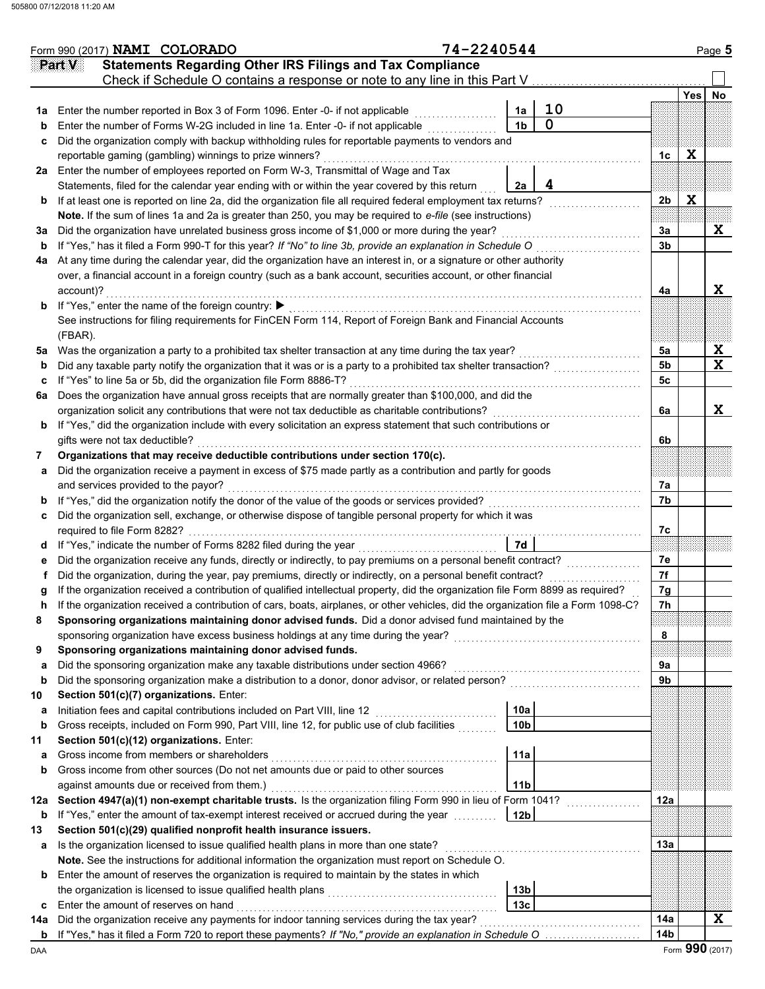|         | Form 990 (2017) NAMI COLORADO           |                                                                   |                                                                                                                                                                                                                 | 74-2240544 |                 |                      |                |     | Page 5          |
|---------|-----------------------------------------|-------------------------------------------------------------------|-----------------------------------------------------------------------------------------------------------------------------------------------------------------------------------------------------------------|------------|-----------------|----------------------|----------------|-----|-----------------|
|         | Part V                                  |                                                                   | <b>Statements Regarding Other IRS Filings and Tax Compliance</b>                                                                                                                                                |            |                 |                      |                |     |                 |
|         |                                         |                                                                   | Check if Schedule O contains a response or note to any line in this Part V                                                                                                                                      |            |                 |                      |                |     |                 |
|         |                                         |                                                                   |                                                                                                                                                                                                                 |            |                 |                      |                | Yes | No              |
| 1a      |                                         |                                                                   | Enter the number reported in Box 3 of Form 1096. Enter -0- if not applicable                                                                                                                                    |            | 1a              | 10<br>$\overline{0}$ |                |     |                 |
| b       |                                         |                                                                   | Enter the number of Forms W-2G included in line 1a. Enter -0- if not applicable                                                                                                                                 |            | 1 <sub>b</sub>  |                      |                |     |                 |
| c       |                                         |                                                                   | Did the organization comply with backup withholding rules for reportable payments to vendors and                                                                                                                |            |                 |                      |                |     |                 |
|         |                                         | reportable gaming (gambling) winnings to prize winners?           |                                                                                                                                                                                                                 |            |                 |                      | 1c             | X   |                 |
|         |                                         |                                                                   | 2a Enter the number of employees reported on Form W-3, Transmittal of Wage and Tax                                                                                                                              |            |                 | 4                    |                |     |                 |
|         |                                         |                                                                   | Statements, filed for the calendar year ending with or within the year covered by this return<br>If at least one is reported on line 2a, did the organization file all required federal employment tax returns? |            | 2a              |                      | 2 <sub>b</sub> | X   |                 |
| b       |                                         |                                                                   | Note. If the sum of lines 1a and 2a is greater than 250, you may be required to e-file (see instructions)                                                                                                       |            |                 |                      |                |     |                 |
| За      |                                         |                                                                   | Did the organization have unrelated business gross income of \$1,000 or more during the year?                                                                                                                   |            |                 |                      | За             |     | X               |
| b       |                                         |                                                                   | If "Yes," has it filed a Form 990-T for this year? If "No" to line 3b, provide an explanation in Schedule O                                                                                                     |            |                 |                      | 3b             |     |                 |
| 4a      |                                         |                                                                   | At any time during the calendar year, did the organization have an interest in, or a signature or other authority                                                                                               |            |                 |                      |                |     |                 |
|         |                                         |                                                                   | over, a financial account in a foreign country (such as a bank account, securities account, or other financial                                                                                                  |            |                 |                      |                |     |                 |
|         | account)?                               |                                                                   |                                                                                                                                                                                                                 |            |                 |                      | 4a             |     | X               |
| b       |                                         | If "Yes," enter the name of the foreign country: ▶                |                                                                                                                                                                                                                 |            |                 |                      |                |     |                 |
|         |                                         |                                                                   | See instructions for filing requirements for FinCEN Form 114, Report of Foreign Bank and Financial Accounts                                                                                                     |            |                 |                      |                |     |                 |
|         | (FBAR).                                 |                                                                   |                                                                                                                                                                                                                 |            |                 |                      |                |     |                 |
| 5a      |                                         |                                                                   | Was the organization a party to a prohibited tax shelter transaction at any time during the tax year?                                                                                                           |            |                 |                      | 5a             |     | X               |
| b       |                                         |                                                                   | Did any taxable party notify the organization that it was or is a party to a prohibited tax shelter transaction?                                                                                                |            |                 |                      | 5b             |     | X               |
| c       |                                         | If "Yes" to line 5a or 5b, did the organization file Form 8886-T? |                                                                                                                                                                                                                 |            |                 |                      | 5c             |     |                 |
| 6a      |                                         |                                                                   | Does the organization have annual gross receipts that are normally greater than \$100,000, and did the                                                                                                          |            |                 |                      |                |     |                 |
|         |                                         |                                                                   | organization solicit any contributions that were not tax deductible as charitable contributions?                                                                                                                |            |                 |                      | 6a             |     | X               |
| b       |                                         |                                                                   | If "Yes," did the organization include with every solicitation an express statement that such contributions or                                                                                                  |            |                 |                      |                |     |                 |
|         | gifts were not tax deductible?          |                                                                   |                                                                                                                                                                                                                 |            |                 |                      | 6b             |     |                 |
| 7       |                                         |                                                                   | Organizations that may receive deductible contributions under section 170(c).                                                                                                                                   |            |                 |                      |                |     |                 |
| a       |                                         |                                                                   | Did the organization receive a payment in excess of \$75 made partly as a contribution and partly for goods                                                                                                     |            |                 |                      |                |     |                 |
|         | and services provided to the payor?     |                                                                   |                                                                                                                                                                                                                 |            |                 |                      | 7a             |     |                 |
| b       |                                         |                                                                   | If "Yes," did the organization notify the donor of the value of the goods or services provided?                                                                                                                 |            |                 |                      | 7b             |     |                 |
| c       | required to file Form 8282?             |                                                                   | Did the organization sell, exchange, or otherwise dispose of tangible personal property for which it was                                                                                                        |            |                 |                      | 7c             |     |                 |
| d       |                                         |                                                                   | If "Yes," indicate the number of Forms 8282 filed during the year                                                                                                                                               |            | 7d              |                      |                |     |                 |
| е       |                                         |                                                                   | Did the organization receive any funds, directly or indirectly, to pay premiums on a personal benefit contract?                                                                                                 |            |                 |                      | 7e             |     |                 |
|         |                                         |                                                                   | Did the organization, during the year, pay premiums, directly or indirectly, on a personal benefit contract?                                                                                                    |            |                 |                      | 7f             |     |                 |
|         |                                         |                                                                   | If the organization received a contribution of qualified intellectual property, did the organization file Form 8899 as required?                                                                                |            |                 |                      | 7g             |     |                 |
|         |                                         |                                                                   | If the organization received a contribution of cars, boats, airplanes, or other vehicles, did the organization file a Form 1098-C?                                                                              |            |                 |                      | 7 <sub>h</sub> |     |                 |
| 8       |                                         |                                                                   | Sponsoring organizations maintaining donor advised funds. Did a donor advised fund maintained by the                                                                                                            |            |                 |                      |                |     |                 |
|         |                                         |                                                                   | sponsoring organization have excess business holdings at any time during the year?                                                                                                                              |            |                 |                      | 8              |     |                 |
| 9       |                                         |                                                                   | Sponsoring organizations maintaining donor advised funds.                                                                                                                                                       |            |                 |                      |                |     |                 |
| a       |                                         |                                                                   | Did the sponsoring organization make any taxable distributions under section 4966?                                                                                                                              |            |                 |                      | 9a             |     |                 |
| b       |                                         |                                                                   | Did the sponsoring organization make a distribution to a donor, donor advisor, or related person?                                                                                                               |            |                 |                      | 9b             |     |                 |
| 10      | Section 501(c)(7) organizations. Enter: |                                                                   |                                                                                                                                                                                                                 |            |                 |                      |                |     |                 |
| а       |                                         |                                                                   | Initiation fees and capital contributions included on Part VIII, line 12                                                                                                                                        |            | 10a             |                      |                |     |                 |
| b       |                                         |                                                                   | Gross receipts, included on Form 990, Part VIII, line 12, for public use of club facilities                                                                                                                     |            | 10 <sub>b</sub> |                      |                |     |                 |
| 11      |                                         | Section 501(c)(12) organizations. Enter:                          |                                                                                                                                                                                                                 |            |                 |                      |                |     |                 |
| а       |                                         | Gross income from members or shareholders                         |                                                                                                                                                                                                                 |            | 11a             |                      |                |     |                 |
| b       |                                         |                                                                   | Gross income from other sources (Do not net amounts due or paid to other sources                                                                                                                                |            |                 |                      |                |     |                 |
|         |                                         | against amounts due or received from them.)                       |                                                                                                                                                                                                                 |            | 11 <sub>b</sub> |                      |                |     |                 |
| 12a     |                                         |                                                                   | Section 4947(a)(1) non-exempt charitable trusts. Is the organization filing Form 990 in lieu of Form 1041?                                                                                                      |            |                 |                      | 12a            |     |                 |
| b       |                                         |                                                                   | If "Yes," enter the amount of tax-exempt interest received or accrued during the year<br>Section 501(c)(29) qualified nonprofit health insurance issuers.                                                       |            | 12 <sub>b</sub> |                      |                |     |                 |
| 13<br>а |                                         |                                                                   | Is the organization licensed to issue qualified health plans in more than one state?                                                                                                                            |            |                 |                      | 13a            |     |                 |
|         |                                         |                                                                   | Note. See the instructions for additional information the organization must report on Schedule O.                                                                                                               |            |                 |                      |                |     |                 |
| b       |                                         |                                                                   | Enter the amount of reserves the organization is required to maintain by the states in which                                                                                                                    |            |                 |                      |                |     |                 |
|         |                                         | the organization is licensed to issue qualified health plans      |                                                                                                                                                                                                                 |            | 13 <sub>b</sub> |                      |                |     |                 |
| c       | Enter the amount of reserves on hand    |                                                                   |                                                                                                                                                                                                                 |            | 13 <sub>c</sub> |                      |                |     |                 |
| 14a     |                                         |                                                                   | Did the organization receive any payments for indoor tanning services during the tax year?                                                                                                                      |            |                 |                      | 14a            |     | X               |
| b       |                                         |                                                                   | If "Yes," has it filed a Form 720 to report these payments? If "No," provide an explanation in Schedule O                                                                                                       |            |                 |                      | 14b            |     |                 |
| DAA     |                                         |                                                                   |                                                                                                                                                                                                                 |            |                 |                      |                |     | Form 990 (2017) |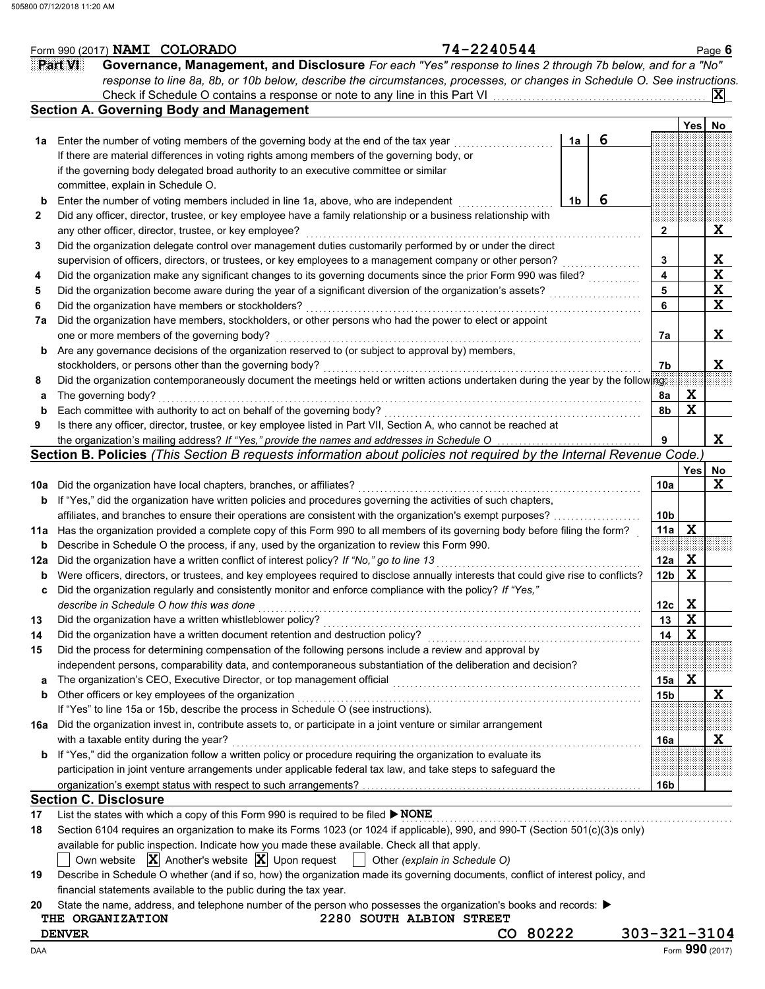|     |         | Form 990 (2017) NAMI COLORADO                                                                                                                                                      | 74-2240544 |    |   |                 |             | Page 6                  |
|-----|---------|------------------------------------------------------------------------------------------------------------------------------------------------------------------------------------|------------|----|---|-----------------|-------------|-------------------------|
|     | Part VI | Governance, Management, and Disclosure For each "Yes" response to lines 2 through 7b below, and for a "No"                                                                         |            |    |   |                 |             |                         |
|     |         | response to line 8a, 8b, or 10b below, describe the circumstances, processes, or changes in Schedule O. See instructions.                                                          |            |    |   |                 |             |                         |
|     |         | Check if Schedule O contains a response or note to any line in this Part VI                                                                                                        |            |    |   |                 |             | X                       |
|     |         | <b>Section A. Governing Body and Management</b>                                                                                                                                    |            |    |   |                 |             |                         |
|     |         |                                                                                                                                                                                    |            |    | 6 |                 | <b>Yes</b>  | No                      |
| 1a  |         | Enter the number of voting members of the governing body at the end of the tax year                                                                                                |            | 1a |   |                 |             |                         |
|     |         | If there are material differences in voting rights among members of the governing body, or<br>if the governing body delegated broad authority to an executive committee or similar |            |    |   |                 |             |                         |
|     |         | committee, explain in Schedule O.                                                                                                                                                  |            |    |   |                 |             |                         |
|     |         | Enter the number of voting members included in line 1a, above, who are independent                                                                                                 |            | 1b | 6 |                 |             |                         |
| 2   |         | Did any officer, director, trustee, or key employee have a family relationship or a business relationship with                                                                     |            |    |   |                 |             |                         |
|     |         | any other officer, director, trustee, or key employee?                                                                                                                             |            |    |   | 2               |             | X                       |
| 3   |         | Did the organization delegate control over management duties customarily performed by or under the direct                                                                          |            |    |   |                 |             |                         |
|     |         | supervision of officers, directors, or trustees, or key employees to a management company or other person?                                                                         |            |    |   | 3               |             |                         |
| 4   |         | Did the organization make any significant changes to its governing documents since the prior Form 990 was filed?                                                                   |            |    |   | 4               |             | $rac{X}{X}$             |
| 5   |         | Did the organization become aware during the year of a significant diversion of the organization's assets?                                                                         |            |    |   | 5               |             |                         |
| 6   |         | Did the organization have members or stockholders?                                                                                                                                 |            |    |   | 6               |             | $\overline{\mathbf{x}}$ |
| 7a  |         | Did the organization have members, stockholders, or other persons who had the power to elect or appoint                                                                            |            |    |   |                 |             |                         |
|     |         | one or more members of the governing body?                                                                                                                                         |            |    |   | 7a              |             | X                       |
| b   |         | Are any governance decisions of the organization reserved to (or subject to approval by) members,                                                                                  |            |    |   |                 |             |                         |
|     |         | stockholders, or persons other than the governing body?                                                                                                                            |            |    |   | 7b              |             | X                       |
| 8   |         | Did the organization contemporaneously document the meetings held or written actions undertaken during the year by the following                                                   |            |    |   |                 |             |                         |
| a   |         | The governing body?                                                                                                                                                                |            |    |   | 8a              | X           |                         |
|     |         | Each committee with authority to act on behalf of the governing body?                                                                                                              |            |    |   | 8b              | $\mathbf x$ |                         |
| 9   |         | Is there any officer, director, trustee, or key employee listed in Part VII, Section A, who cannot be reached at                                                                   |            |    |   |                 |             |                         |
|     |         | the organization's mailing address? If "Yes," provide the names and addresses in Schedule O                                                                                        |            |    |   | 9               |             | X                       |
|     |         | Section B. Policies (This Section B requests information about policies not required by the Internal Revenue Code.)                                                                |            |    |   |                 |             |                         |
|     |         |                                                                                                                                                                                    |            |    |   |                 | Yes         | No                      |
| 10a |         | Did the organization have local chapters, branches, or affiliates?                                                                                                                 |            |    |   | 10a             |             | X                       |
|     |         | <b>b</b> If "Yes," did the organization have written policies and procedures governing the activities of such chapters,                                                            |            |    |   |                 |             |                         |
|     |         | affiliates, and branches to ensure their operations are consistent with the organization's exempt purposes?                                                                        |            |    |   | 10 <sub>b</sub> |             |                         |
| 11a |         | Has the organization provided a complete copy of this Form 990 to all members of its governing body before filing the form?                                                        |            |    |   | 11a             | X           |                         |
| b   |         | Describe in Schedule O the process, if any, used by the organization to review this Form 990.                                                                                      |            |    |   |                 |             |                         |
| 12a |         | Did the organization have a written conflict of interest policy? If "No," go to line 13                                                                                            |            |    |   | 12a             | X           |                         |
| b   |         | Were officers, directors, or trustees, and key employees required to disclose annually interests that could give rise to conflicts?                                                |            |    |   | 12 <sub>b</sub> | $\mathbf x$ |                         |
| c   |         | Did the organization regularly and consistently monitor and enforce compliance with the policy? If "Yes,"                                                                          |            |    |   |                 |             |                         |
|     |         | describe in Schedule O how this was done                                                                                                                                           |            |    |   | 12c             | X           |                         |
| 13  |         | Did the organization have a written whistleblower policy?                                                                                                                          |            |    |   | 13              | X           |                         |
| 14  |         | Did the organization have a written document retention and destruction policy?                                                                                                     |            |    |   | 14              | $\mathbf x$ |                         |
| 15  |         | Did the process for determining compensation of the following persons include a review and approval by                                                                             |            |    |   |                 |             |                         |
|     |         | independent persons, comparability data, and contemporaneous substantiation of the deliberation and decision?                                                                      |            |    |   |                 |             |                         |
| а   |         |                                                                                                                                                                                    |            |    |   | 15a             | X           |                         |
| b   |         | Other officers or key employees of the organization                                                                                                                                |            |    |   | 15 <sub>b</sub> |             | X                       |
|     |         | If "Yes" to line 15a or 15b, describe the process in Schedule O (see instructions).                                                                                                |            |    |   |                 |             |                         |
| 16a |         | Did the organization invest in, contribute assets to, or participate in a joint venture or similar arrangement                                                                     |            |    |   |                 |             |                         |
|     |         | with a taxable entity during the year?                                                                                                                                             |            |    |   | 16a             |             | X                       |
| b   |         | If "Yes," did the organization follow a written policy or procedure requiring the organization to evaluate its                                                                     |            |    |   |                 |             |                         |
|     |         | participation in joint venture arrangements under applicable federal tax law, and take steps to safeguard the                                                                      |            |    |   |                 |             |                         |
|     |         |                                                                                                                                                                                    |            |    |   | 16 <sub>b</sub> |             |                         |
|     |         | <b>Section C. Disclosure</b>                                                                                                                                                       |            |    |   |                 |             |                         |
| 17  |         | List the states with which a copy of this Form 990 is required to be filed $\triangleright$ NONE                                                                                   |            |    |   |                 |             |                         |
| 18  |         | Section 6104 requires an organization to make its Forms 1023 (or 1024 if applicable), 990, and 990-T (Section 501(c)(3)s only)                                                     |            |    |   |                 |             |                         |
|     |         | available for public inspection. Indicate how you made these available. Check all that apply.                                                                                      |            |    |   |                 |             |                         |
|     |         | Own website $ \mathbf{X} $ Another's website $ \mathbf{X} $ Upon request $ \cdot $ Other (explain in Schedule O)                                                                   |            |    |   |                 |             |                         |
| 19  |         | Describe in Schedule O whether (and if so, how) the organization made its governing documents, conflict of interest policy, and                                                    |            |    |   |                 |             |                         |
|     |         | financial statements available to the public during the tax year.                                                                                                                  |            |    |   |                 |             |                         |
| 20  |         | State the name, address, and telephone number of the person who possesses the organization's books and records: ▶                                                                  |            |    |   |                 |             |                         |
|     |         | THE ORGANIZATION<br>2280 SOUTH ALBION STREET                                                                                                                                       |            |    |   |                 |             |                         |

**DENVER CO 80222 303-321-3104**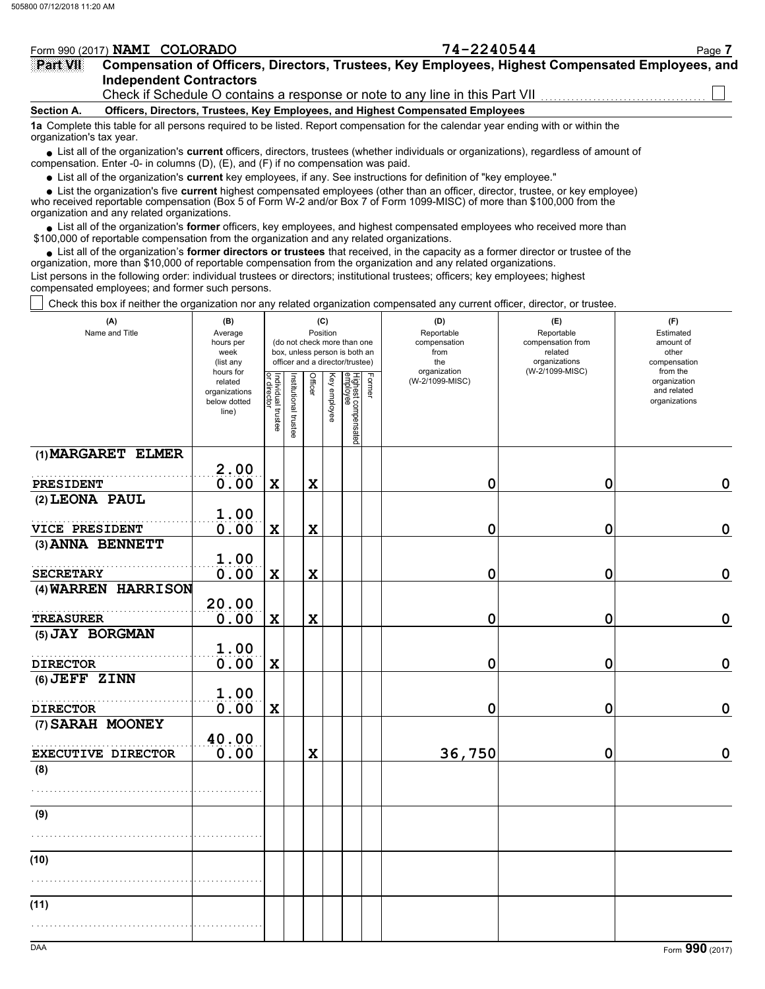### Form 990 (2017) Page **7 NAMI COLORADO 74-2240544**

| 74-2240544 |  |  |  |  |  |  |  |  |  |
|------------|--|--|--|--|--|--|--|--|--|
|------------|--|--|--|--|--|--|--|--|--|

#### **Independent Contractors Part VII Compensation of Officers, Directors, Trustees, Key Employees, Highest Compensated Employees, and** Check if Schedule O contains a response or note to any line in this Part VII

**Section A. Officers, Directors, Trustees, Key Employees, and Highest Compensated Employees**

**1a** Complete this table for all persons required to be listed. Report compensation for the calendar year ending with or within the organization's tax year.

■ List all of the organization's **current** officers, directors, trustees (whether individuals or organizations), regardless of amount of compensation. Enter -0- in columns (D), (E), and (F) if no compensation was paid.

List all of the organization's **current** key employees, if any. See instructions for definition of "key employee."

■ List all of the organization's **current** key employees, if any. See instructions for definition of "key employee."<br>■ List the organization's five **current** highest compensated employees (other than an officer, director,

who received reportable compensation (Box 5 of Form W-2 and/or Box 7 of Form 1099-MISC) of more than \$100,000 from the organization and any related organizations.

• List all of the organization's **former** officers, key employees, and highest compensated employees who received more than<br>00,000 of reportable compensation from the organization and any related organizations. \$100,000 of reportable compensation from the organization and any related organizations.

• List all of the organization's **former directors or trustees** that received, in the capacity as a former director or trustee of the organization, more than \$10,000 of reportable compensation from the organization and any related organizations. List persons in the following order: individual trustees or directors; institutional trustees; officers; key employees; highest compensated employees; and former such persons.

Check this box if neither the organization nor any related organization compensated any current officer, director, or trustee.

| (A)<br>Name and Title     | (B)<br>Average<br>hours per<br>week<br>(list any               |                                   |                       |             | (C)<br>Position | (do not check more than one<br>box, unless person is both an<br>officer and a director/trustee) |        | (D)<br>Reportable<br>compensation<br>from<br>the<br>organization | (E)<br>Reportable<br>compensation from<br>related<br>organizations<br>(W-2/1099-MISC) | (F)<br>Estimated<br>amount of<br>other<br>compensation<br>from the |
|---------------------------|----------------------------------------------------------------|-----------------------------------|-----------------------|-------------|-----------------|-------------------------------------------------------------------------------------------------|--------|------------------------------------------------------------------|---------------------------------------------------------------------------------------|--------------------------------------------------------------------|
|                           | hours for<br>related<br>organizations<br>below dotted<br>line) | Individual trustee<br>or director | Institutional trustee | Officer     | Key employee    | Highest compensated<br>employee                                                                 | Former | (W-2/1099-MISC)                                                  |                                                                                       | organization<br>and related<br>organizations                       |
| (1) MARGARET ELMER        |                                                                |                                   |                       |             |                 |                                                                                                 |        |                                                                  |                                                                                       |                                                                    |
| PRESIDENT                 | 2.00<br>0.00                                                   | $\mathbf x$                       |                       | $\mathbf x$ |                 |                                                                                                 |        | 0                                                                | 0                                                                                     | $\mathbf 0$                                                        |
| (2) LEONA PAUL            |                                                                |                                   |                       |             |                 |                                                                                                 |        |                                                                  |                                                                                       |                                                                    |
|                           | 1.00                                                           |                                   |                       |             |                 |                                                                                                 |        |                                                                  |                                                                                       |                                                                    |
| VICE PRESIDENT            | 0.00                                                           | $\mathbf x$                       |                       | $\mathbf x$ |                 |                                                                                                 |        | 0                                                                | $\mathbf 0$                                                                           | $\mathbf 0$                                                        |
| (3) ANNA BENNETT          | 1.00                                                           |                                   |                       |             |                 |                                                                                                 |        |                                                                  |                                                                                       |                                                                    |
| <b>SECRETARY</b>          | 0.00                                                           | $\mathbf X$                       |                       | $\mathbf x$ |                 |                                                                                                 |        | 0                                                                | 0                                                                                     | $\mathbf 0$                                                        |
| (4) WARREN HARRISON       |                                                                |                                   |                       |             |                 |                                                                                                 |        |                                                                  |                                                                                       |                                                                    |
|                           | 20.00                                                          |                                   |                       |             |                 |                                                                                                 |        |                                                                  |                                                                                       |                                                                    |
| <b>TREASURER</b>          | 0.00                                                           | $\mathbf x$                       |                       | $\mathbf x$ |                 |                                                                                                 |        | 0                                                                | 0                                                                                     | $\mathbf 0$                                                        |
| (5) JAY BORGMAN           |                                                                |                                   |                       |             |                 |                                                                                                 |        |                                                                  |                                                                                       |                                                                    |
|                           | 1.00                                                           |                                   |                       |             |                 |                                                                                                 |        |                                                                  |                                                                                       |                                                                    |
| <b>DIRECTOR</b>           | 0.00                                                           | $\mathbf X$                       |                       |             |                 |                                                                                                 |        | 0                                                                | 0                                                                                     | $\mathbf 0$                                                        |
| $(6)$ JEFF ZINN           | 1.00                                                           |                                   |                       |             |                 |                                                                                                 |        |                                                                  |                                                                                       |                                                                    |
| <b>DIRECTOR</b>           | 0.00                                                           | $\mathbf x$                       |                       |             |                 |                                                                                                 |        | 0                                                                | 0                                                                                     | $\mathbf 0$                                                        |
| (7) SARAH MOONEY          |                                                                |                                   |                       |             |                 |                                                                                                 |        |                                                                  |                                                                                       |                                                                    |
|                           | 40.00                                                          |                                   |                       |             |                 |                                                                                                 |        |                                                                  |                                                                                       |                                                                    |
| <b>EXECUTIVE DIRECTOR</b> | 0.00                                                           |                                   |                       | $\mathbf x$ |                 |                                                                                                 |        | 36,750                                                           | 0                                                                                     | $\mathbf 0$                                                        |
| (8)                       |                                                                |                                   |                       |             |                 |                                                                                                 |        |                                                                  |                                                                                       |                                                                    |
|                           |                                                                |                                   |                       |             |                 |                                                                                                 |        |                                                                  |                                                                                       |                                                                    |
| (9)                       |                                                                |                                   |                       |             |                 |                                                                                                 |        |                                                                  |                                                                                       |                                                                    |
|                           |                                                                |                                   |                       |             |                 |                                                                                                 |        |                                                                  |                                                                                       |                                                                    |
|                           |                                                                |                                   |                       |             |                 |                                                                                                 |        |                                                                  |                                                                                       |                                                                    |
| (10)                      |                                                                |                                   |                       |             |                 |                                                                                                 |        |                                                                  |                                                                                       |                                                                    |
|                           |                                                                |                                   |                       |             |                 |                                                                                                 |        |                                                                  |                                                                                       |                                                                    |
| (11)                      |                                                                |                                   |                       |             |                 |                                                                                                 |        |                                                                  |                                                                                       |                                                                    |
|                           |                                                                |                                   |                       |             |                 |                                                                                                 |        |                                                                  |                                                                                       |                                                                    |
|                           |                                                                |                                   |                       |             |                 |                                                                                                 |        |                                                                  |                                                                                       |                                                                    |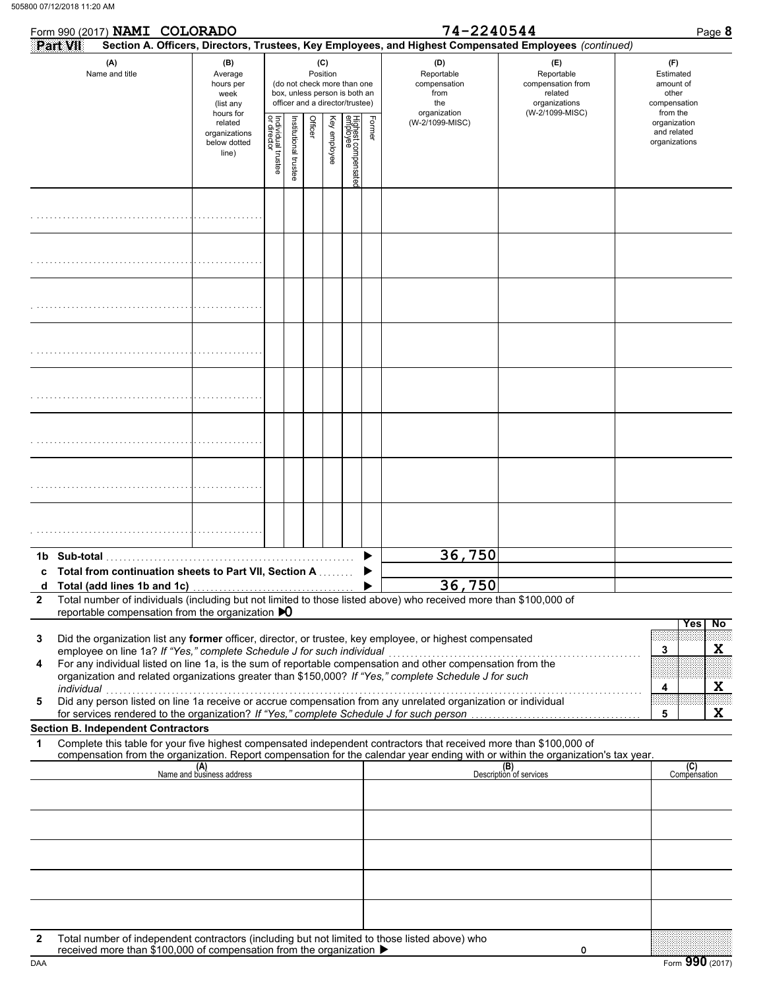|                   | Form 990 (2017) NAMI COLORADO                                                                                                                                                                                                                                                                                                                                                                                                                                                                                                                           |                                                               |                                   |                      |         |                 |                                                                                                 |        | 74-2240544                                                       |                                                                                                                                  | Page 8                                                             |
|-------------------|---------------------------------------------------------------------------------------------------------------------------------------------------------------------------------------------------------------------------------------------------------------------------------------------------------------------------------------------------------------------------------------------------------------------------------------------------------------------------------------------------------------------------------------------------------|---------------------------------------------------------------|-----------------------------------|----------------------|---------|-----------------|-------------------------------------------------------------------------------------------------|--------|------------------------------------------------------------------|----------------------------------------------------------------------------------------------------------------------------------|--------------------------------------------------------------------|
|                   | Part VII                                                                                                                                                                                                                                                                                                                                                                                                                                                                                                                                                |                                                               |                                   |                      |         |                 |                                                                                                 |        |                                                                  | Section A. Officers, Directors, Trustees, Key Employees, and Highest Compensated Employees (continued)                           |                                                                    |
|                   | (A)<br>Name and title                                                                                                                                                                                                                                                                                                                                                                                                                                                                                                                                   | (B)<br>Average<br>hours per<br>week<br>(list any<br>hours for |                                   |                      |         | (C)<br>Position | (do not check more than one<br>box, unless person is both an<br>officer and a director/trustee) |        | (D)<br>Reportable<br>compensation<br>from<br>the<br>organization | (E)<br>Reportable<br>compensation from<br>related<br>organizations<br>(W-2/1099-MISC)                                            | (F)<br>Estimated<br>amount of<br>other<br>compensation<br>from the |
|                   |                                                                                                                                                                                                                                                                                                                                                                                                                                                                                                                                                         | related<br>organizations<br>below dotted<br>line)             | Individual trustee<br>or director | nstitutional trustee | Officer | Key employee    | Highest compensated<br>employee                                                                 | Former | (W-2/1099-MISC)                                                  |                                                                                                                                  | organization<br>and related<br>organizations                       |
|                   |                                                                                                                                                                                                                                                                                                                                                                                                                                                                                                                                                         |                                                               |                                   |                      |         |                 |                                                                                                 |        |                                                                  |                                                                                                                                  |                                                                    |
|                   |                                                                                                                                                                                                                                                                                                                                                                                                                                                                                                                                                         |                                                               |                                   |                      |         |                 |                                                                                                 |        |                                                                  |                                                                                                                                  |                                                                    |
|                   |                                                                                                                                                                                                                                                                                                                                                                                                                                                                                                                                                         |                                                               |                                   |                      |         |                 |                                                                                                 |        |                                                                  |                                                                                                                                  |                                                                    |
|                   |                                                                                                                                                                                                                                                                                                                                                                                                                                                                                                                                                         |                                                               |                                   |                      |         |                 |                                                                                                 |        |                                                                  |                                                                                                                                  |                                                                    |
|                   |                                                                                                                                                                                                                                                                                                                                                                                                                                                                                                                                                         |                                                               |                                   |                      |         |                 |                                                                                                 |        |                                                                  |                                                                                                                                  |                                                                    |
|                   |                                                                                                                                                                                                                                                                                                                                                                                                                                                                                                                                                         |                                                               |                                   |                      |         |                 |                                                                                                 |        |                                                                  |                                                                                                                                  |                                                                    |
|                   |                                                                                                                                                                                                                                                                                                                                                                                                                                                                                                                                                         |                                                               |                                   |                      |         |                 |                                                                                                 |        |                                                                  |                                                                                                                                  |                                                                    |
|                   |                                                                                                                                                                                                                                                                                                                                                                                                                                                                                                                                                         |                                                               |                                   |                      |         |                 |                                                                                                 |        |                                                                  |                                                                                                                                  |                                                                    |
| 1b.               | Sub-total                                                                                                                                                                                                                                                                                                                                                                                                                                                                                                                                               |                                                               |                                   |                      |         |                 |                                                                                                 |        | 36,750                                                           |                                                                                                                                  |                                                                    |
| c                 | Total from continuation sheets to Part VII, Section A                                                                                                                                                                                                                                                                                                                                                                                                                                                                                                   |                                                               |                                   |                      |         |                 |                                                                                                 |        |                                                                  |                                                                                                                                  |                                                                    |
| d<br>$\mathbf{2}$ | Total (add lines 1b and 1c)<br>Total number of individuals (including but not limited to those listed above) who received more than \$100,000 of<br>reportable compensation from the organization $\mathbf{D}$                                                                                                                                                                                                                                                                                                                                          |                                                               |                                   |                      |         |                 |                                                                                                 |        | 36,750                                                           |                                                                                                                                  |                                                                    |
| 3<br>4<br>5       | Did the organization list any former officer, director, or trustee, key employee, or highest compensated<br>employee on line 1a? If "Yes," complete Schedule J for such individual<br>For any individual listed on line 1a, is the sum of reportable compensation and other compensation from the<br>organization and related organizations greater than \$150,000? If "Yes," complete Schedule J for such<br>individual<br>individual<br>Did any person listed on line 1a receive or accrue compensation from any unrelated organization or individual |                                                               |                                   |                      |         |                 |                                                                                                 |        |                                                                  |                                                                                                                                  | Yes<br>No<br>X<br>3<br>X<br>4<br>X<br>5                            |
|                   | <b>Section B. Independent Contractors</b>                                                                                                                                                                                                                                                                                                                                                                                                                                                                                                               |                                                               |                                   |                      |         |                 |                                                                                                 |        |                                                                  |                                                                                                                                  |                                                                    |
| 1                 | Complete this table for your five highest compensated independent contractors that received more than \$100,000 of                                                                                                                                                                                                                                                                                                                                                                                                                                      |                                                               |                                   |                      |         |                 |                                                                                                 |        |                                                                  | compensation from the organization. Report compensation for the calendar year ending with or within the organization's tax year. |                                                                    |
|                   |                                                                                                                                                                                                                                                                                                                                                                                                                                                                                                                                                         | (A)<br>Name and business address                              |                                   |                      |         |                 |                                                                                                 |        |                                                                  | (B)<br>Description of services                                                                                                   | (C)<br>Compensation                                                |
|                   |                                                                                                                                                                                                                                                                                                                                                                                                                                                                                                                                                         |                                                               |                                   |                      |         |                 |                                                                                                 |        |                                                                  |                                                                                                                                  |                                                                    |
|                   |                                                                                                                                                                                                                                                                                                                                                                                                                                                                                                                                                         |                                                               |                                   |                      |         |                 |                                                                                                 |        |                                                                  |                                                                                                                                  |                                                                    |
|                   |                                                                                                                                                                                                                                                                                                                                                                                                                                                                                                                                                         |                                                               |                                   |                      |         |                 |                                                                                                 |        |                                                                  |                                                                                                                                  |                                                                    |
| $\mathbf{2}$      | Total number of independent contractors (including but not limited to those listed above) who<br>received more than \$100,000 of compensation from the organization ▶                                                                                                                                                                                                                                                                                                                                                                                   |                                                               |                                   |                      |         |                 |                                                                                                 |        |                                                                  | 0                                                                                                                                |                                                                    |
| DAA               |                                                                                                                                                                                                                                                                                                                                                                                                                                                                                                                                                         |                                                               |                                   |                      |         |                 |                                                                                                 |        |                                                                  |                                                                                                                                  | Form 990 (2017)                                                    |

| -2240544 |  |  |  |
|----------|--|--|--|
|          |  |  |  |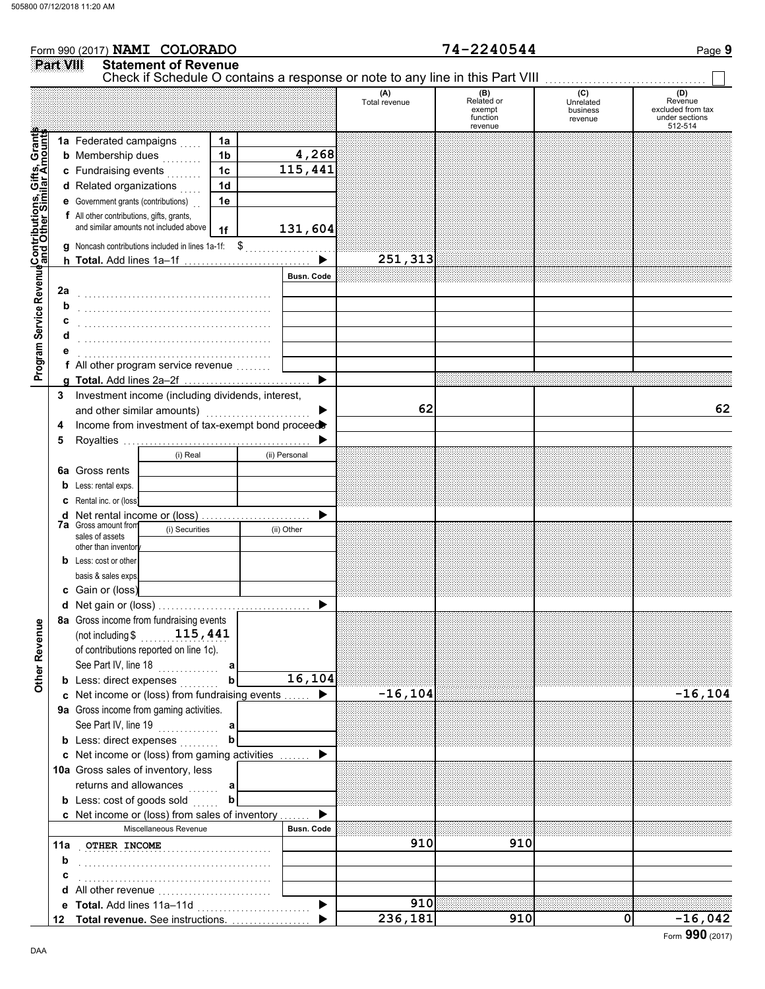|                                                                                                                       |                                                       | Form 990 (2017) NAMI COLORADO                                               |                |                  |                   |                      | 74-2240544                                                                                                                          |                                         | Page 9                                                           |
|-----------------------------------------------------------------------------------------------------------------------|-------------------------------------------------------|-----------------------------------------------------------------------------|----------------|------------------|-------------------|----------------------|-------------------------------------------------------------------------------------------------------------------------------------|-----------------------------------------|------------------------------------------------------------------|
|                                                                                                                       | Part VIII                                             | <b>Statement of Revenue</b>                                                 |                |                  |                   |                      |                                                                                                                                     |                                         |                                                                  |
|                                                                                                                       |                                                       |                                                                             |                |                  |                   | (A)<br>Total revenue | Check if Schedule O contains a response or note to any line in this Part VIII<br>(B)<br>Related or<br>exempt<br>function<br>revenue | (C)<br>Unrelated<br>business<br>revenue | (D)<br>Revenue<br>excluded from tax<br>under sections<br>512-514 |
|                                                                                                                       |                                                       | 1a Federated campaigns                                                      |                | 1a               |                   |                      |                                                                                                                                     |                                         |                                                                  |
|                                                                                                                       |                                                       | <b>b</b> Membership dues                                                    |                | 1 <sub>b</sub>   | 4,268             |                      |                                                                                                                                     |                                         |                                                                  |
|                                                                                                                       |                                                       | c Fundraising events                                                        |                | 1 <sub>c</sub>   | 115,441           |                      |                                                                                                                                     |                                         |                                                                  |
|                                                                                                                       |                                                       | d Related organizations                                                     |                | 1 <sub>d</sub>   |                   |                      |                                                                                                                                     |                                         |                                                                  |
|                                                                                                                       |                                                       | <b>e</b> Government grants (contributions)                                  |                | 1e               |                   |                      |                                                                                                                                     |                                         |                                                                  |
|                                                                                                                       |                                                       | f All other contributions, gifts, grants,                                   |                |                  |                   |                      |                                                                                                                                     |                                         |                                                                  |
|                                                                                                                       |                                                       | and similar amounts not included above                                      |                | 1f               | 131,604           |                      |                                                                                                                                     |                                         |                                                                  |
|                                                                                                                       |                                                       | g Noncash contributions included in lines 1a-1f: \$                         |                |                  |                   |                      |                                                                                                                                     |                                         |                                                                  |
|                                                                                                                       |                                                       |                                                                             |                |                  |                   | 251,313              |                                                                                                                                     |                                         |                                                                  |
| Program Service Revenu <mark>e</mark> Contributions, Gifts, Grants<br>Program Service Revenuend Other Similar Amounts | 2a                                                    |                                                                             |                |                  | <b>Busn, Code</b> |                      |                                                                                                                                     |                                         |                                                                  |
|                                                                                                                       | b                                                     |                                                                             |                |                  |                   |                      |                                                                                                                                     |                                         |                                                                  |
|                                                                                                                       | c                                                     | d                                                                           |                |                  |                   |                      |                                                                                                                                     |                                         |                                                                  |
|                                                                                                                       |                                                       |                                                                             |                |                  |                   |                      |                                                                                                                                     |                                         |                                                                  |
|                                                                                                                       |                                                       | f All other program service revenue                                         |                |                  |                   |                      |                                                                                                                                     |                                         |                                                                  |
|                                                                                                                       |                                                       |                                                                             |                |                  | ▶                 |                      |                                                                                                                                     |                                         |                                                                  |
|                                                                                                                       | 3                                                     | Investment income (including dividends, interest,                           |                |                  |                   |                      |                                                                                                                                     |                                         |                                                                  |
|                                                                                                                       |                                                       | and other similar amounts)                                                  |                |                  |                   | 62                   |                                                                                                                                     |                                         | 62                                                               |
|                                                                                                                       | 4                                                     | Income from investment of tax-exempt bond proceed                           |                |                  |                   |                      |                                                                                                                                     |                                         |                                                                  |
|                                                                                                                       | 5                                                     |                                                                             |                |                  |                   |                      |                                                                                                                                     |                                         |                                                                  |
|                                                                                                                       |                                                       |                                                                             | (i) Real       |                  | (ii) Personal     |                      |                                                                                                                                     |                                         |                                                                  |
|                                                                                                                       |                                                       | <b>6a</b> Gross rents                                                       |                |                  |                   |                      |                                                                                                                                     |                                         |                                                                  |
|                                                                                                                       |                                                       | <b>b</b> Less: rental exps.                                                 |                |                  |                   |                      |                                                                                                                                     |                                         |                                                                  |
|                                                                                                                       |                                                       | <b>C</b> Rental inc. or (loss)                                              |                |                  |                   |                      |                                                                                                                                     |                                         |                                                                  |
|                                                                                                                       | d Net rental income or (loss)<br>7a Gross amount from |                                                                             |                |                  |                   |                      |                                                                                                                                     |                                         |                                                                  |
|                                                                                                                       |                                                       | sales of assets                                                             | (i) Securities |                  | (ii) Other        |                      |                                                                                                                                     |                                         |                                                                  |
|                                                                                                                       |                                                       | other than inventory                                                        |                |                  |                   |                      |                                                                                                                                     |                                         |                                                                  |
|                                                                                                                       |                                                       | <b>b</b> Less: cost or other                                                |                |                  |                   |                      |                                                                                                                                     |                                         |                                                                  |
|                                                                                                                       |                                                       | basis & sales exps.                                                         |                |                  |                   |                      |                                                                                                                                     |                                         |                                                                  |
|                                                                                                                       |                                                       | c Gain or (loss)                                                            |                |                  |                   |                      |                                                                                                                                     |                                         |                                                                  |
|                                                                                                                       |                                                       | 8a Gross income from fundraising events                                     |                |                  |                   |                      |                                                                                                                                     |                                         |                                                                  |
| Other Revenue                                                                                                         |                                                       | (not including $$115,441$                                                   |                |                  |                   |                      |                                                                                                                                     |                                         |                                                                  |
|                                                                                                                       |                                                       | of contributions reported on line 1c).                                      |                |                  |                   |                      |                                                                                                                                     |                                         |                                                                  |
|                                                                                                                       |                                                       | See Part IV, line 18                                                        |                | a                |                   |                      |                                                                                                                                     |                                         |                                                                  |
|                                                                                                                       |                                                       | <b>b</b> Less: direct expenses                                              |                | $\mathbf b$      | 16,104            |                      |                                                                                                                                     |                                         |                                                                  |
|                                                                                                                       |                                                       | c Net income or (loss) from fundraising events                              |                |                  |                   | $-16, 104$           |                                                                                                                                     |                                         | $-16, 104$                                                       |
|                                                                                                                       |                                                       | 9a Gross income from gaming activities.                                     |                |                  |                   |                      |                                                                                                                                     |                                         |                                                                  |
|                                                                                                                       |                                                       | See Part IV, line 19                                                        |                | a                |                   |                      |                                                                                                                                     |                                         |                                                                  |
|                                                                                                                       |                                                       | <b>b</b> Less: direct expenses                                              |                | b                |                   |                      |                                                                                                                                     |                                         |                                                                  |
|                                                                                                                       |                                                       | c Net income or (loss) from gaming activities                               |                |                  |                   |                      |                                                                                                                                     |                                         |                                                                  |
|                                                                                                                       |                                                       | 10a Gross sales of inventory, less                                          |                |                  |                   |                      |                                                                                                                                     |                                         |                                                                  |
|                                                                                                                       |                                                       | returns and allowances<br><b>b</b> Less: cost of goods sold                 |                | a<br>$\mathbf b$ |                   |                      |                                                                                                                                     |                                         |                                                                  |
|                                                                                                                       |                                                       | c Net income or (loss) from sales of inventory                              |                |                  |                   |                      |                                                                                                                                     |                                         |                                                                  |
|                                                                                                                       |                                                       | Miscellaneous Revenue                                                       |                |                  | <b>Busn. Code</b> |                      |                                                                                                                                     |                                         |                                                                  |
|                                                                                                                       |                                                       | 11a OTHER INCOME                                                            |                |                  |                   | 910                  | 910                                                                                                                                 |                                         |                                                                  |
|                                                                                                                       | b                                                     |                                                                             |                |                  |                   |                      |                                                                                                                                     |                                         |                                                                  |
|                                                                                                                       | c                                                     |                                                                             |                |                  |                   |                      |                                                                                                                                     |                                         |                                                                  |
|                                                                                                                       |                                                       | <b>d</b> All other revenue $\ldots, \ldots, \ldots, \ldots, \ldots, \ldots$ |                |                  |                   |                      |                                                                                                                                     |                                         |                                                                  |
|                                                                                                                       |                                                       | e Total. Add lines 11a-11d                                                  |                |                  |                   | 910                  |                                                                                                                                     |                                         |                                                                  |
|                                                                                                                       |                                                       | 12 Total revenue. See instructions.                                         |                |                  |                   | 236,181              | 910                                                                                                                                 | 0                                       | $-16,042$                                                        |

|  |  |  |  | 8 _ 2 2 4 6 5 <i>4 7</i> |  |
|--|--|--|--|--------------------------|--|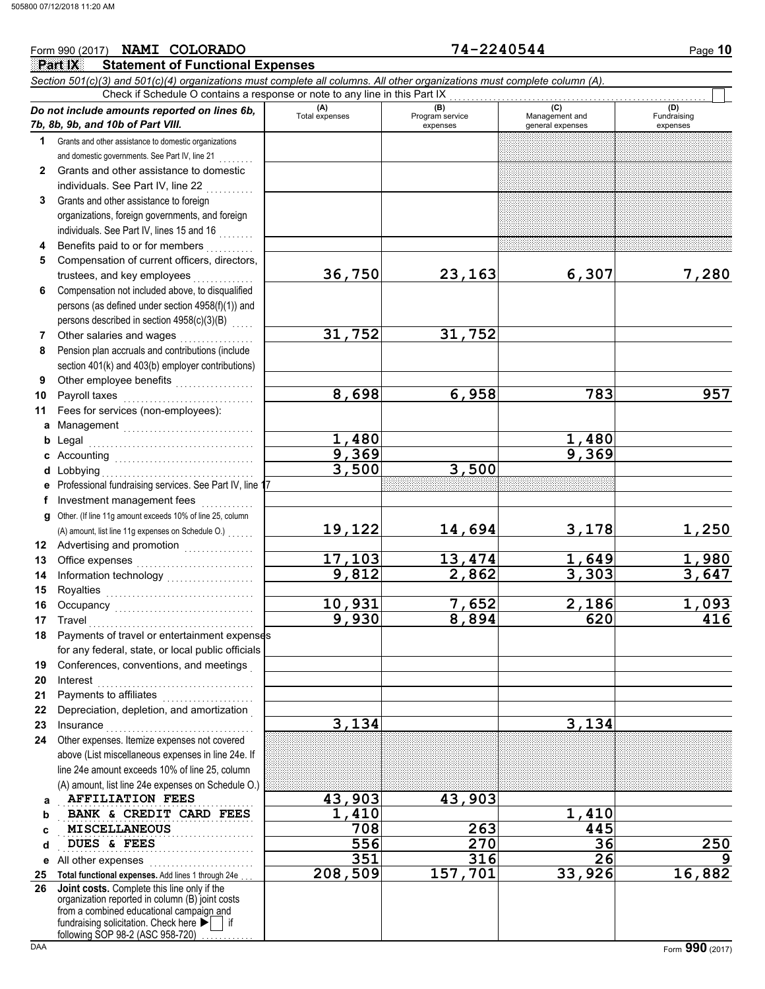#### **Part IX Statement of Functional Expenses** Form 990 (2017) Page **10 NAMI COLORADO 74-2240544** *Section 501(c)(3) and 501(c)(4) organizations must complete all columns. All other organizations must complete column (A). Do not include amounts reported on lines 6b, 7b, 8b, 9b, and 10b of Part VIII.* **1 2 3 4 5 6 7 8 9 10 11 a** Management . . . . . . . . . . . . . . . . . . . . . . . . . . . . . . **b** Legal **c** Accounting . . . . . . . . . . . . . . . . . . . . . . . . . . . . . . . . **d** Lobbying **e f g** Other. (If line 11g amount exceeds 10% of line 25, column **12** Advertising and promotion **. . . . . . . . . . . .** . . **13 14 15 16 17 18 19 20 21 22 23 24 a b c d e** All other expenses . . . . . . . . . . . . . . . . . . . . . . . . Grants and other assistance to domestic organizations and domestic governments. See Part IV, line 21 Grants and other assistance to domestic individuals. See Part IV, line 22 Grants and other assistance to foreign organizations, foreign governments, and foreign individuals. See Part IV, lines 15 and 16 Benefits paid to or for members . . . . . . . . . . Compensation of current officers, directors, trustees, and key employees ........ Compensation not included above, to disqualified persons (as defined under section 4958(f)(1)) and persons described in section 4958(c)(3)(B) Other salaries and wages ................. Pension plan accruals and contributions (include section 401(k) and 403(b) employer contributions) Other employee benefits ................... Payroll taxes Fees for services (non-employees): Legal . . . . . . . . . . . . . . . . . . . . . . . . . . . . . . . . . . . . . . Lobbying . . . . . . . . . . . . . . . . . . . . . . . . . . . . . . . . . . . Professional fundraising services. See Part IV, line 17 Investment management fees ............. Office expenses . . . . . . . . . . . . . . . . . . . . . . . . . . . Information technology . . . . . . . . . . . . . . . . . . . . Royalties . . . . . . . . . . . . . . . . . . . . . . . . . . . . . . . . . . Occupancy . . . . . . . . . . . . . . . . . . . . . . . . . . . . . . . . Travel . . . . . . . . . . . . . . . . . . . . . . . . . . . . . . . . . . . . . . Payments of travel or entertainment expenses for any federal, state, or local public officials Conferences, conventions, and meetings . Interest . . . . . . . . . . . . . . . . . . . . . . . . . . . . . . . . . . . . Payments to affiliates . . . . . . . . . . . . . . . . . Depreciation, depletion, and amortization Insurance . . . . . . . . . . . . . . . . . . . . . . . . . . . . . . . . . . Other expenses. Itemize expenses not covered above (List miscellaneous expenses in line 24e. If line 24e amount exceeds 10% of line 25, column (A) amount, list line 24e expenses on Schedule O.) **(A)** (B) (B) (B) (C) (C) (A) (D)<br>Total expenses Program service Management and Fundrai expenses general expenses (D)<br>Fundraising expenses **AFFILIATION FEES** 43,903 43,903 **BANK & CREDIT CARD FEES** 1,410 1,410 . . . . . . . . . . . . . . . . . . . . . . . . . . . . . . . . . . . . . . . . . . . . . **MISCELLANEOUS 708 263 445** DUES & FEES Check if Schedule O contains a response or note to any line in this Part IX (A) amount, list line 11g expenses on Schedule O.) . . . . . . . **36,750 23,163 6,307 7,280 31,752 31,752 8,698 6,958 783 957 1,480 1,480**<br>9,369 **1,480 9,369 9,369 3,500 3,500 19,122 14,694 3,178 1,250 17,103 13,474 1,649 1,980 9,812 2,862 3,303 3,647 10,931 7,652 2,186 1,093 9,930 8,894 620 416 3,134 3,134 DUES & FEES 556 270 36 250 351 316 26 9**

**25 Total functional expenses.** Add lines 1 through 24e . . . **26** fundraising solicitation. Check here  $\blacktriangleright$  | if organization reported in column (B) joint costs from a combined educational campaign and following SOP 98-2 (ASC 958-720) **Joint costs.** Complete this line only if the

**208,509 157,701 33,926 16,882**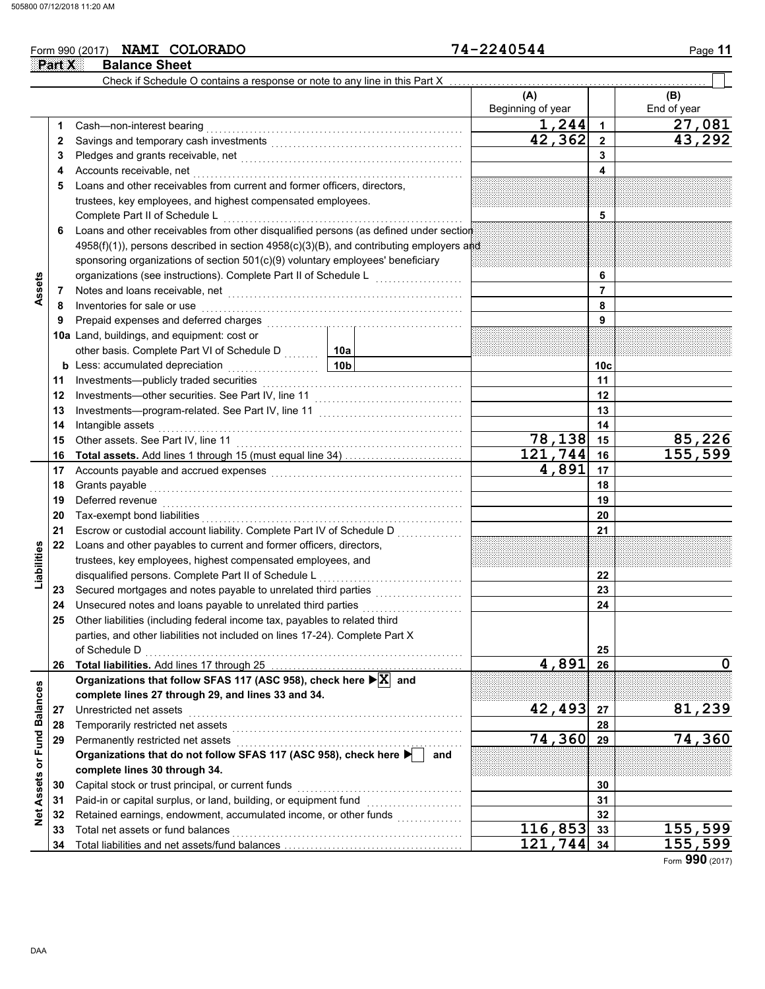#### Form 990 (2017) **NAMI COLORADO** 24-2240544 Page 11 **NAMI COLORADO 74-2240544**

**Part X** Balance Sheet

|                             |          | Check if Schedule O contains a response or note to any line in this Part X                                                                                                                                                           |                                             |                          |                 |                    |
|-----------------------------|----------|--------------------------------------------------------------------------------------------------------------------------------------------------------------------------------------------------------------------------------------|---------------------------------------------|--------------------------|-----------------|--------------------|
|                             |          |                                                                                                                                                                                                                                      |                                             | (A)<br>Beginning of year |                 | (B)<br>End of year |
|                             | 1        | Cash-non-interest bearing                                                                                                                                                                                                            |                                             | 1,244                    | $\mathbf{1}$    | 27,081             |
|                             | 2        |                                                                                                                                                                                                                                      |                                             | 42,362                   | $\mathbf{2}$    | 43,292             |
|                             | 3        |                                                                                                                                                                                                                                      |                                             | 3                        |                 |                    |
|                             | 4        | Accounts receivable, net                                                                                                                                                                                                             |                                             |                          | 4               |                    |
|                             | 5        | Loans and other receivables from current and former officers, directors,                                                                                                                                                             |                                             |                          |                 |                    |
|                             |          | trustees, key employees, and highest compensated employees.                                                                                                                                                                          |                                             |                          |                 |                    |
|                             |          | Complete Part II of Schedule L                                                                                                                                                                                                       |                                             |                          | 5               |                    |
|                             | 6        | Loans and other receivables from other disqualified persons (as defined under section                                                                                                                                                |                                             |                          |                 |                    |
|                             |          | 4958(f)(1)), persons described in section 4958(c)(3)(B), and contributing employers and                                                                                                                                              |                                             |                          |                 |                    |
|                             |          | sponsoring organizations of section 501(c)(9) voluntary employees' beneficiary                                                                                                                                                       |                                             |                          |                 |                    |
|                             |          | organizations (see instructions). Complete Part II of Schedule L                                                                                                                                                                     |                                             |                          | 6               |                    |
| Assets                      | 7        | Notes and loans receivable, net <b>consider the constant of the constant of the set of the constant of the constant of the constant of the constant of the constant of the constant of the constant of the constant of the const</b> |                                             |                          | $\overline{7}$  |                    |
|                             | 8        | Inventories for sale or use                                                                                                                                                                                                          |                                             |                          | 8               |                    |
|                             | 9        | Prepaid expenses and deferred charges                                                                                                                                                                                                |                                             |                          | 9               |                    |
|                             |          | 10a Land, buildings, and equipment: cost or                                                                                                                                                                                          |                                             |                          |                 |                    |
|                             |          | other basis. Complete Part VI of Schedule D                                                                                                                                                                                          | 10a                                         |                          |                 |                    |
|                             |          | <b>b</b> Less: accumulated depreciation                                                                                                                                                                                              | 10 <sub>b</sub>                             |                          | 10 <sub>c</sub> |                    |
|                             | 11       | .<br>Investments-publicly traded securities                                                                                                                                                                                          |                                             |                          | 11              |                    |
|                             | 12       |                                                                                                                                                                                                                                      |                                             |                          | 12              |                    |
|                             | 13       |                                                                                                                                                                                                                                      |                                             |                          | 13              |                    |
|                             | 14       | Intangible assets                                                                                                                                                                                                                    |                                             |                          | 14              |                    |
|                             |          | Other assets. See Part IV, line 11                                                                                                                                                                                                   |                                             | 78,138                   | 15              | 85,226             |
|                             | 15       |                                                                                                                                                                                                                                      |                                             | 121,744                  | 16              | 155, 599           |
|                             | 16<br>17 |                                                                                                                                                                                                                                      |                                             | 4,891                    | 17              |                    |
|                             |          |                                                                                                                                                                                                                                      |                                             | 18                       |                 |                    |
|                             | 18       | Grants payable                                                                                                                                                                                                                       |                                             |                          |                 |                    |
|                             | 19       | Deferred revenue                                                                                                                                                                                                                     |                                             |                          | 19              |                    |
|                             | 20       | Tax-exempt bond liabilities                                                                                                                                                                                                          |                                             |                          | 20              |                    |
|                             | 21       | Escrow or custodial account liability. Complete Part IV of Schedule D                                                                                                                                                                |                                             |                          | 21              |                    |
| Liabilities                 | 22       | Loans and other payables to current and former officers, directors,                                                                                                                                                                  |                                             |                          |                 |                    |
|                             |          | trustees, key employees, highest compensated employees, and                                                                                                                                                                          |                                             |                          |                 |                    |
|                             |          | disqualified persons. Complete Part II of Schedule L                                                                                                                                                                                 |                                             |                          | 22              |                    |
|                             | 23       |                                                                                                                                                                                                                                      |                                             |                          | 23              |                    |
|                             | 24       | Unsecured notes and loans payable to unrelated third parties                                                                                                                                                                         | .                                           |                          | 24              |                    |
|                             | 25       | Other liabilities (including federal income tax, payables to related third                                                                                                                                                           |                                             |                          |                 |                    |
|                             |          | parties, and other liabilities not included on lines 17-24). Complete Part X                                                                                                                                                         |                                             |                          |                 |                    |
|                             |          | of Schedule D                                                                                                                                                                                                                        |                                             |                          | 25              |                    |
|                             | 26       |                                                                                                                                                                                                                                      |                                             | 4,891                    | 26              | 0                  |
|                             |          | Organizations that follow SFAS 117 (ASC 958), check here ▶ X and                                                                                                                                                                     |                                             |                          |                 |                    |
|                             |          | complete lines 27 through 29, and lines 33 and 34.                                                                                                                                                                                   |                                             |                          |                 |                    |
|                             | 27       | Unrestricted net assets                                                                                                                                                                                                              |                                             | 42,493                   | 27              | 81,239             |
|                             | 28       | Temporarily restricted net assets                                                                                                                                                                                                    |                                             |                          | 28              |                    |
|                             | 29       | Permanently restricted net assets                                                                                                                                                                                                    |                                             | 74,360                   | 29              | 74,360             |
|                             |          | Organizations that do not follow SFAS 117 (ASC 958), check here $\blacktriangleright$ and                                                                                                                                            |                                             |                          |                 |                    |
|                             |          | complete lines 30 through 34.                                                                                                                                                                                                        |                                             |                          |                 |                    |
| Net Assets or Fund Balances | 30       | Capital stock or trust principal, or current funds                                                                                                                                                                                   |                                             |                          | 30              |                    |
|                             | 31       | Paid-in or capital surplus, or land, building, or equipment fund                                                                                                                                                                     | <u> 1999 - Johann Stoff, mars ar senatu</u> |                          | 31              |                    |
|                             | 32       | Retained earnings, endowment, accumulated income, or other funds                                                                                                                                                                     |                                             |                          | 32              |                    |
|                             | 33       | Total net assets or fund balances                                                                                                                                                                                                    |                                             | $\overline{116}$ , 853   | 33              | 155,599            |
|                             | 34       |                                                                                                                                                                                                                                      |                                             | $121,744$ 34             |                 | 155,599            |

Form **990** (2017)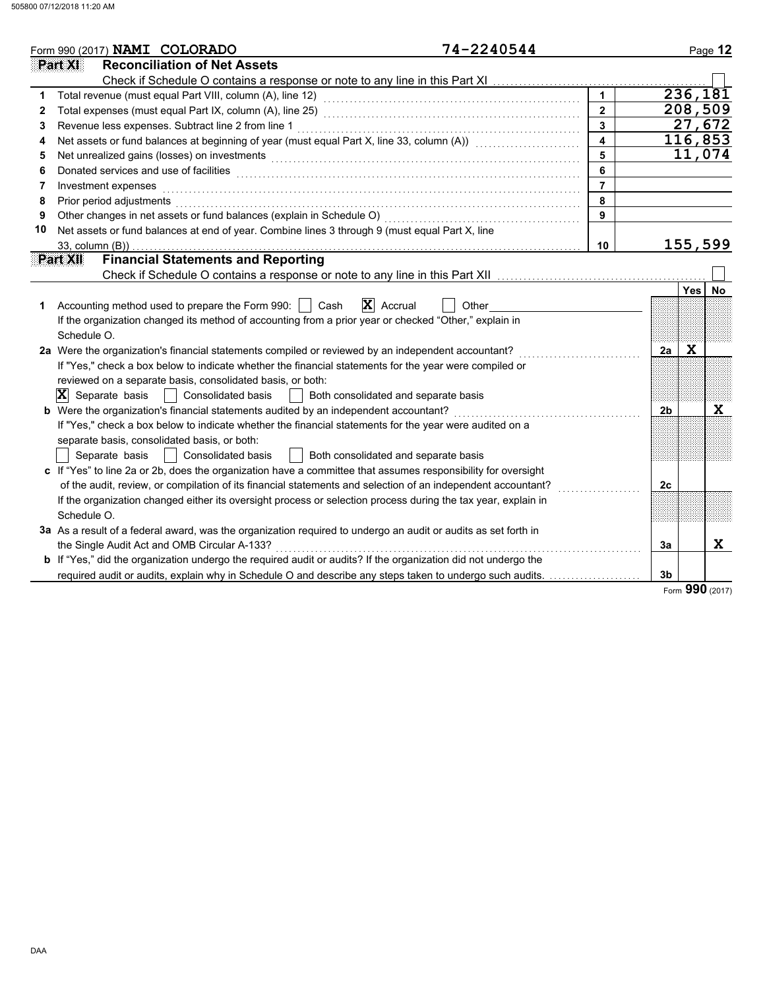|    | 74-2240544<br>Form 990 (2017) NAMI COLORADO                                                                    |                         |                |            | Page 12 |
|----|----------------------------------------------------------------------------------------------------------------|-------------------------|----------------|------------|---------|
|    | Part XI<br><b>Reconciliation of Net Assets</b>                                                                 |                         |                |            |         |
|    |                                                                                                                |                         |                |            |         |
| 1  |                                                                                                                |                         |                | 236, 181   |         |
| 2  |                                                                                                                | $\overline{2}$          |                |            | 208,509 |
| 3  | Revenue less expenses. Subtract line 2 from line 1                                                             | 3                       |                | 27,672     |         |
| 4  | Net assets or fund balances at beginning of year (must equal Part X, line 33, column (A))                      | $\overline{\mathbf{4}}$ |                |            | 116,853 |
| 5  | Net unrealized gains (losses) on investments                                                                   | 5                       |                | 11,074     |         |
| 6  |                                                                                                                | 6                       |                |            |         |
| 7  | Investment expenses                                                                                            | $\overline{7}$          |                |            |         |
| 8  | Prior period adjustments                                                                                       | 8                       |                |            |         |
| 9  | Other changes in net assets or fund balances (explain in Schedule O)                                           | 9                       |                |            |         |
| 10 | Net assets or fund balances at end of year. Combine lines 3 through 9 (must equal Part X, line                 |                         |                |            |         |
|    | 33, column (B))                                                                                                | 10                      |                | 155,599    |         |
|    | <b>Financial Statements and Reporting</b><br>Part XII                                                          |                         |                |            |         |
|    |                                                                                                                |                         |                |            |         |
|    |                                                                                                                |                         |                | <b>Yes</b> | No      |
| 1  | $ \mathbf{X} $ Accrual<br>Accounting method used to prepare the Form 990:<br>Cash<br>Other                     |                         |                |            |         |
|    | If the organization changed its method of accounting from a prior year or checked "Other," explain in          |                         |                |            |         |
|    | Schedule O.                                                                                                    |                         |                |            |         |
|    | 2a Were the organization's financial statements compiled or reviewed by an independent accountant?             |                         | 2a             | X          |         |
|    | If "Yes," check a box below to indicate whether the financial statements for the year were compiled or         |                         |                |            |         |
|    | reviewed on a separate basis, consolidated basis, or both:                                                     |                         |                |            |         |
|    | X Separate basis<br>  Consolidated basis<br>  Both consolidated and separate basis                             |                         |                |            |         |
|    | <b>b</b> Were the organization's financial statements audited by an independent accountant?                    |                         | 2 <sub>b</sub> |            | x       |
|    | If "Yes," check a box below to indicate whether the financial statements for the year were audited on a        |                         |                |            |         |
|    | separate basis, consolidated basis, or both:                                                                   |                         |                |            |         |
|    | Separate basis<br><b>Consolidated basis</b><br>Both consolidated and separate basis                            |                         |                |            |         |
|    | c If "Yes" to line 2a or 2b, does the organization have a committee that assumes responsibility for oversight  |                         |                |            |         |
|    | of the audit, review, or compilation of its financial statements and selection of an independent accountant?   |                         | 2c             |            |         |
|    | If the organization changed either its oversight process or selection process during the tax year, explain in  |                         |                |            |         |
|    | Schedule O.                                                                                                    |                         |                |            |         |
|    | 3a As a result of a federal award, was the organization required to undergo an audit or audits as set forth in |                         |                |            |         |
|    | the Single Audit Act and OMB Circular A-133?                                                                   |                         | 3a             |            | X       |
|    | b If "Yes," did the organization undergo the required audit or audits? If the organization did not undergo the |                         |                |            |         |
|    | required audit or audits, explain why in Schedule O and describe any steps taken to undergo such audits.       |                         | 3 <sub>b</sub> |            |         |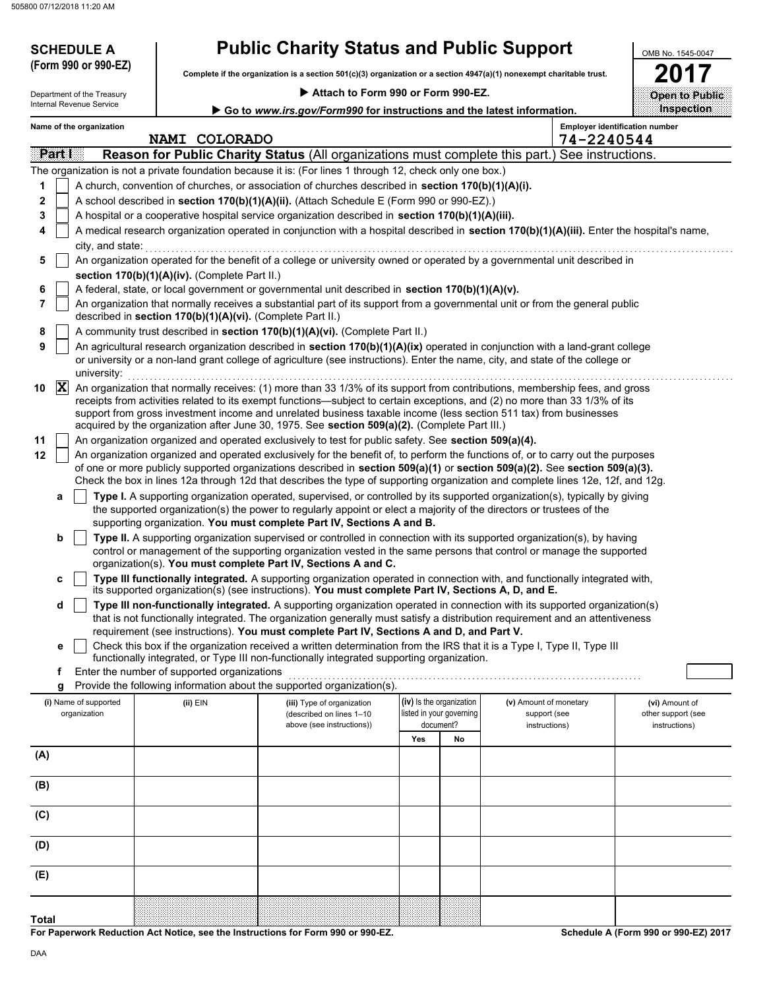**SCHEDULE A** 

|  |  | <b>Public Charity Status and Public Support</b> |
|--|--|-------------------------------------------------|
|--|--|-------------------------------------------------|

**Complete if the organization is a section 501(c)(3) organization or a section 4947(a)(1) nonexempt charitable trust. (Form 990 or 990-EZ)**

#### **Attach to Form 990 or Form 990-EZ.**

| OMB No. 1545-0047 |
|-------------------|
| 201               |
|                   |
|                   |

| ▶ Attach to Form 990 or Form 990-EZ.<br>Department of the Treasury |                                       |                                                            |                                                                                                                                                                                                                                                                                                                                                                                                    |     | <b>Open to Public</b>                                             |                                        |                                       |
|--------------------------------------------------------------------|---------------------------------------|------------------------------------------------------------|----------------------------------------------------------------------------------------------------------------------------------------------------------------------------------------------------------------------------------------------------------------------------------------------------------------------------------------------------------------------------------------------------|-----|-------------------------------------------------------------------|----------------------------------------|---------------------------------------|
|                                                                    | Internal Revenue Service              |                                                            | Go to www.irs.gov/Form990 for instructions and the latest information.                                                                                                                                                                                                                                                                                                                             |     |                                                                   |                                        | Inspection                            |
|                                                                    | Name of the organization              | NAMI COLORADO                                              |                                                                                                                                                                                                                                                                                                                                                                                                    |     |                                                                   | 74-2240544                             | <b>Employer identification number</b> |
| Part I                                                             |                                       |                                                            | <b>Reason for Public Charity Status</b> (All organizations must complete this part.) See instructions.                                                                                                                                                                                                                                                                                             |     |                                                                   |                                        |                                       |
|                                                                    |                                       |                                                            | The organization is not a private foundation because it is: (For lines 1 through 12, check only one box.)                                                                                                                                                                                                                                                                                          |     |                                                                   |                                        |                                       |
| 1                                                                  |                                       |                                                            | A church, convention of churches, or association of churches described in section 170(b)(1)(A)(i).                                                                                                                                                                                                                                                                                                 |     |                                                                   |                                        |                                       |
| $\mathbf 2$                                                        |                                       |                                                            | A school described in section 170(b)(1)(A)(ii). (Attach Schedule E (Form 990 or 990-EZ).)                                                                                                                                                                                                                                                                                                          |     |                                                                   |                                        |                                       |
| 3                                                                  |                                       |                                                            | A hospital or a cooperative hospital service organization described in section 170(b)(1)(A)(iii).                                                                                                                                                                                                                                                                                                  |     |                                                                   |                                        |                                       |
| 4                                                                  |                                       |                                                            | A medical research organization operated in conjunction with a hospital described in section 170(b)(1)(A)(iii). Enter the hospital's name,                                                                                                                                                                                                                                                         |     |                                                                   |                                        |                                       |
|                                                                    | city, and state:                      |                                                            |                                                                                                                                                                                                                                                                                                                                                                                                    |     |                                                                   |                                        |                                       |
| 5                                                                  |                                       |                                                            | An organization operated for the benefit of a college or university owned or operated by a governmental unit described in                                                                                                                                                                                                                                                                          |     |                                                                   |                                        |                                       |
|                                                                    |                                       | section 170(b)(1)(A)(iv). (Complete Part II.)              |                                                                                                                                                                                                                                                                                                                                                                                                    |     |                                                                   |                                        |                                       |
| 6<br>7                                                             |                                       |                                                            | A federal, state, or local government or governmental unit described in section 170(b)(1)(A)(v).<br>An organization that normally receives a substantial part of its support from a governmental unit or from the general public                                                                                                                                                                   |     |                                                                   |                                        |                                       |
|                                                                    |                                       | described in section 170(b)(1)(A)(vi). (Complete Part II.) | A community trust described in section 170(b)(1)(A)(vi). (Complete Part II.)                                                                                                                                                                                                                                                                                                                       |     |                                                                   |                                        |                                       |
| 8<br>9                                                             |                                       |                                                            | An agricultural research organization described in section 170(b)(1)(A)(ix) operated in conjunction with a land-grant college                                                                                                                                                                                                                                                                      |     |                                                                   |                                        |                                       |
|                                                                    | university:                           |                                                            | or university or a non-land grant college of agriculture (see instructions). Enter the name, city, and state of the college or                                                                                                                                                                                                                                                                     |     |                                                                   |                                        |                                       |
| 10                                                                 | X                                     |                                                            | An organization that normally receives: (1) more than 33 1/3% of its support from contributions, membership fees, and gross<br>receipts from activities related to its exempt functions—subject to certain exceptions, and (2) no more than 33 1/3% of its<br>support from gross investment income and unrelated business taxable income (less section 511 tax) from businesses                    |     |                                                                   |                                        |                                       |
|                                                                    |                                       |                                                            | acquired by the organization after June 30, 1975. See section 509(a)(2). (Complete Part III.)                                                                                                                                                                                                                                                                                                      |     |                                                                   |                                        |                                       |
| 11                                                                 |                                       |                                                            | An organization organized and operated exclusively to test for public safety. See section 509(a)(4).                                                                                                                                                                                                                                                                                               |     |                                                                   |                                        |                                       |
| 12                                                                 |                                       |                                                            | An organization organized and operated exclusively for the benefit of, to perform the functions of, or to carry out the purposes<br>of one or more publicly supported organizations described in section 509(a)(1) or section 509(a)(2). See section 509(a)(3).<br>Check the box in lines 12a through 12d that describes the type of supporting organization and complete lines 12e, 12f, and 12g. |     |                                                                   |                                        |                                       |
|                                                                    | а                                     |                                                            | Type I. A supporting organization operated, supervised, or controlled by its supported organization(s), typically by giving<br>the supported organization(s) the power to regularly appoint or elect a majority of the directors or trustees of the<br>supporting organization. You must complete Part IV, Sections A and B.                                                                       |     |                                                                   |                                        |                                       |
|                                                                    | b                                     |                                                            | Type II. A supporting organization supervised or controlled in connection with its supported organization(s), by having                                                                                                                                                                                                                                                                            |     |                                                                   |                                        |                                       |
|                                                                    |                                       |                                                            | control or management of the supporting organization vested in the same persons that control or manage the supported<br>organization(s). You must complete Part IV, Sections A and C.                                                                                                                                                                                                              |     |                                                                   |                                        |                                       |
|                                                                    | c                                     |                                                            | Type III functionally integrated. A supporting organization operated in connection with, and functionally integrated with,<br>its supported organization(s) (see instructions). You must complete Part IV, Sections A, D, and E.                                                                                                                                                                   |     |                                                                   |                                        |                                       |
|                                                                    | d                                     |                                                            | Type III non-functionally integrated. A supporting organization operated in connection with its supported organization(s)<br>that is not functionally integrated. The organization generally must satisfy a distribution requirement and an attentiveness                                                                                                                                          |     |                                                                   |                                        |                                       |
|                                                                    |                                       |                                                            | requirement (see instructions). You must complete Part IV, Sections A and D, and Part V.<br>Check this box if the organization received a written determination from the IRS that it is a Type I, Type II, Type III                                                                                                                                                                                |     |                                                                   |                                        |                                       |
|                                                                    |                                       |                                                            | functionally integrated, or Type III non-functionally integrated supporting organization.                                                                                                                                                                                                                                                                                                          |     |                                                                   |                                        |                                       |
|                                                                    | f                                     | Enter the number of supported organizations                |                                                                                                                                                                                                                                                                                                                                                                                                    |     |                                                                   |                                        |                                       |
|                                                                    | g                                     |                                                            | Provide the following information about the supported organization(s).                                                                                                                                                                                                                                                                                                                             |     |                                                                   |                                        |                                       |
|                                                                    | (i) Name of supported<br>organization | (ii) EIN                                                   | (iii) Type of organization<br>(described on lines 1-10                                                                                                                                                                                                                                                                                                                                             |     | (iv) Is the organization<br>listed in your governing<br>document? | (v) Amount of monetary<br>support (see | (vi) Amount of<br>other support (see  |
|                                                                    |                                       |                                                            | above (see instructions))                                                                                                                                                                                                                                                                                                                                                                          | Yes | No                                                                | instructions)                          | instructions)                         |
| (A)                                                                |                                       |                                                            |                                                                                                                                                                                                                                                                                                                                                                                                    |     |                                                                   |                                        |                                       |
|                                                                    |                                       |                                                            |                                                                                                                                                                                                                                                                                                                                                                                                    |     |                                                                   |                                        |                                       |
| (B)                                                                |                                       |                                                            |                                                                                                                                                                                                                                                                                                                                                                                                    |     |                                                                   |                                        |                                       |
| (C)                                                                |                                       |                                                            |                                                                                                                                                                                                                                                                                                                                                                                                    |     |                                                                   |                                        |                                       |
| (D)                                                                |                                       |                                                            |                                                                                                                                                                                                                                                                                                                                                                                                    |     |                                                                   |                                        |                                       |
| (E)                                                                |                                       |                                                            |                                                                                                                                                                                                                                                                                                                                                                                                    |     |                                                                   |                                        |                                       |
|                                                                    |                                       |                                                            |                                                                                                                                                                                                                                                                                                                                                                                                    |     |                                                                   |                                        |                                       |

**For Paperwork Reduction Act Notice, see the Instructions for Form 990 or 990-EZ.**

the contract of the contract of the contract of the contract of the contract of

**Schedule A (Form 990 or 990-EZ) 2017**

**Total**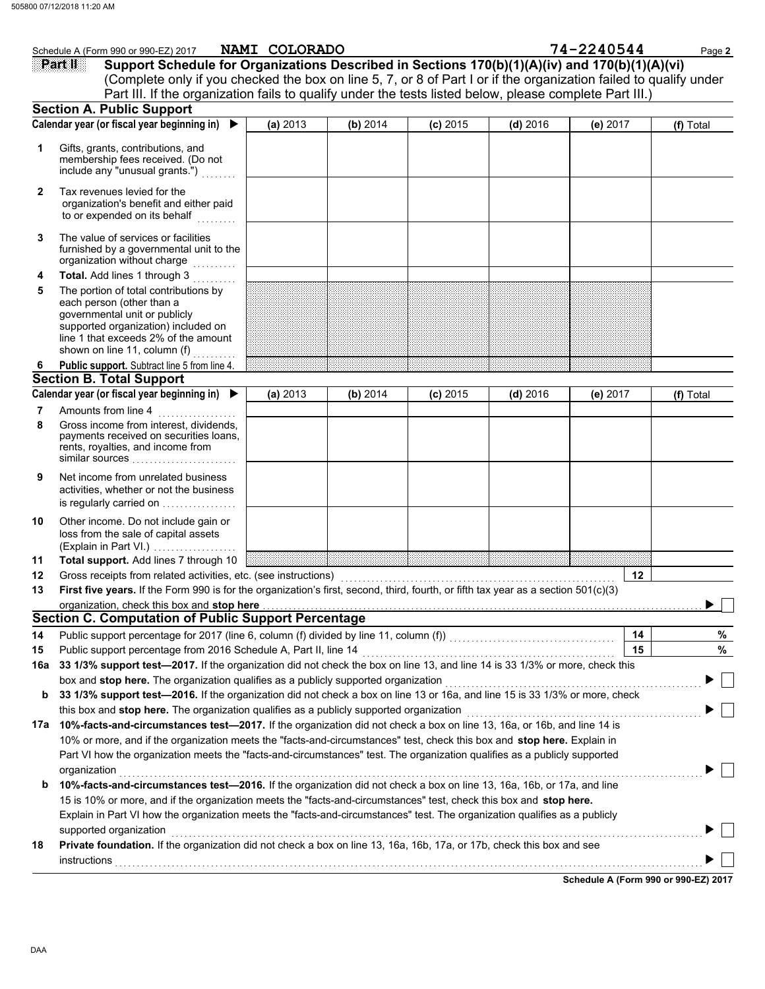|     | Schedule A (Form 990 or 990-EZ) 2017                                                                                                                                                                                                | NAMI COLORADO |          |            |            | 74-2240544 | Page 2    |
|-----|-------------------------------------------------------------------------------------------------------------------------------------------------------------------------------------------------------------------------------------|---------------|----------|------------|------------|------------|-----------|
|     | Support Schedule for Organizations Described in Sections 170(b)(1)(A)(iv) and 170(b)(1)(A)(vi)<br>Part II                                                                                                                           |               |          |            |            |            |           |
|     | (Complete only if you checked the box on line 5, 7, or 8 of Part I or if the organization failed to qualify under                                                                                                                   |               |          |            |            |            |           |
|     | Part III. If the organization fails to qualify under the tests listed below, please complete Part III.)                                                                                                                             |               |          |            |            |            |           |
|     | <b>Section A. Public Support</b>                                                                                                                                                                                                    |               |          |            |            |            |           |
|     | Calendar year (or fiscal year beginning in) $\blacktriangleright$                                                                                                                                                                   | (a) 2013      | (b) 2014 | $(c)$ 2015 | $(d)$ 2016 | (e) 2017   | (f) Total |
| 1   | Gifts, grants, contributions, and<br>membership fees received. (Do not<br>include any "unusual grants.")                                                                                                                            |               |          |            |            |            |           |
| 2   | Tax revenues levied for the<br>organization's benefit and either paid<br>to or expended on its behalf                                                                                                                               |               |          |            |            |            |           |
| 3   | The value of services or facilities<br>furnished by a governmental unit to the<br>organization without charge                                                                                                                       |               |          |            |            |            |           |
| 4   | Total. Add lines 1 through 3                                                                                                                                                                                                        |               |          |            |            |            |           |
| 5   | The portion of total contributions by<br>each person (other than a<br>governmental unit or publicly<br>supported organization) included on<br>line 1 that exceeds 2% of the amount<br>shown on line 11, column (f)                  |               |          |            |            |            |           |
| 6   | Public support. Subtract line 5 from line 4.                                                                                                                                                                                        |               |          |            |            |            |           |
|     | <b>Section B. Total Support</b>                                                                                                                                                                                                     |               |          |            |            |            |           |
|     | Calendar year (or fiscal year beginning in)                                                                                                                                                                                         | (a) 2013      | (b) 2014 | $(c)$ 2015 | $(d)$ 2016 | (e) 2017   | (f) Total |
| 7   | Amounts from line 4                                                                                                                                                                                                                 |               |          |            |            |            |           |
| 8   | Gross income from interest, dividends,<br>payments received on securities loans,<br>rents, royalties, and income from<br>similar sources                                                                                            |               |          |            |            |            |           |
| 9   | Net income from unrelated business<br>activities, whether or not the business<br>is regularly carried on                                                                                                                            |               |          |            |            |            |           |
| 10  | Other income. Do not include gain or<br>loss from the sale of capital assets<br>(Explain in Part VI.)                                                                                                                               |               |          |            |            |            |           |
| 11  | Total support. Add lines 7 through 10                                                                                                                                                                                               |               |          |            |            |            |           |
| 12  | Gross receipts from related activities, etc. (see instructions)                                                                                                                                                                     |               |          |            |            | 12         |           |
| 13  | First five years. If the Form 990 is for the organization's first, second, third, fourth, or fifth tax year as a section 501(c)(3)                                                                                                  |               |          |            |            |            |           |
|     | organization, check this box and stop here <b>construction and construction</b> construction of the state of this box and stop here construction and a stop here are a state of the state of the state of the state of the state of |               |          |            |            |            |           |
|     | <b>Section C. Computation of Public Support Percentage</b>                                                                                                                                                                          |               |          |            |            |            |           |
| 14  | Public support percentage for 2017 (line 6, column (f) divided by line 11, column (f)) [[[[[[[[[[[[[[[[[[[[[[                                                                                                                       |               |          |            |            | 14         | %         |
| 15  | Public support percentage from 2016 Schedule A, Part II, line 14                                                                                                                                                                    |               |          |            |            | 15         | $\%$      |
| 16a | 33 1/3% support test-2017. If the organization did not check the box on line 13, and line 14 is 33 1/3% or more, check this                                                                                                         |               |          |            |            |            |           |
|     | box and stop here. The organization qualifies as a publicly supported organization                                                                                                                                                  |               |          |            |            |            |           |
| b   | 33 1/3% support test-2016. If the organization did not check a box on line 13 or 16a, and line 15 is 33 1/3% or more, check                                                                                                         |               |          |            |            |            |           |
|     | this box and stop here. The organization qualifies as a publicly supported organization                                                                                                                                             |               |          |            |            |            |           |
|     | 17a 10%-facts-and-circumstances test-2017. If the organization did not check a box on line 13, 16a, or 16b, and line 14 is                                                                                                          |               |          |            |            |            |           |
|     | 10% or more, and if the organization meets the "facts-and-circumstances" test, check this box and stop here. Explain in                                                                                                             |               |          |            |            |            |           |
|     | Part VI how the organization meets the "facts-and-circumstances" test. The organization qualifies as a publicly supported                                                                                                           |               |          |            |            |            |           |
| b   | organization<br>10%-facts-and-circumstances test-2016. If the organization did not check a box on line 13, 16a, 16b, or 17a, and line                                                                                               |               |          |            |            |            |           |
|     | 15 is 10% or more, and if the organization meets the "facts-and-circumstances" test, check this box and stop here.                                                                                                                  |               |          |            |            |            |           |
|     | Explain in Part VI how the organization meets the "facts-and-circumstances" test. The organization qualifies as a publicly                                                                                                          |               |          |            |            |            |           |
|     | supported organization                                                                                                                                                                                                              |               |          |            |            |            |           |
| 18  | Private foundation. If the organization did not check a box on line 13, 16a, 16b, 17a, or 17b, check this box and see                                                                                                               |               |          |            |            |            |           |
|     | instructions                                                                                                                                                                                                                        |               |          |            |            |            |           |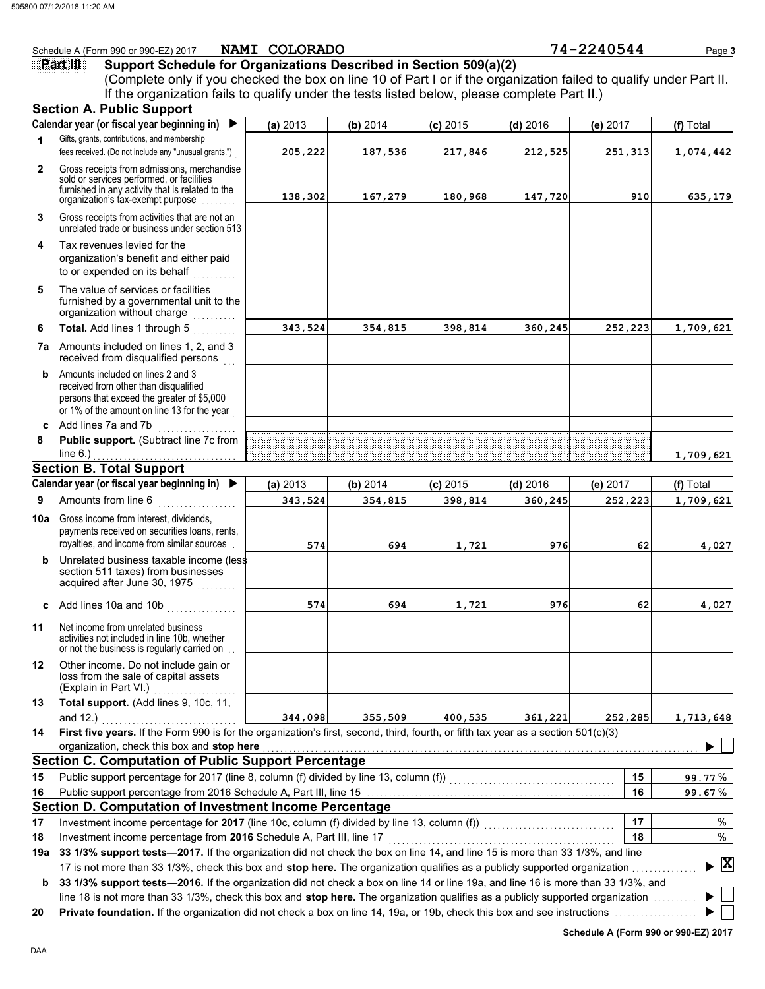|              | Schedule A (Form 990 or 990-EZ) 2017                                                                                                                                             | NAMI COLORADO |          |            |            | 74-2240544 | Page 3                                     |
|--------------|----------------------------------------------------------------------------------------------------------------------------------------------------------------------------------|---------------|----------|------------|------------|------------|--------------------------------------------|
|              | Support Schedule for Organizations Described in Section 509(a)(2)<br><b>Part III</b>                                                                                             |               |          |            |            |            |                                            |
|              | (Complete only if you checked the box on line 10 of Part I or if the organization failed to qualify under Part II.                                                               |               |          |            |            |            |                                            |
|              | If the organization fails to qualify under the tests listed below, please complete Part II.)                                                                                     |               |          |            |            |            |                                            |
|              | <b>Section A. Public Support</b>                                                                                                                                                 |               |          |            |            |            |                                            |
|              | Calendar year (or fiscal year beginning in) ▶                                                                                                                                    | (a) 2013      | (b) 2014 | $(c)$ 2015 | $(d)$ 2016 | (e) 2017   | (f) Total                                  |
| 1            | Gifts, grants, contributions, and membership<br>fees received. (Do not include any "unusual grants.")                                                                            | 205,222       | 187,536  | 217,846    | 212,525    | 251,313    | 1,074,442                                  |
|              |                                                                                                                                                                                  |               |          |            |            |            |                                            |
| $\mathbf{2}$ | Gross receipts from admissions, merchandise<br>sold or services performed, or facilities                                                                                         |               |          |            |            |            |                                            |
|              | furnished in any activity that is related to the                                                                                                                                 | 138,302       | 167,279  | 180,968    | 147,720    | 910        | 635,179                                    |
|              | organization's tax-exempt purpose                                                                                                                                                |               |          |            |            |            |                                            |
| 3            | Gross receipts from activities that are not an<br>unrelated trade or business under section 513                                                                                  |               |          |            |            |            |                                            |
| 4            | Tax revenues levied for the                                                                                                                                                      |               |          |            |            |            |                                            |
|              | organization's benefit and either paid<br>to or expended on its behalf                                                                                                           |               |          |            |            |            |                                            |
|              | a sa salalar                                                                                                                                                                     |               |          |            |            |            |                                            |
| 5            | The value of services or facilities<br>furnished by a governmental unit to the<br>organization without charge                                                                    |               |          |            |            |            |                                            |
| 6            | Total. Add lines 1 through 5                                                                                                                                                     | 343,524       | 354,815  | 398,814    | 360,245    | 252,223    | 1,709,621                                  |
| 7a           | Amounts included on lines 1, 2, and 3<br>received from disqualified persons                                                                                                      |               |          |            |            |            |                                            |
| b            | Amounts included on lines 2 and 3                                                                                                                                                |               |          |            |            |            |                                            |
|              | received from other than disqualified                                                                                                                                            |               |          |            |            |            |                                            |
|              | persons that exceed the greater of \$5,000<br>or 1% of the amount on line 13 for the year                                                                                        |               |          |            |            |            |                                            |
|              | c Add lines 7a and 7b                                                                                                                                                            |               |          |            |            |            |                                            |
| 8            | Public support. (Subtract line 7c from                                                                                                                                           |               |          |            |            |            |                                            |
|              | line $6.$ )                                                                                                                                                                      |               |          |            |            |            | 1,709,621                                  |
|              | <b>Section B. Total Support</b>                                                                                                                                                  |               |          |            |            |            |                                            |
|              | Calendar year (or fiscal year beginning in) $\blacktriangleright$                                                                                                                | (a) 2013      | (b) 2014 | $(c)$ 2015 | $(d)$ 2016 | (e) 2017   | (f) Total                                  |
| 9            | Amounts from line 6                                                                                                                                                              | 343,524       | 354,815  | 398,814    | 360,245    | 252,223    | 1,709,621                                  |
| 10a          | Gross income from interest, dividends,                                                                                                                                           |               |          |            |            |            |                                            |
|              | payments received on securities loans, rents,<br>royalties, and income from similar sources                                                                                      | 574           | 694      | 1,721      | 976        | 62         | 4,027                                      |
| b            | Unrelated business taxable income (less                                                                                                                                          |               |          |            |            |            |                                            |
|              | section 511 taxes) from businesses<br>acquired after June 30, 1975                                                                                                               |               |          |            |            |            |                                            |
|              | c Add lines 10a and 10b $\ldots$                                                                                                                                                 | 574           | 694      | 1,721      | 976        | 62         | 4,027                                      |
| 11           | Net income from unrelated business<br>activities not included in line 10b, whether<br>or not the business is regularly carried on                                                |               |          |            |            |            |                                            |
| 12           | Other income. Do not include gain or<br>loss from the sale of capital assets                                                                                                     |               |          |            |            |            |                                            |
|              | (Explain in Part VI.)                                                                                                                                                            |               |          |            |            |            |                                            |
| 13           | Total support. (Add lines 9, 10c, 11,                                                                                                                                            |               |          |            |            |            |                                            |
|              | and 12.)                                                                                                                                                                         | 344,098       | 355,509  | 400,535    | 361,221    | 252,285    | 1,713,648                                  |
| 14           | First five years. If the Form 990 is for the organization's first, second, third, fourth, or fifth tax year as a section 501(c)(3)<br>organization, check this box and stop here |               |          |            |            |            |                                            |
|              | <b>Section C. Computation of Public Support Percentage</b>                                                                                                                       |               |          |            |            |            |                                            |
| 15           | Public support percentage for 2017 (line 8, column (f) divided by line 13, column (f)) [[[[[[[[[[[[[[[[[[[[[[                                                                    |               |          |            |            | 15         | 99.77%                                     |
| 16           |                                                                                                                                                                                  |               |          |            |            | 16         | 99.67%                                     |
|              | Section D. Computation of Investment Income Percentage                                                                                                                           |               |          |            |            |            |                                            |
| 17           | Investment income percentage for 2017 (line 10c, column (f) divided by line 13, column (f)) [[[[[[[[[[[[[[[[[                                                                    |               |          |            |            | 17         | $\%$                                       |
| 18           | Investment income percentage from 2016 Schedule A, Part III, line 17                                                                                                             |               |          |            |            | 18         | %                                          |
| 19а          | 33 1/3% support tests-2017. If the organization did not check the box on line 14, and line 15 is more than 33 1/3%, and line                                                     |               |          |            |            |            |                                            |
|              | 17 is not more than 33 1/3%, check this box and stop here. The organization qualifies as a publicly supported organization                                                       |               |          |            |            |            | $\blacktriangleright$ $\boxed{\textbf{X}}$ |
| b            | 33 1/3% support tests-2016. If the organization did not check a box on line 14 or line 19a, and line 16 is more than 33 1/3%, and                                                |               |          |            |            |            |                                            |
|              | line 18 is not more than 33 1/3%, check this box and stop here. The organization qualifies as a publicly supported organization                                                  |               |          |            |            |            |                                            |
| 20           |                                                                                                                                                                                  |               |          |            |            |            |                                            |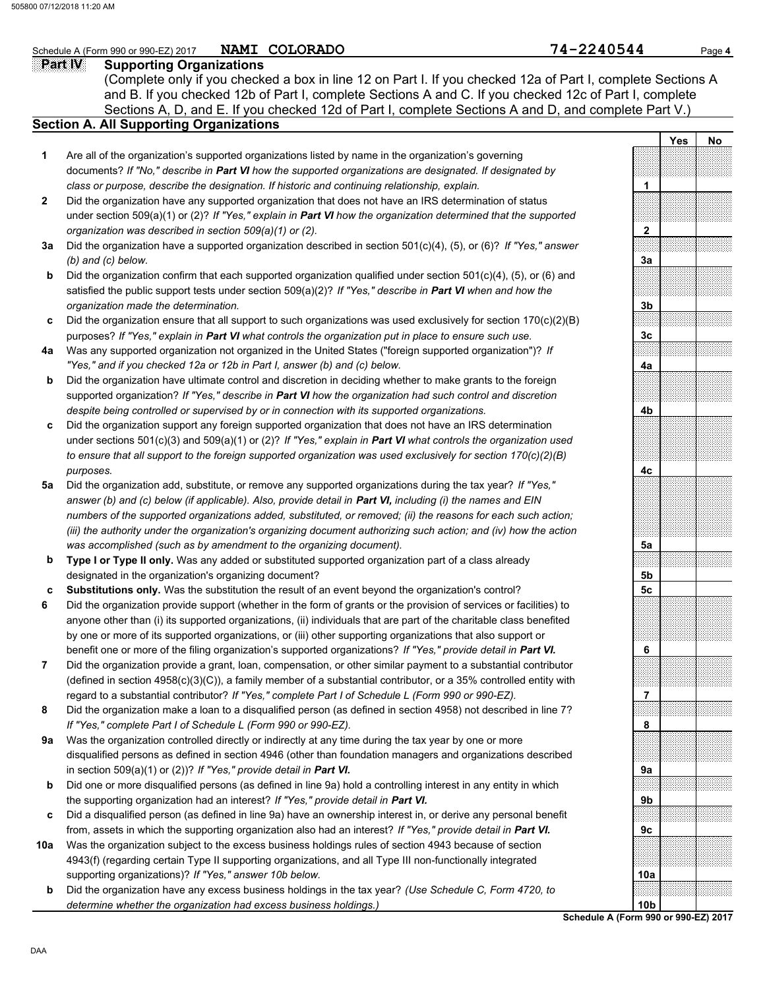**1**

**2**

**b**

**c**

**4a**

**b**

**c**

**b**

**c 6**

**7**

**8**

**9a**

**b**

**c**

**10a**

**b**

### **NAMI COLORADO**

**Yes No**

### **Part IV** Supporting Organizations Sections A, D, and E. If you checked 12d of Part I, complete Sections A and D, and complete Part V.) Schedule A (Form 990 or 990-EZ) 2017 **NAMI COLORADO COMBINEY 1998 Page 4 Page 4 Section A. All Supporting Organizations** (Complete only if you checked a box in line 12 on Part I. If you checked 12a of Part I, complete Sections A and B. If you checked 12b of Part I, complete Sections A and C. If you checked 12c of Part I, complete Are all of the organization's supported organizations listed by name in the organization's governing documents? *If "No," describe in Part VI how the supported organizations are designated. If designated by class or purpose, describe the designation. If historic and continuing relationship, explain.* Did the organization have any supported organization that does not have an IRS determination of status under section 509(a)(1) or (2)? *If "Yes," explain in Part VI how the organization determined that the supported organization was described in section 509(a)(1) or (2).* **3a** Did the organization have a supported organization described in section 501(c)(4), (5), or (6)? *If "Yes," answer* **5a** Did the organization add, substitute, or remove any supported organizations during the tax year? *If "Yes," (b) and (c) below.* Did the organization confirm that each supported organization qualified under section 501(c)(4), (5), or (6) and satisfied the public support tests under section 509(a)(2)? *If "Yes," describe in Part VI when and how the organization made the determination.* Did the organization ensure that all support to such organizations was used exclusively for section  $170(c)(2)(B)$ purposes? *If "Yes," explain in Part VI what controls the organization put in place to ensure such use.* Was any supported organization not organized in the United States ("foreign supported organization")? *If "Yes," and if you checked 12a or 12b in Part I, answer (b) and (c) below.* Did the organization have ultimate control and discretion in deciding whether to make grants to the foreign supported organization? *If "Yes," describe in Part VI how the organization had such control and discretion despite being controlled or supervised by or in connection with its supported organizations.* Did the organization support any foreign supported organization that does not have an IRS determination under sections 501(c)(3) and 509(a)(1) or (2)? *If "Yes," explain in Part VI what controls the organization used to ensure that all support to the foreign supported organization was used exclusively for section 170(c)(2)(B) purposes. answer (b) and (c) below (if applicable). Also, provide detail in Part VI, including (i) the names and EIN numbers of the supported organizations added, substituted, or removed; (ii) the reasons for each such action; (iii) the authority under the organization's organizing document authorizing such action; and (iv) how the action was accomplished (such as by amendment to the organizing document).* **Type I or Type II only.** Was any added or substituted supported organization part of a class already designated in the organization's organizing document? **Substitutions only.** Was the substitution the result of an event beyond the organization's control? Did the organization provide support (whether in the form of grants or the provision of services or facilities) to anyone other than (i) its supported organizations, (ii) individuals that are part of the charitable class benefited by one or more of its supported organizations, or (iii) other supporting organizations that also support or benefit one or more of the filing organization's supported organizations? *If "Yes," provide detail in Part VI.* Did the organization provide a grant, loan, compensation, or other similar payment to a substantial contributor (defined in section 4958(c)(3)(C)), a family member of a substantial contributor, or a 35% controlled entity with regard to a substantial contributor? *If "Yes," complete Part I of Schedule L (Form 990 or 990-EZ).* Did the organization make a loan to a disqualified person (as defined in section 4958) not described in line 7? *If "Yes," complete Part I of Schedule L (Form 990 or 990-EZ).* Was the organization controlled directly or indirectly at any time during the tax year by one or more disqualified persons as defined in section 4946 (other than foundation managers and organizations described in section 509(a)(1) or (2))? *If "Yes," provide detail in Part VI.* Did one or more disqualified persons (as defined in line 9a) hold a controlling interest in any entity in which the supporting organization had an interest? *If "Yes," provide detail in Part VI.* Did a disqualified person (as defined in line 9a) have an ownership interest in, or derive any personal benefit from, assets in which the supporting organization also had an interest? *If "Yes," provide detail in Part VI.* Was the organization subject to the excess business holdings rules of section 4943 because of section 4943(f) (regarding certain Type II supporting organizations, and all Type III non-functionally integrated supporting organizations)? *If "Yes," answer 10b below.* Did the organization have any excess business holdings in the tax year? *(Use Schedule C, Form 4720, to determine whether the organization had excess business holdings.)*

**1 2 3a 3b 3c 4a 4b 4c 5a 5b 5c 6 7 8 9a 9b 9c 10a 10b**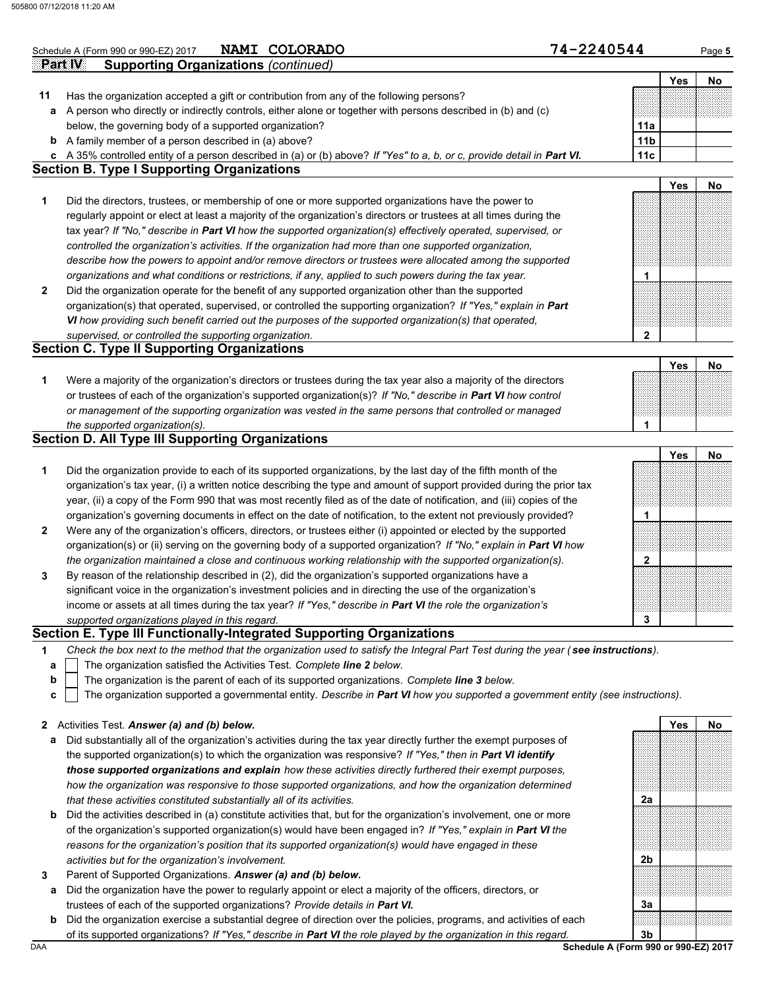|              | NAMI COLORADO<br>Schedule A (Form 990 or 990-EZ) 2017                                                                  | 74-2240544      |            | Page 5 |
|--------------|------------------------------------------------------------------------------------------------------------------------|-----------------|------------|--------|
|              | <b>Supporting Organizations (continued)</b><br>Part IV                                                                 |                 |            |        |
|              |                                                                                                                        |                 | Yes        | No     |
| 11           | Has the organization accepted a gift or contribution from any of the following persons?                                |                 |            |        |
|              | a A person who directly or indirectly controls, either alone or together with persons described in (b) and (c)         |                 |            |        |
|              | below, the governing body of a supported organization?                                                                 | 11a             |            |        |
|              | <b>b</b> A family member of a person described in (a) above?                                                           | 11 <sub>b</sub> |            |        |
| C            | A 35% controlled entity of a person described in (a) or (b) above? If "Yes" to a, b, or c, provide detail in Part VI.  | 11c             |            |        |
|              | <b>Section B. Type I Supporting Organizations</b>                                                                      |                 |            |        |
|              |                                                                                                                        |                 | Yes        | No     |
| 1            | Did the directors, trustees, or membership of one or more supported organizations have the power to                    |                 |            |        |
|              | regularly appoint or elect at least a majority of the organization's directors or trustees at all times during the     |                 |            |        |
|              | tax year? If "No," describe in Part VI how the supported organization(s) effectively operated, supervised, or          |                 |            |        |
|              | controlled the organization's activities. If the organization had more than one supported organization,                |                 |            |        |
|              | describe how the powers to appoint and/or remove directors or trustees were allocated among the supported              |                 |            |        |
|              | organizations and what conditions or restrictions, if any, applied to such powers during the tax year.                 | 1               |            |        |
| $\mathbf{2}$ | Did the organization operate for the benefit of any supported organization other than the supported                    |                 |            |        |
|              | organization(s) that operated, supervised, or controlled the supporting organization? If "Yes," explain in Part        |                 |            |        |
|              | VI how providing such benefit carried out the purposes of the supported organization(s) that operated,                 |                 |            |        |
|              |                                                                                                                        | $\overline{2}$  |            |        |
|              | supervised, or controlled the supporting organization.<br><b>Section C. Type II Supporting Organizations</b>           |                 |            |        |
|              |                                                                                                                        |                 | Yes        | No     |
|              |                                                                                                                        |                 |            |        |
| 1            | Were a majority of the organization's directors or trustees during the tax year also a majority of the directors       |                 |            |        |
|              | or trustees of each of the organization's supported organization(s)? If "No," describe in Part VI how control          |                 |            |        |
|              | or management of the supporting organization was vested in the same persons that controlled or managed                 |                 |            |        |
|              | the supported organization(s).                                                                                         | 1               |            |        |
|              | <b>Section D. All Type III Supporting Organizations</b>                                                                |                 |            |        |
|              |                                                                                                                        |                 | <b>Yes</b> | No     |
| 1            | Did the organization provide to each of its supported organizations, by the last day of the fifth month of the         |                 |            |        |
|              | organization's tax year, (i) a written notice describing the type and amount of support provided during the prior tax  |                 |            |        |
|              | year, (ii) a copy of the Form 990 that was most recently filed as of the date of notification, and (iii) copies of the |                 |            |        |
|              | organization's governing documents in effect on the date of notification, to the extent not previously provided?       | 1               |            |        |
| $\mathbf{2}$ | Were any of the organization's officers, directors, or trustees either (i) appointed or elected by the supported       |                 |            |        |
|              | organization(s) or (ii) serving on the governing body of a supported organization? If "No," explain in Part VI how     |                 |            |        |
|              | the organization maintained a close and continuous working relationship with the supported organization(s).            | $\mathbf{2}$    |            |        |
| 3            | By reason of the relationship described in (2), did the organization's supported organizations have a                  |                 |            |        |
|              | significant voice in the organization's investment policies and in directing the use of the organization's             |                 |            |        |
|              | income or assets at all times during the tax year? If "Yes," describe in Part VI the role the organization's           |                 |            |        |
|              | supported organizations played in this regard.                                                                         | 3               |            |        |
|              | Section E. Type III Functionally-Integrated Supporting Organizations                                                   |                 |            |        |

#### **1** *Check the box next to the method that the organization used to satisfy the Integral Part Test during the year ( see instructions).*

- The organization satisfied the Activities Test. *Complete line 2 below.* **a**
- The organization is the parent of each of its supported organizations. *Complete line 3 below.* **b**
- The organization supported a governmental entity. *Describe in Part VI how you supported a government entity (see instructions).* **c**

#### **2** Activities Test. *Answer (a) and (b) below.*

- **a** Did substantially all of the organization's activities during the tax year directly further the exempt purposes of the supported organization(s) to which the organization was responsive? *If "Yes," then in Part VI identify those supported organizations and explain how these activities directly furthered their exempt purposes, how the organization was responsive to those supported organizations, and how the organization determined that these activities constituted substantially all of its activities.*
- **b** Did the activities described in (a) constitute activities that, but for the organization's involvement, one or more of the organization's supported organization(s) would have been engaged in? *If "Yes," explain in Part VI the reasons for the organization's position that its supported organization(s) would have engaged in these activities but for the organization's involvement.*
- **3** Parent of Supported Organizations. *Answer (a) and (b) below.*
- **a** Did the organization have the power to regularly appoint or elect a majority of the officers, directors, or trustees of each of the supported organizations? *Provide details in Part VI.*
- DAA **Schedule A (Form 990 or 990-EZ) 2017 b** Did the organization exercise a substantial degree of direction over the policies, programs, and activities of each of its supported organizations? *If "Yes," describe in Part VI the role played by the organization in this regard.*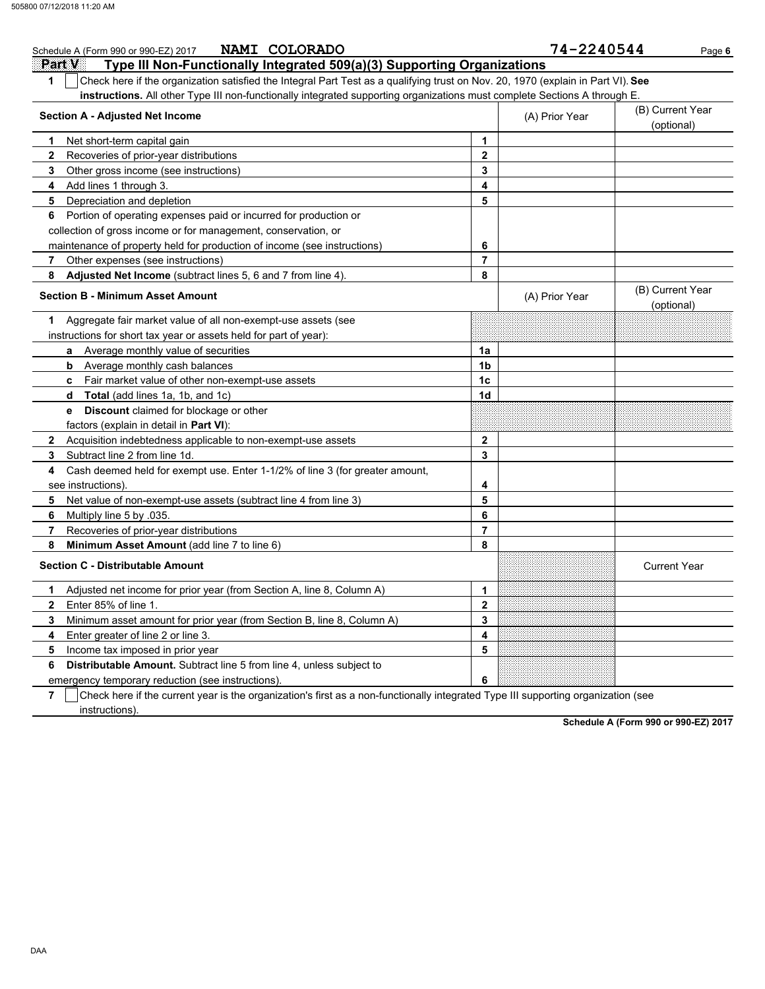| NAMI COLORADO<br>Schedule A (Form 990 or 990-EZ) 2017                                                                                 |                | 74-2240544     | Page 6                         |
|---------------------------------------------------------------------------------------------------------------------------------------|----------------|----------------|--------------------------------|
| <b>ERETAYA</b><br>Type III Non-Functionally Integrated 509(a)(3) Supporting Organizations                                             |                |                |                                |
| Check here if the organization satisfied the Integral Part Test as a qualifying trust on Nov. 20, 1970 (explain in Part VI). See<br>1 |                |                |                                |
| instructions. All other Type III non-functionally integrated supporting organizations must complete Sections A through E.             |                |                |                                |
| <b>Section A - Adjusted Net Income</b>                                                                                                |                | (A) Prior Year | (B) Current Year               |
|                                                                                                                                       |                |                | (optional)                     |
| Net short-term capital gain<br>1                                                                                                      | $\mathbf{1}$   |                |                                |
| $\overline{2}$<br>Recoveries of prior-year distributions                                                                              | $\overline{2}$ |                |                                |
| 3<br>Other gross income (see instructions)                                                                                            | 3              |                |                                |
| Add lines 1 through 3.<br>4                                                                                                           | 4              |                |                                |
| Depreciation and depletion<br>5                                                                                                       | 5              |                |                                |
| Portion of operating expenses paid or incurred for production or<br>6                                                                 |                |                |                                |
| collection of gross income or for management, conservation, or                                                                        |                |                |                                |
| maintenance of property held for production of income (see instructions)                                                              | 6              |                |                                |
| 7<br>Other expenses (see instructions)                                                                                                | $\overline{7}$ |                |                                |
| Adjusted Net Income (subtract lines 5, 6 and 7 from line 4).<br>8                                                                     | 8              |                |                                |
| <b>Section B - Minimum Asset Amount</b>                                                                                               |                | (A) Prior Year | (B) Current Year<br>(optional) |
| Aggregate fair market value of all non-exempt-use assets (see<br>1                                                                    |                |                |                                |
| instructions for short tax year or assets held for part of year):                                                                     |                |                |                                |
| <b>a</b> Average monthly value of securities                                                                                          | 1a             |                |                                |
| Average monthly cash balances<br>b                                                                                                    | 1 <sub>b</sub> |                |                                |
| Fair market value of other non-exempt-use assets<br>$\mathbf{c}$                                                                      | 1 <sub>c</sub> |                |                                |
| <b>Total</b> (add lines 1a, 1b, and 1c)<br>d                                                                                          | 1d             |                |                                |
| e Discount claimed for blockage or other                                                                                              |                |                |                                |
| factors (explain in detail in Part VI):                                                                                               |                |                |                                |
| Acquisition indebtedness applicable to non-exempt-use assets<br>$\mathbf{2}$                                                          | $\mathbf{2}$   |                |                                |
| Subtract line 2 from line 1d.<br>3                                                                                                    | 3              |                |                                |
| Cash deemed held for exempt use. Enter 1-1/2% of line 3 (for greater amount,<br>4                                                     |                |                |                                |
| see instructions).                                                                                                                    | 4              |                |                                |
| 5<br>Net value of non-exempt-use assets (subtract line 4 from line 3)                                                                 | 5              |                |                                |
| 6<br>Multiply line 5 by 035.                                                                                                          | 6              |                |                                |
| $\overline{7}$<br>Recoveries of prior-year distributions                                                                              | $\overline{7}$ |                |                                |
| 8<br>Minimum Asset Amount (add line 7 to line 6)                                                                                      | 8              |                |                                |
| <b>Section C - Distributable Amount</b>                                                                                               |                |                | <b>Current Year</b>            |
| Adjusted net income for prior year (from Section A, line 8, Column A)<br>1                                                            | 1              |                |                                |
| $\mathbf{2}$<br>Enter 85% of line 1.                                                                                                  | $\mathbf 2$    |                |                                |
| 3<br>Minimum asset amount for prior year (from Section B, line 8, Column A)                                                           | 3              |                |                                |
| Enter greater of line 2 or line 3.<br>4                                                                                               | 4              |                |                                |
| Income tax imposed in prior year<br>5                                                                                                 | 5              |                |                                |
| <b>Distributable Amount.</b> Subtract line 5 from line 4, unless subject to<br>6                                                      |                |                |                                |
| emergency temporary reduction (see instructions).                                                                                     | 6              |                |                                |

**7** Check here if the current year is the organization's first as a non-functionally integrated Type III supporting organization (see instructions).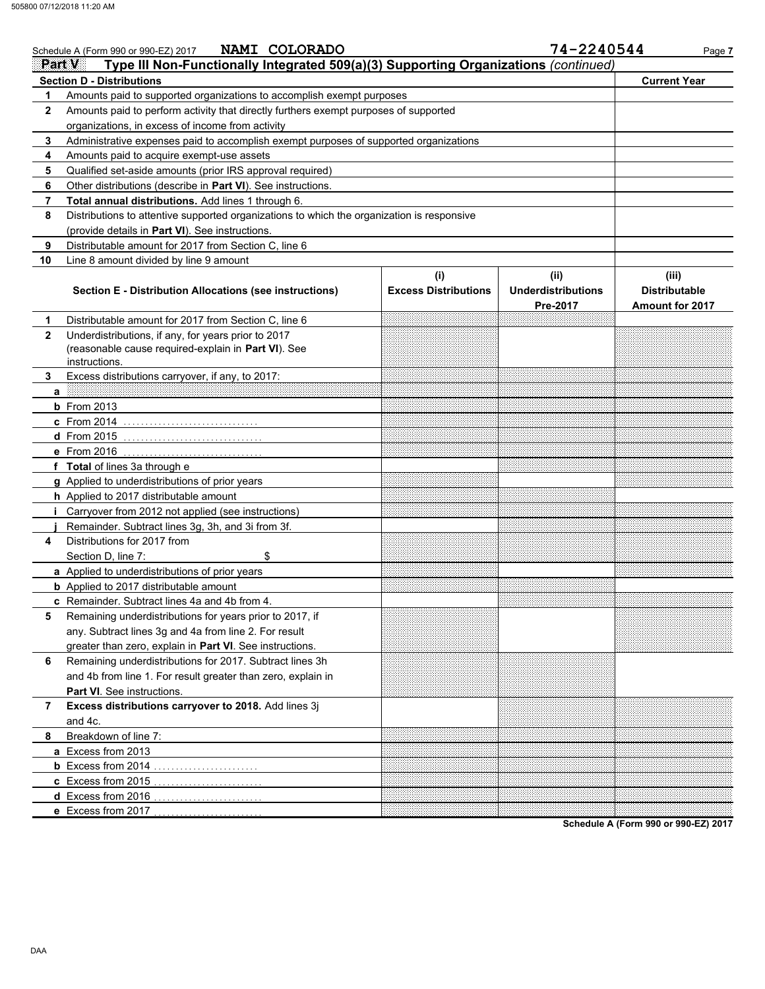505800 07/12/2018 11:20 AM

|              | NAMI COLORADO<br>Schedule A (Form 990 or 990-EZ) 2017                                                                             |                                    | 74-2240544                             | Page 7                                           |
|--------------|-----------------------------------------------------------------------------------------------------------------------------------|------------------------------------|----------------------------------------|--------------------------------------------------|
|              | Type III Non-Functionally Integrated 509(a)(3) Supporting Organizations (continued)<br>Part V<br><b>Section D - Distributions</b> |                                    |                                        | <b>Current Year</b>                              |
| 1            | Amounts paid to supported organizations to accomplish exempt purposes                                                             |                                    |                                        |                                                  |
| $\mathbf{2}$ | Amounts paid to perform activity that directly furthers exempt purposes of supported                                              |                                    |                                        |                                                  |
|              | organizations, in excess of income from activity                                                                                  |                                    |                                        |                                                  |
| 3            | Administrative expenses paid to accomplish exempt purposes of supported organizations                                             |                                    |                                        |                                                  |
| 4            | Amounts paid to acquire exempt-use assets                                                                                         |                                    |                                        |                                                  |
| 5            | Qualified set-aside amounts (prior IRS approval required)                                                                         |                                    |                                        |                                                  |
| 6            | Other distributions (describe in Part VI). See instructions.                                                                      |                                    |                                        |                                                  |
| 7            | Total annual distributions. Add lines 1 through 6.                                                                                |                                    |                                        |                                                  |
| 8            | Distributions to attentive supported organizations to which the organization is responsive                                        |                                    |                                        |                                                  |
|              | (provide details in Part VI). See instructions.                                                                                   |                                    |                                        |                                                  |
| 9            | Distributable amount for 2017 from Section C. line 6                                                                              |                                    |                                        |                                                  |
|              |                                                                                                                                   |                                    |                                        |                                                  |
| 10           | Line 8 amount divided by line 9 amount                                                                                            |                                    |                                        |                                                  |
|              | Section E - Distribution Allocations (see instructions)                                                                           | (i)<br><b>Excess Distributions</b> | (ii)<br>Underdistributions<br>Pre-2017 | (iii)<br><b>Distributable</b><br>Amount for 2017 |
| 1            | Distributable amount for 2017 from Section C. line 6                                                                              |                                    |                                        |                                                  |
| $\mathbf{2}$ | Underdistributions, if any, for years prior to 2017                                                                               |                                    |                                        |                                                  |
|              | (reasonable cause required-explain in Part VI). See                                                                               |                                    |                                        |                                                  |
|              | instructions.                                                                                                                     |                                    |                                        |                                                  |
| 3            | Excess distributions carryover, if any, to 2017:                                                                                  |                                    |                                        |                                                  |
|              | $a \sim a$                                                                                                                        |                                    |                                        |                                                  |
|              | $b$ From 2013                                                                                                                     |                                    |                                        |                                                  |
|              | c From 2014                                                                                                                       |                                    |                                        |                                                  |
|              | <b>d</b> From 2015                                                                                                                |                                    |                                        |                                                  |
|              | e From 2016                                                                                                                       |                                    |                                        |                                                  |
|              | f Total of lines 3a through e                                                                                                     |                                    |                                        |                                                  |
|              | g Applied to underdistributions of prior years                                                                                    |                                    |                                        |                                                  |
|              | h Applied to 2017 distributable amount                                                                                            |                                    |                                        |                                                  |
|              | i Carryover from 2012 not applied (see instructions)                                                                              |                                    |                                        |                                                  |
|              | Remainder. Subtract lines 3g, 3h, and 3i from 3f.                                                                                 |                                    |                                        |                                                  |
| 4            | Distributions for 2017 from                                                                                                       |                                    |                                        |                                                  |
|              | \$<br>Section D. line 7:                                                                                                          |                                    |                                        |                                                  |
|              | a Applied to underdistributions of prior years                                                                                    |                                    |                                        |                                                  |
|              | <b>b</b> Applied to 2017 distributable amount                                                                                     |                                    |                                        |                                                  |
|              | c Remainder. Subtract lines 4a and 4b from 4.                                                                                     |                                    |                                        |                                                  |
| 5            | Remaining underdistributions for years prior to 2017, if                                                                          |                                    |                                        |                                                  |
|              | any. Subtract lines 3g and 4a from line 2. For result                                                                             |                                    |                                        |                                                  |
|              | greater than zero, explain in Part VI. See instructions.                                                                          |                                    |                                        |                                                  |
| 6            | Remaining underdistributions for 2017. Subtract lines 3h                                                                          |                                    |                                        |                                                  |
|              | and 4b from line 1. For result greater than zero, explain in                                                                      |                                    |                                        |                                                  |
|              | Part VI. See instructions.                                                                                                        |                                    |                                        |                                                  |
| 7            | Excess distributions carryover to 2018. Add lines 3j                                                                              |                                    |                                        |                                                  |
|              | and 4c.                                                                                                                           |                                    |                                        |                                                  |
| 8            | Breakdown of line 7:                                                                                                              |                                    |                                        |                                                  |
|              | a Excess from 2013                                                                                                                |                                    |                                        |                                                  |
|              |                                                                                                                                   |                                    |                                        |                                                  |
|              | c Excess from 2015                                                                                                                |                                    |                                        |                                                  |
|              | d Excess from 2016                                                                                                                |                                    |                                        |                                                  |
|              | e Excess from 2017                                                                                                                |                                    |                                        |                                                  |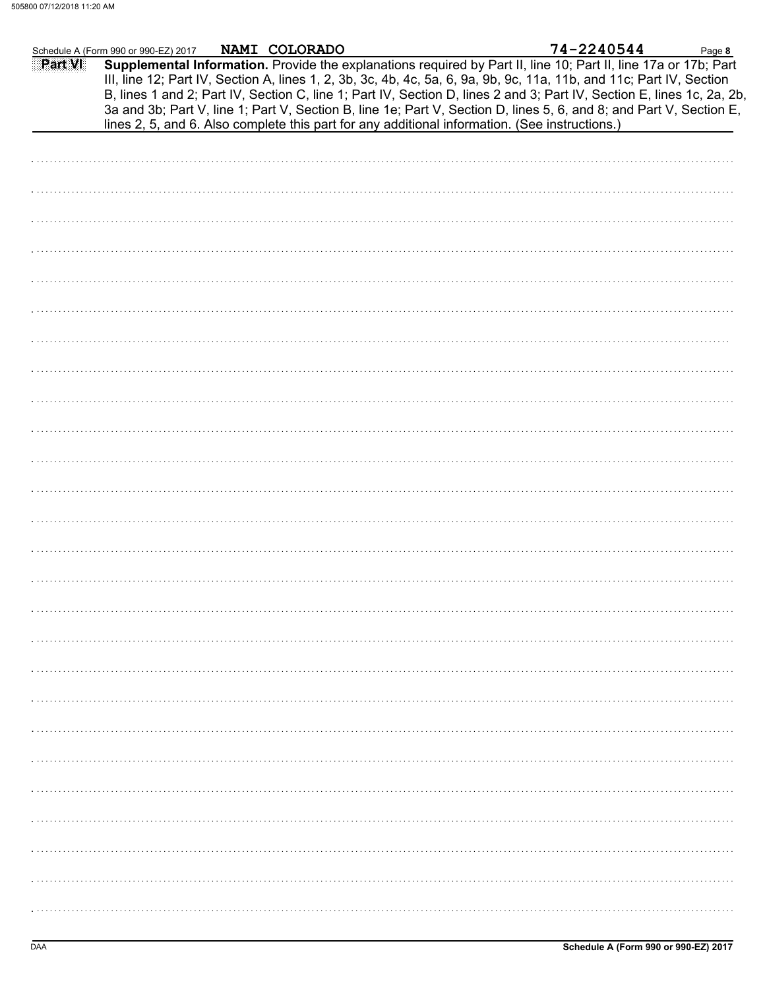|                | Schedule A (Form 990 or 990-EZ) 2017 | NAMI COLORADO |                                                                                                | 74-2240544                                                                                                                                                                                                                                                                                                                                                                                                                                                                               | Page 8 |
|----------------|--------------------------------------|---------------|------------------------------------------------------------------------------------------------|------------------------------------------------------------------------------------------------------------------------------------------------------------------------------------------------------------------------------------------------------------------------------------------------------------------------------------------------------------------------------------------------------------------------------------------------------------------------------------------|--------|
| <b>Part VI</b> |                                      |               | lines 2, 5, and 6. Also complete this part for any additional information. (See instructions.) | Supplemental Information. Provide the explanations required by Part II, line 10; Part II, line 17a or 17b; Part<br>III, line 12; Part IV, Section A, lines 1, 2, 3b, 3c, 4b, 4c, 5a, 6, 9a, 9b, 9c, 11a, 11b, and 11c; Part IV, Section<br>B, lines 1 and 2; Part IV, Section C, line 1; Part IV, Section D, lines 2 and 3; Part IV, Section E, lines 1c, 2a, 2b,<br>3a and 3b; Part V, line 1; Part V, Section B, line 1e; Part V, Section D, lines 5, 6, and 8; and Part V, Section E, |        |
|                |                                      |               |                                                                                                |                                                                                                                                                                                                                                                                                                                                                                                                                                                                                          |        |
|                |                                      |               |                                                                                                |                                                                                                                                                                                                                                                                                                                                                                                                                                                                                          |        |
|                |                                      |               |                                                                                                |                                                                                                                                                                                                                                                                                                                                                                                                                                                                                          |        |
|                |                                      |               |                                                                                                |                                                                                                                                                                                                                                                                                                                                                                                                                                                                                          |        |
|                |                                      |               |                                                                                                |                                                                                                                                                                                                                                                                                                                                                                                                                                                                                          |        |
|                |                                      |               |                                                                                                |                                                                                                                                                                                                                                                                                                                                                                                                                                                                                          |        |
|                |                                      |               |                                                                                                |                                                                                                                                                                                                                                                                                                                                                                                                                                                                                          |        |
|                |                                      |               |                                                                                                |                                                                                                                                                                                                                                                                                                                                                                                                                                                                                          |        |
|                |                                      |               |                                                                                                |                                                                                                                                                                                                                                                                                                                                                                                                                                                                                          |        |
|                |                                      |               |                                                                                                |                                                                                                                                                                                                                                                                                                                                                                                                                                                                                          |        |
|                |                                      |               |                                                                                                |                                                                                                                                                                                                                                                                                                                                                                                                                                                                                          |        |
|                |                                      |               |                                                                                                |                                                                                                                                                                                                                                                                                                                                                                                                                                                                                          |        |
|                |                                      |               |                                                                                                |                                                                                                                                                                                                                                                                                                                                                                                                                                                                                          |        |
|                |                                      |               |                                                                                                |                                                                                                                                                                                                                                                                                                                                                                                                                                                                                          |        |
|                |                                      |               |                                                                                                |                                                                                                                                                                                                                                                                                                                                                                                                                                                                                          |        |
|                |                                      |               |                                                                                                |                                                                                                                                                                                                                                                                                                                                                                                                                                                                                          |        |
|                |                                      |               |                                                                                                |                                                                                                                                                                                                                                                                                                                                                                                                                                                                                          |        |
|                |                                      |               |                                                                                                |                                                                                                                                                                                                                                                                                                                                                                                                                                                                                          |        |
|                |                                      |               |                                                                                                |                                                                                                                                                                                                                                                                                                                                                                                                                                                                                          |        |
|                |                                      |               |                                                                                                |                                                                                                                                                                                                                                                                                                                                                                                                                                                                                          |        |
|                |                                      |               |                                                                                                |                                                                                                                                                                                                                                                                                                                                                                                                                                                                                          |        |
|                |                                      |               |                                                                                                |                                                                                                                                                                                                                                                                                                                                                                                                                                                                                          |        |
|                |                                      |               |                                                                                                |                                                                                                                                                                                                                                                                                                                                                                                                                                                                                          |        |
|                |                                      |               |                                                                                                |                                                                                                                                                                                                                                                                                                                                                                                                                                                                                          |        |
|                |                                      |               |                                                                                                |                                                                                                                                                                                                                                                                                                                                                                                                                                                                                          |        |
|                |                                      |               |                                                                                                |                                                                                                                                                                                                                                                                                                                                                                                                                                                                                          |        |
|                |                                      |               |                                                                                                |                                                                                                                                                                                                                                                                                                                                                                                                                                                                                          |        |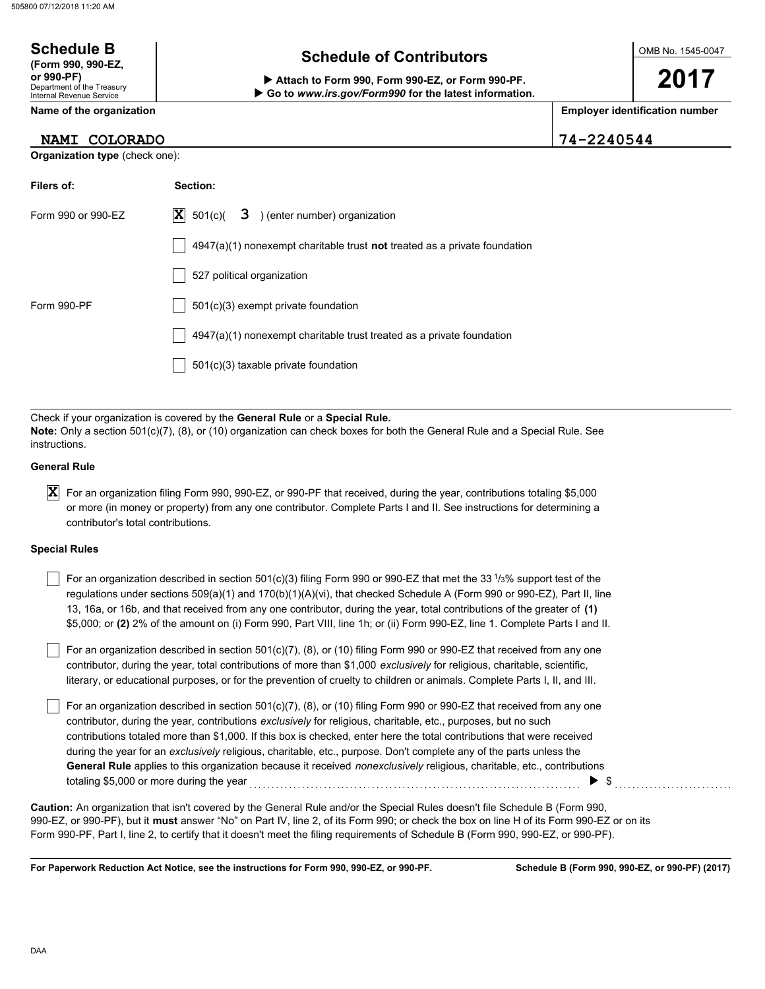| <b>Schedule B</b><br>(Form 990, 990-EZ,<br>or 990-PF)<br>Department of the Treasury<br><b>Internal Revenue Service</b> | <b>Schedule of Contributors</b><br>Attach to Form 990, Form 990-EZ, or Form 990-PF.<br>Go to www.irs.gov/Form990 for the latest information. |            | OMB No. 1545-0047<br>2017             |
|------------------------------------------------------------------------------------------------------------------------|----------------------------------------------------------------------------------------------------------------------------------------------|------------|---------------------------------------|
| Name of the organization                                                                                               |                                                                                                                                              |            | <b>Employer identification number</b> |
| <b>COLORADO</b><br><b>NAMI</b>                                                                                         |                                                                                                                                              | 74-2240544 |                                       |
| <b>Organization type (check one):</b>                                                                                  |                                                                                                                                              |            |                                       |
| Filers of:                                                                                                             | Section:                                                                                                                                     |            |                                       |
| Form 990 or 990-EZ                                                                                                     | X.<br>3 ) (enter number) organization<br>501(c)                                                                                              |            |                                       |
|                                                                                                                        | $4947(a)(1)$ nonexempt charitable trust <b>not</b> treated as a private foundation                                                           |            |                                       |
|                                                                                                                        | 527 political organization                                                                                                                   |            |                                       |
| Form 990-PF                                                                                                            | $501(c)(3)$ exempt private foundation                                                                                                        |            |                                       |
|                                                                                                                        | 4947(a)(1) nonexempt charitable trust treated as a private foundation                                                                        |            |                                       |
|                                                                                                                        | $501(c)(3)$ taxable private foundation                                                                                                       |            |                                       |

Check if your organization is covered by the **General Rule** or a **Special Rule. Note:** Only a section 501(c)(7), (8), or (10) organization can check boxes for both the General Rule and a Special Rule. See instructions.

#### **General Rule**

For an organization filing Form 990, 990-EZ, or 990-PF that received, during the year, contributions totaling \$5,000 **X** or more (in money or property) from any one contributor. Complete Parts I and II. See instructions for determining a contributor's total contributions.

#### **Special Rules**

| For an organization described in section 501(c)(3) filing Form 990 or 990-EZ that met the 33 $1/3\%$ support test of the    |
|-----------------------------------------------------------------------------------------------------------------------------|
| regulations under sections $509(a)(1)$ and $170(b)(1)(A)(vi)$ , that checked Schedule A (Form 990 or 990-EZ), Part II, line |
| 13, 16a, or 16b, and that received from any one contributor, during the year, total contributions of the greater of (1)     |
| \$5,000; or (2) 2% of the amount on (i) Form 990, Part VIII, line 1h; or (ii) Form 990-EZ, line 1. Complete Parts I and II. |

literary, or educational purposes, or for the prevention of cruelty to children or animals. Complete Parts I, II, and III. For an organization described in section 501(c)(7), (8), or (10) filing Form 990 or 990-EZ that received from any one contributor, during the year, total contributions of more than \$1,000 *exclusively* for religious, charitable, scientific,

For an organization described in section 501(c)(7), (8), or (10) filing Form 990 or 990-EZ that received from any one contributor, during the year, contributions *exclusively* for religious, charitable, etc., purposes, but no such contributions totaled more than \$1,000. If this box is checked, enter here the total contributions that were received during the year for an *exclusively* religious, charitable, etc., purpose. Don't complete any of the parts unless the **General Rule** applies to this organization because it received *nonexclusively* religious, charitable, etc., contributions totaling \$5,000 or more during the year . . . . . . . . . . . . . . . . . . . . . . . . . . . . . . . . . . . . . . . . . . . . . . . . . . . . . . . . . . . . . . . . . . . . . . . . . . . . \$ . . . . . . . . . . . . . . . . . . . . . . . . . . .

990-EZ, or 990-PF), but it **must** answer "No" on Part IV, line 2, of its Form 990; or check the box on line H of its Form 990-EZ or on its Form 990-PF, Part I, line 2, to certify that it doesn't meet the filing requirements of Schedule B (Form 990, 990-EZ, or 990-PF). **Caution:** An organization that isn't covered by the General Rule and/or the Special Rules doesn't file Schedule B (Form 990,

**For Paperwork Reduction Act Notice, see the instructions for Form 990, 990-EZ, or 990-PF.**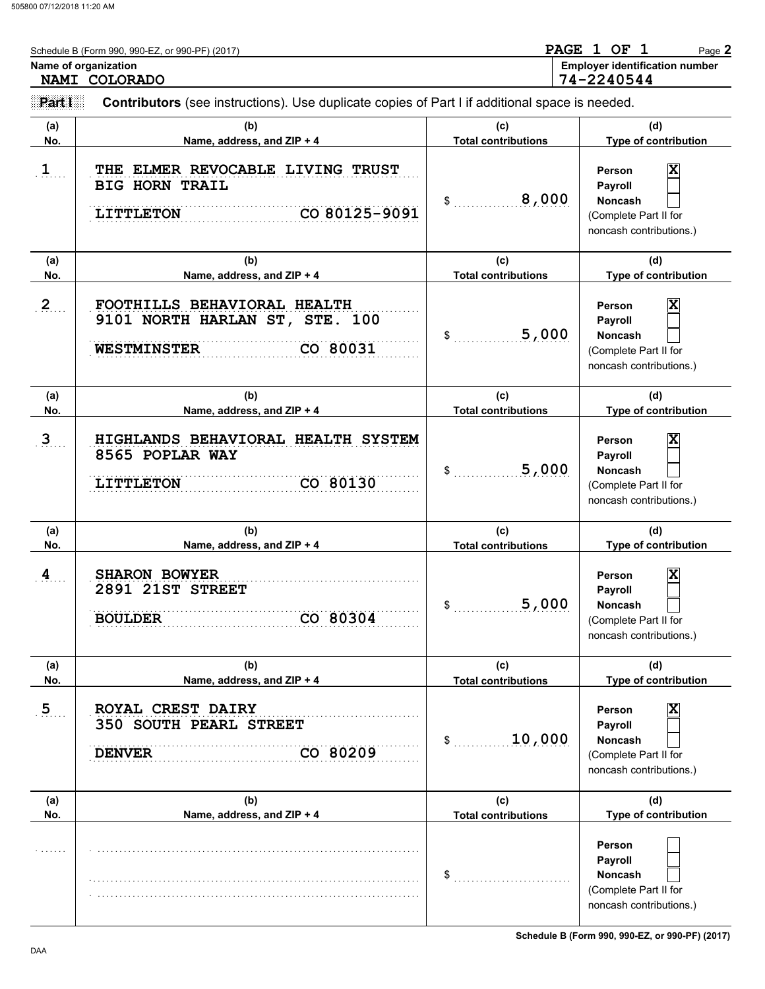|                | Name of organization<br>NAMI COLORADO                                                                 |                                   | <b>Employer identification number</b><br>74-2240544                                                                |
|----------------|-------------------------------------------------------------------------------------------------------|-----------------------------------|--------------------------------------------------------------------------------------------------------------------|
| Part I         | <b>Contributors</b> (see instructions). Use duplicate copies of Part I if additional space is needed. |                                   |                                                                                                                    |
| (a)<br>No.     | (b)<br>Name, address, and ZIP + 4                                                                     | (c)<br><b>Total contributions</b> | (d)<br>Type of contribution                                                                                        |
| $1$            | THE ELMER REVOCABLE LIVING TRUST<br><b>BIG HORN TRAIL</b><br>CO 80125-9091<br><b>LITTLETON</b>        | 8,000<br>$\mathsf{\$}$            | $\overline{\mathbf{x}}$<br>Person<br>Payroll<br>Noncash<br>(Complete Part II for<br>noncash contributions.)        |
| (a)<br>No.     | (b)<br>Name, address, and ZIP + 4                                                                     | (c)<br><b>Total contributions</b> | (d)<br>Type of contribution                                                                                        |
| $\overline{2}$ | FOOTHILLS BEHAVIORAL HEALTH<br>9101 NORTH HARLAN ST, STE. 100<br><b>WESTMINSTER</b><br>CO 80031       | 5,000<br>$\mathsf{\$}$            | $\overline{\mathbf{x}}$<br>Person<br>Payroll<br>Noncash<br>(Complete Part II for<br>noncash contributions.)        |
| (a)<br>No.     | (b)<br>Name, address, and ZIP + 4                                                                     | (c)<br><b>Total contributions</b> | (d)<br>Type of contribution                                                                                        |
| $\mathbf{3}$   | HIGHLANDS BEHAVIORAL HEALTH SYSTEM<br>8565 POPLAR WAY<br>CO 80130<br><b>LITTLETON</b>                 | 5,000<br>\$                       | $\overline{\mathbf{x}}$<br>Person<br>Payroll<br>Noncash<br>(Complete Part II for<br>noncash contributions.)        |
| (a)<br>No.     | (b)<br>Name, address, and ZIP + 4                                                                     | (c)<br><b>Total contributions</b> | (d)<br>Type of contribution                                                                                        |
| $\frac{4}{1}$  | <b>SHARON BOWYER</b><br>2891 21ST STREET<br>CO 80304<br><b>BOULDER</b>                                | 5,000<br>\$                       | $\overline{\mathbf{x}}$<br>Person<br><b>Payroll</b><br>Noncash<br>(Complete Part II for<br>noncash contributions.) |
| (a)<br>No.     | (b)<br>Name, address, and ZIP + 4                                                                     | (c)<br><b>Total contributions</b> | (d)<br>Type of contribution                                                                                        |
| $\overline{5}$ | ROYAL CREST DAIRY<br>350 SOUTH PEARL STREET<br>CO 80209<br><b>DENVER</b>                              | 10,000<br>\$                      | X<br>Person<br>Payroll<br><b>Noncash</b><br>(Complete Part II for<br>noncash contributions.)                       |
| (a)<br>No.     | (b)<br>Name, address, and ZIP + 4                                                                     | (c)<br><b>Total contributions</b> | (d)<br>Type of contribution                                                                                        |
|                |                                                                                                       | \$                                | Person<br>Payroll<br><b>Noncash</b><br>(Complete Part II for<br>noncash contributions.)                            |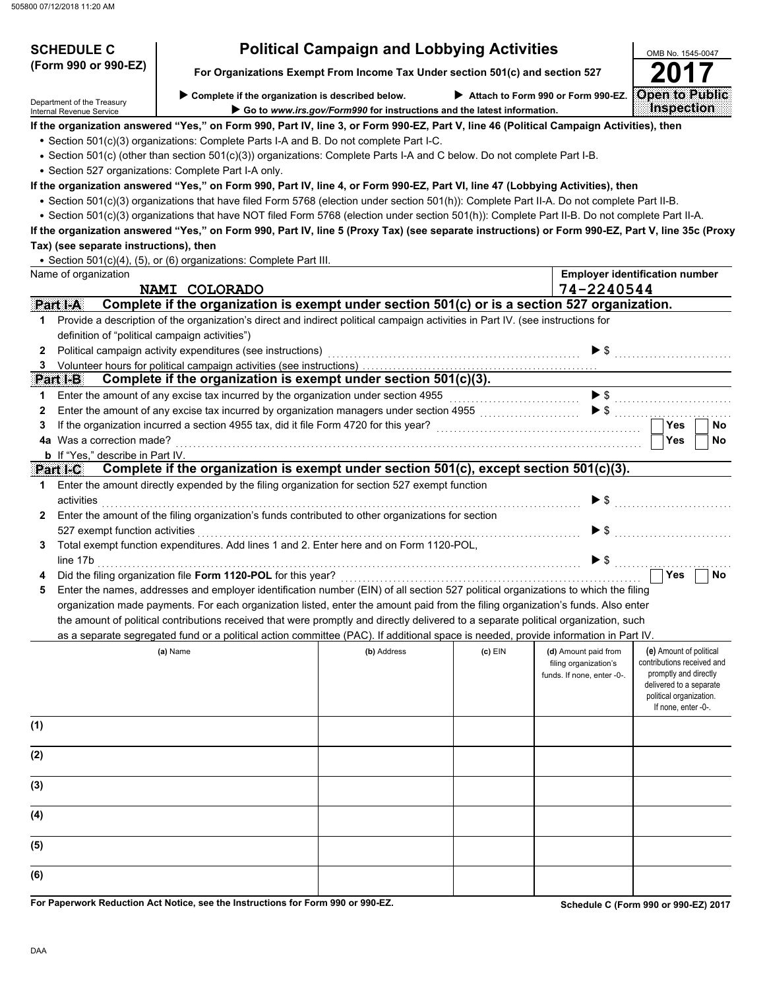| <b>SCHEDULE C</b>                              |                                                                                                                                                  | <b>Political Campaign and Lobbying Activities</b>                             |           |                                    | OMB No. 1545-0047                                  |
|------------------------------------------------|--------------------------------------------------------------------------------------------------------------------------------------------------|-------------------------------------------------------------------------------|-----------|------------------------------------|----------------------------------------------------|
| (Form 990 or 990-EZ)                           |                                                                                                                                                  | For Organizations Exempt From Income Tax Under section 501(c) and section 527 |           |                                    | 2017                                               |
| Department of the Treasury                     | Complete if the organization is described below.                                                                                                 | Go to www.irs.gov/Form990 for instructions and the latest information.        |           | Attach to Form 990 or Form 990-EZ. | <b>Open to Public</b><br>Inspection                |
| Internal Revenue Service                       | If the organization answered "Yes," on Form 990, Part IV, line 3, or Form 990-EZ, Part V, line 46 (Political Campaign Activities), then          |                                                                               |           |                                    |                                                    |
|                                                | • Section 501(c)(3) organizations: Complete Parts I-A and B. Do not complete Part I-C.                                                           |                                                                               |           |                                    |                                                    |
|                                                | · Section 501(c) (other than section 501(c)(3)) organizations: Complete Parts I-A and C below. Do not complete Part I-B.                         |                                                                               |           |                                    |                                                    |
|                                                | • Section 527 organizations: Complete Part I-A only.                                                                                             |                                                                               |           |                                    |                                                    |
|                                                | If the organization answered "Yes," on Form 990, Part IV, line 4, or Form 990-EZ, Part VI, line 47 (Lobbying Activities), then                   |                                                                               |           |                                    |                                                    |
|                                                | . Section 501(c)(3) organizations that have filed Form 5768 (election under section 501(h)): Complete Part II-A. Do not complete Part II-B.      |                                                                               |           |                                    |                                                    |
|                                                | • Section 501(c)(3) organizations that have NOT filed Form 5768 (election under section 501(h)): Complete Part II-B. Do not complete Part II-A.  |                                                                               |           |                                    |                                                    |
|                                                | If the organization answered "Yes," on Form 990, Part IV, line 5 (Proxy Tax) (see separate instructions) or Form 990-EZ, Part V, line 35c (Proxy |                                                                               |           |                                    |                                                    |
| Tax) (see separate instructions), then         |                                                                                                                                                  |                                                                               |           |                                    |                                                    |
|                                                | • Section 501(c)(4), (5), or (6) organizations: Complete Part III.                                                                               |                                                                               |           |                                    |                                                    |
| Name of organization                           |                                                                                                                                                  |                                                                               |           |                                    | <b>Employer identification number</b>              |
|                                                | NAMI COLORADO                                                                                                                                    |                                                                               |           | 74-2240544                         |                                                    |
| Part I-A                                       | Complete if the organization is exempt under section 501(c) or is a section 527 organization.                                                    |                                                                               |           |                                    |                                                    |
| 1                                              | Provide a description of the organization's direct and indirect political campaign activities in Part IV. (see instructions for                  |                                                                               |           |                                    |                                                    |
| definition of "political campaign activities") |                                                                                                                                                  |                                                                               |           |                                    |                                                    |
| $\mathbf{2}$                                   | Political campaign activity expenditures (see instructions)                                                                                      |                                                                               |           | $\blacktriangleright$ s            | .                                                  |
| 3                                              | Volunteer hours for political campaign activities (see instructions)                                                                             |                                                                               |           |                                    |                                                    |
| <b>PartieB</b>                                 | Complete if the organization is exempt under section 501(c)(3).                                                                                  |                                                                               |           |                                    |                                                    |
| 1                                              | Enter the amount of any excise tax incurred by the organization under section 4955                                                               |                                                                               |           | $\blacktriangleright$ \$           |                                                    |
| 2                                              | Enter the amount of any excise tax incurred by organization managers under section 4955                                                          |                                                                               |           | $\blacktriangleright$ \$           |                                                    |
| 3                                              | If the organization incurred a section 4955 tax, did it file Form 4720 for this year?                                                            |                                                                               |           |                                    | <b>Yes</b><br>No                                   |
| 4a Was a correction made?                      |                                                                                                                                                  |                                                                               |           |                                    | Yes<br>No.                                         |
| <b>b</b> If "Yes," describe in Part IV.        |                                                                                                                                                  |                                                                               |           |                                    |                                                    |
| <b>Part FOT</b>                                | Complete if the organization is exempt under section 501(c), except section 501(c)(3).                                                           |                                                                               |           |                                    |                                                    |
| 1                                              | Enter the amount directly expended by the filing organization for section 527 exempt function                                                    |                                                                               |           |                                    |                                                    |
| activities                                     |                                                                                                                                                  |                                                                               |           | $\blacktriangleright$ \$           |                                                    |
| 2                                              | Enter the amount of the filing organization's funds contributed to other organizations for section                                               |                                                                               |           |                                    |                                                    |
| 527 exempt function activities                 |                                                                                                                                                  |                                                                               |           | $\blacktriangleright$ \$           |                                                    |
| 3                                              | Total exempt function expenditures. Add lines 1 and 2. Enter here and on Form 1120-POL,                                                          |                                                                               |           |                                    |                                                    |
| line 17b                                       |                                                                                                                                                  |                                                                               |           | $\blacktriangleright$ s            |                                                    |
|                                                | Did the filing organization file Form 1120-POL for this year?                                                                                    |                                                                               |           |                                    | Yes<br>No                                          |
|                                                | Enter the names, addresses and employer identification number (EIN) of all section 527 political organizations to which the filing               |                                                                               |           |                                    |                                                    |
|                                                | organization made payments. For each organization listed, enter the amount paid from the filing organization's funds. Also enter                 |                                                                               |           |                                    |                                                    |
|                                                | the amount of political contributions received that were promptly and directly delivered to a separate political organization, such              |                                                                               |           |                                    |                                                    |
|                                                | as a separate segregated fund or a political action committee (PAC). If additional space is needed, provide information in Part IV.              |                                                                               |           |                                    |                                                    |
|                                                | (a) Name                                                                                                                                         | (b) Address                                                                   | $(c)$ EIN | (d) Amount paid from               | (e) Amount of political                            |
|                                                |                                                                                                                                                  |                                                                               |           | filing organization's              | contributions received and                         |
|                                                |                                                                                                                                                  |                                                                               |           | funds. If none, enter -0-.         | promptly and directly                              |
|                                                |                                                                                                                                                  |                                                                               |           |                                    | delivered to a separate<br>political organization. |
|                                                |                                                                                                                                                  |                                                                               |           |                                    | If none, enter -0-.                                |
| (1)                                            |                                                                                                                                                  |                                                                               |           |                                    |                                                    |
|                                                |                                                                                                                                                  |                                                                               |           |                                    |                                                    |
| (2)                                            |                                                                                                                                                  |                                                                               |           |                                    |                                                    |
|                                                |                                                                                                                                                  |                                                                               |           |                                    |                                                    |
| (3)                                            |                                                                                                                                                  |                                                                               |           |                                    |                                                    |
|                                                |                                                                                                                                                  |                                                                               |           |                                    |                                                    |
| (4)                                            |                                                                                                                                                  |                                                                               |           |                                    |                                                    |
|                                                |                                                                                                                                                  |                                                                               |           |                                    |                                                    |
| (5)                                            |                                                                                                                                                  |                                                                               |           |                                    |                                                    |
|                                                |                                                                                                                                                  |                                                                               |           |                                    |                                                    |
| (6)                                            |                                                                                                                                                  |                                                                               |           |                                    |                                                    |
|                                                |                                                                                                                                                  |                                                                               |           |                                    |                                                    |

**For Paperwork Reduction Act Notice, see the Instructions for Form 990 or 990-EZ.**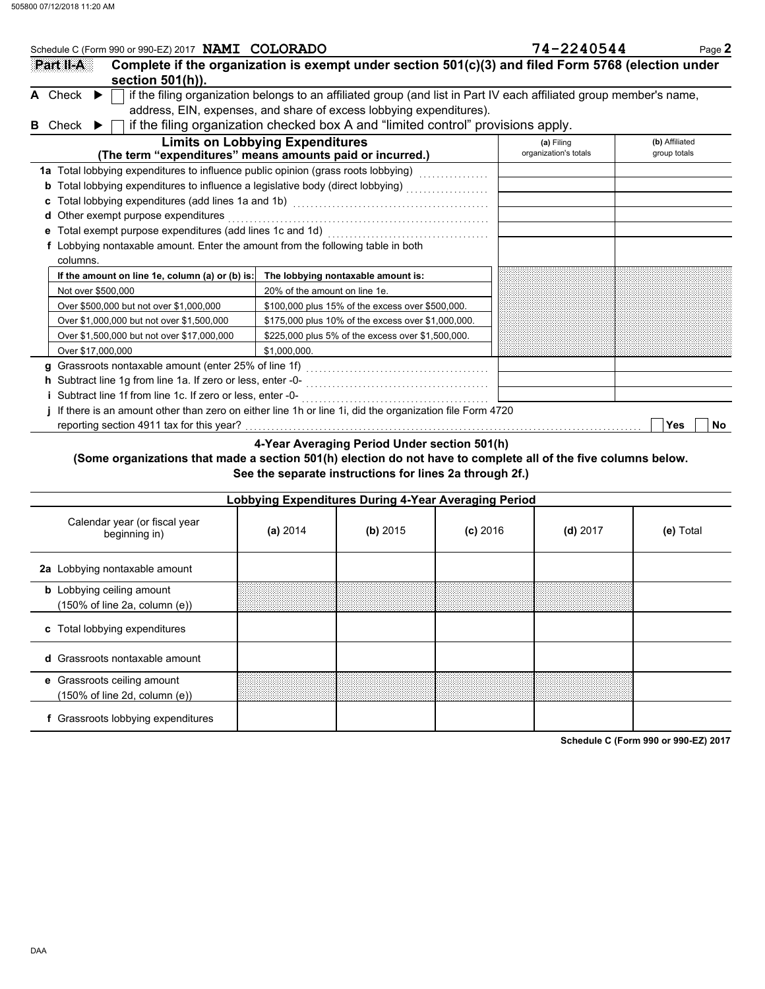| Schedule C (Form 990 or 990-EZ) 2017 NAMI COLORADO                                |                                                                                                                     | 74-2240544                          | Page 2                         |
|-----------------------------------------------------------------------------------|---------------------------------------------------------------------------------------------------------------------|-------------------------------------|--------------------------------|
| Part II-A                                                                         | Complete if the organization is exempt under section 501(c)(3) and filed Form 5768 (election under                  |                                     |                                |
| section 501(h)).                                                                  |                                                                                                                     |                                     |                                |
| A Check                                                                           | if the filing organization belongs to an affiliated group (and list in Part IV each affiliated group member's name, |                                     |                                |
|                                                                                   | address, EIN, expenses, and share of excess lobbying expenditures).                                                 |                                     |                                |
| Check $\blacktriangleright$<br>в.                                                 | if the filing organization checked box A and "limited control" provisions apply.                                    |                                     |                                |
|                                                                                   | <b>Limits on Lobbying Expenditures</b><br>(The term "expenditures" means amounts paid or incurred.)                 | (a) Filing<br>organization's totals | (b) Affiliated<br>group totals |
| 1a Total lobbying expenditures to influence public opinion (grass roots lobbying) |                                                                                                                     |                                     |                                |
|                                                                                   |                                                                                                                     |                                     |                                |
|                                                                                   |                                                                                                                     |                                     |                                |
| Other exempt purpose expenditures                                                 |                                                                                                                     |                                     |                                |
| Total exempt purpose expenditures (add lines 1c and 1d)                           |                                                                                                                     |                                     |                                |
| f Lobbying nontaxable amount. Enter the amount from the following table in both   |                                                                                                                     |                                     |                                |
| columns.                                                                          |                                                                                                                     |                                     |                                |
| If the amount on line 1e, column (a) or (b) is:                                   | The lobbying nontaxable amount is:                                                                                  |                                     |                                |
| Not over \$500,000                                                                | 20% of the amount on line 1e.                                                                                       |                                     |                                |
| Over \$500,000 but not over \$1,000,000                                           | \$100,000 plus 15% of the excess over \$500,000.                                                                    |                                     |                                |
| Over \$1,000,000 but not over \$1,500,000                                         | \$175,000 plus 10% of the excess over \$1,000,000.                                                                  |                                     |                                |
| Over \$1,500,000 but not over \$17,000,000                                        | \$225,000 plus 5% of the excess over \$1,500,000.                                                                   |                                     |                                |
| Over \$17,000,000                                                                 | \$1.000.000.                                                                                                        |                                     |                                |
|                                                                                   |                                                                                                                     |                                     |                                |
|                                                                                   |                                                                                                                     |                                     |                                |
| Subtract line 1f from line 1c. If zero or less, enter -0-                         |                                                                                                                     |                                     |                                |
|                                                                                   | If there is an amount other than zero on either line 1h or line 1i, did the organization file Form 4720             |                                     |                                |
|                                                                                   |                                                                                                                     |                                     | <b>No</b><br>Yes               |

**4-Year Averaging Period Under section 501(h)**

#### **(Some organizations that made a section 501(h) election do not have to complete all of the five columns below. See the separate instructions for lines 2a through 2f.)**

| Lobbying Expenditures During 4-Year Averaging Period                                   |          |            |            |            |           |  |  |
|----------------------------------------------------------------------------------------|----------|------------|------------|------------|-----------|--|--|
| Calendar year (or fiscal year<br>beginning in)                                         | (a) 2014 | $(b)$ 2015 | $(c)$ 2016 | $(d)$ 2017 | (e) Total |  |  |
| 2a Lobbying nontaxable amount                                                          |          |            |            |            |           |  |  |
| <b>b</b> Lobbying ceiling amount<br>$(150\% \text{ of line } 2a, \text{ column } (e))$ |          |            |            |            |           |  |  |
| c Total lobbying expenditures                                                          |          |            |            |            |           |  |  |
| d Grassroots nontaxable amount                                                         |          |            |            |            |           |  |  |
| e Grassroots ceiling amount<br>(150% of line 2d, column (e))                           |          |            |            |            |           |  |  |
| f Grassroots lobbying expenditures                                                     |          |            |            |            |           |  |  |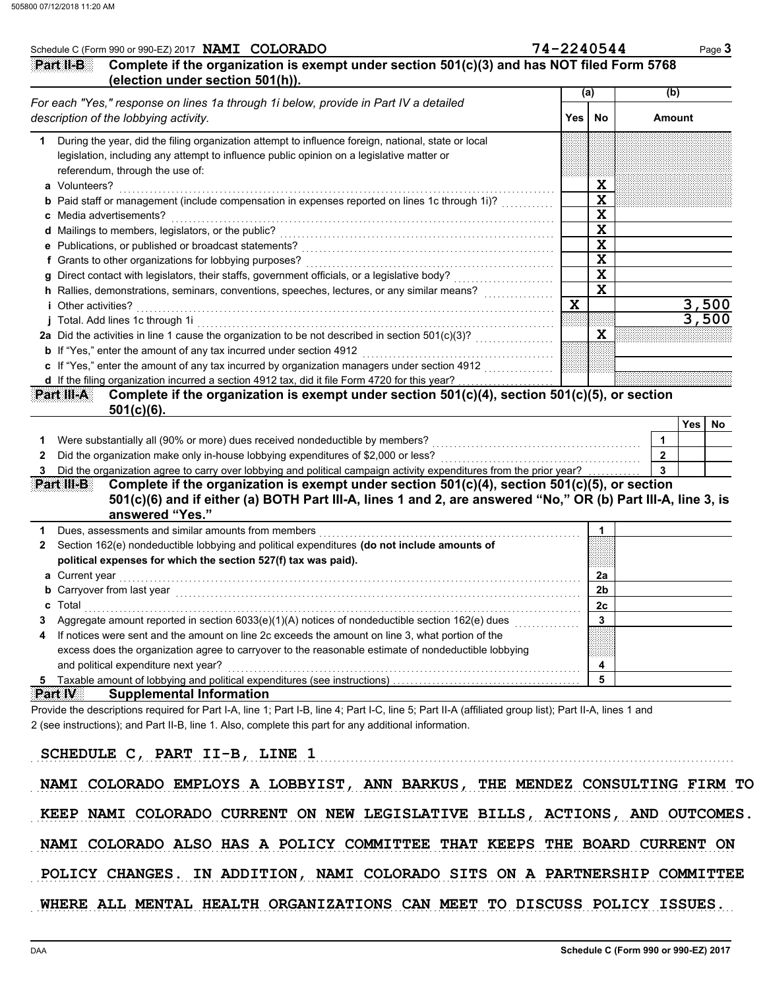|                                                                                                                                                                                                                             |             | (a)                     | (b)            |  |
|-----------------------------------------------------------------------------------------------------------------------------------------------------------------------------------------------------------------------------|-------------|-------------------------|----------------|--|
| For each "Yes," response on lines 1a through 1i below, provide in Part IV a detailed<br>description of the lobbying activity.                                                                                               | Yes l       | No.                     | <b>Amount</b>  |  |
| During the year, did the filing organization attempt to influence foreign, national, state or local                                                                                                                         |             |                         |                |  |
| legislation, including any attempt to influence public opinion on a legislative matter or                                                                                                                                   |             |                         |                |  |
| referendum, through the use of:                                                                                                                                                                                             |             |                         |                |  |
|                                                                                                                                                                                                                             |             | X                       |                |  |
| <b>b</b> Paid staff or management (include compensation in expenses reported on lines 1c through 1i)?                                                                                                                       |             | $\overline{\mathbf{x}}$ |                |  |
| c Media advertisements?                                                                                                                                                                                                     |             | $\overline{\mathbf{x}}$ |                |  |
|                                                                                                                                                                                                                             |             | $\overline{\mathbf{x}}$ |                |  |
|                                                                                                                                                                                                                             |             | $\overline{\mathbf{x}}$ |                |  |
|                                                                                                                                                                                                                             |             | $\overline{\mathbf{x}}$ |                |  |
|                                                                                                                                                                                                                             |             | $\overline{\mathbf{x}}$ |                |  |
|                                                                                                                                                                                                                             |             | $\overline{\mathbf{x}}$ |                |  |
| <i>i</i> Other activities?                                                                                                                                                                                                  | $\mathbf x$ |                         | 3,500          |  |
|                                                                                                                                                                                                                             |             |                         | 3,500          |  |
|                                                                                                                                                                                                                             |             | $\mathbf x$             |                |  |
|                                                                                                                                                                                                                             |             |                         |                |  |
| c If "Yes," enter the amount of any tax incurred by organization managers under section 4912<br>d If the filing organization incurred a section 4912 tax, did it file Form 4720 for this year?                              |             |                         |                |  |
| Were substantially all (90% or more) dues received nondeductible by members?<br>[[[[[[[[[[[[[[]]]]]]<br>Did the organization agree to carry over lobbying and political campaign activity expenditures from the prior year? |             |                         | $\overline{2}$ |  |
| Complete if the organization is exempt under section $501(c)(4)$ , section $501(c)(5)$ , or section<br>Part III-B                                                                                                           |             |                         |                |  |
| 501(c)(6) and if either (a) BOTH Part III-A, lines 1 and 2, are answered "No," OR (b) Part III-A, line 3, is<br>answered "Yes."                                                                                             |             |                         |                |  |
|                                                                                                                                                                                                                             |             | 1                       |                |  |
| Section 162(e) nondeductible lobbying and political expenditures (do not include amounts of                                                                                                                                 |             |                         |                |  |
| political expenses for which the section 527(f) tax was paid).                                                                                                                                                              |             |                         |                |  |
|                                                                                                                                                                                                                             |             | 2a                      |                |  |
|                                                                                                                                                                                                                             |             | 2b                      |                |  |
| Total                                                                                                                                                                                                                       |             | 2c                      |                |  |
| Aggregate amount reported in section 6033(e)(1)(A) notices of nondeductible section 162(e) dues                                                                                                                             |             | $\mathbf{3}$            |                |  |
| If notices were sent and the amount on line 2c exceeds the amount on line 3, what portion of the                                                                                                                            |             |                         |                |  |
| excess does the organization agree to carryover to the reasonable estimate of nondeductible lobbying                                                                                                                        |             |                         |                |  |
| and political expenditure next year?                                                                                                                                                                                        |             | 4                       |                |  |
|                                                                                                                                                                                                                             |             | 5                       |                |  |
| Rarthys.<br><b>Supplemental Information</b><br>Provide the descriptions required for Part I-A, line 1; Part I-B, line 4; Part I-C, line 5; Part II-A (affiliated group list); Part II-A, lines 1 and                        |             |                         |                |  |

WHERE ALL MENTAL HEALTH ORGANIZATIONS CAN MEET TO DISCUSS POLICY ISSUES. POLICY CHANGES. IN ADDITION, NAMI COLORADO SITS ON A PARTNERSHIP COMMITTEE NAMI COLORADO ALSO HAS A POLICY COMMITTEE THAT KEEPS THE BOARD CURRENT ON KEEP NAMI COLORADO CURRENT ON NEW LEGISLATIVE BILLS, ACTIONS, AND OUTCOMES.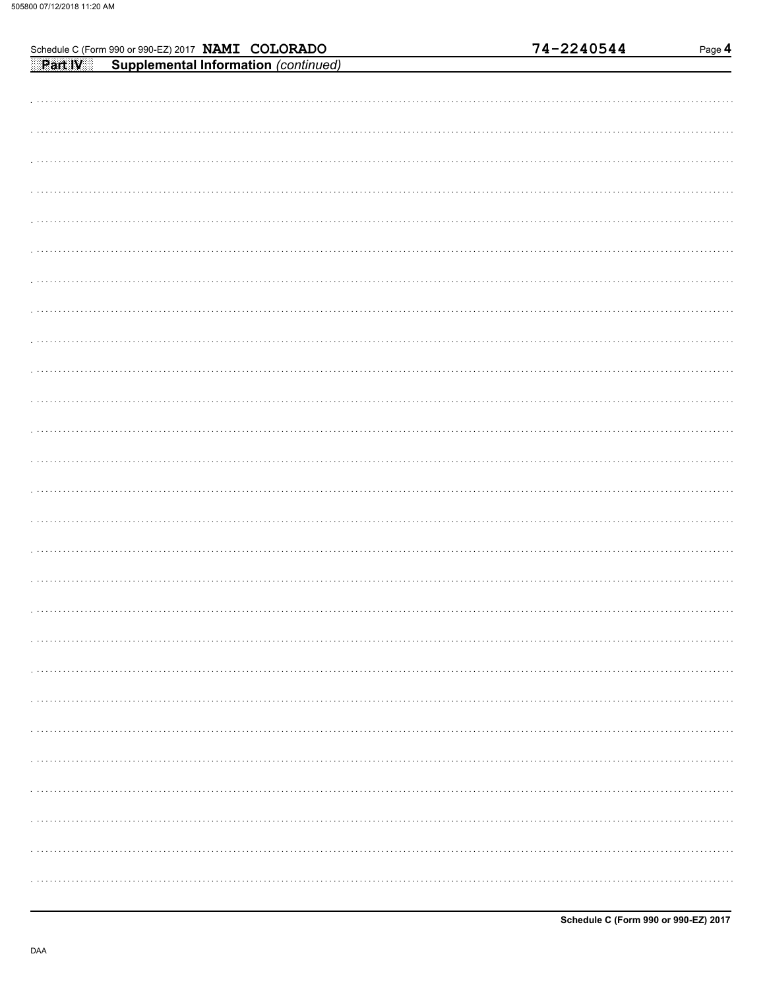|         | Schedule C (Form 990 or 990-EZ) 2017 NAMI COLORADO |  | 74-2240544 | Page 4 |
|---------|----------------------------------------------------|--|------------|--------|
| Part IV | <b>Supplemental Information (continued)</b>        |  |            |        |
|         |                                                    |  |            |        |
|         |                                                    |  |            |        |
|         |                                                    |  |            |        |
|         |                                                    |  |            |        |
|         |                                                    |  |            |        |
|         |                                                    |  |            |        |
|         |                                                    |  |            |        |
|         |                                                    |  |            |        |
|         |                                                    |  |            |        |
|         |                                                    |  |            |        |
|         |                                                    |  |            |        |
|         |                                                    |  |            |        |
|         |                                                    |  |            |        |
|         |                                                    |  |            |        |
|         |                                                    |  |            |        |
|         |                                                    |  |            |        |
|         |                                                    |  |            |        |
|         |                                                    |  |            |        |
|         |                                                    |  |            |        |
|         |                                                    |  |            |        |
|         |                                                    |  |            |        |
|         |                                                    |  |            |        |
|         |                                                    |  |            |        |
|         |                                                    |  |            |        |
|         |                                                    |  |            |        |
|         |                                                    |  |            |        |
|         |                                                    |  |            |        |
|         |                                                    |  |            |        |
|         |                                                    |  |            |        |
|         |                                                    |  |            |        |
|         |                                                    |  |            |        |
|         |                                                    |  |            |        |
|         |                                                    |  |            |        |
|         |                                                    |  |            |        |
|         |                                                    |  |            |        |
|         |                                                    |  |            |        |
|         |                                                    |  |            |        |
|         |                                                    |  |            |        |
|         |                                                    |  |            |        |
|         |                                                    |  |            |        |
|         |                                                    |  |            |        |
|         |                                                    |  |            |        |
|         |                                                    |  |            |        |
|         |                                                    |  |            |        |
|         |                                                    |  |            |        |
|         |                                                    |  |            |        |
|         |                                                    |  |            |        |
|         |                                                    |  |            |        |
|         |                                                    |  |            |        |
|         |                                                    |  |            |        |
|         |                                                    |  |            |        |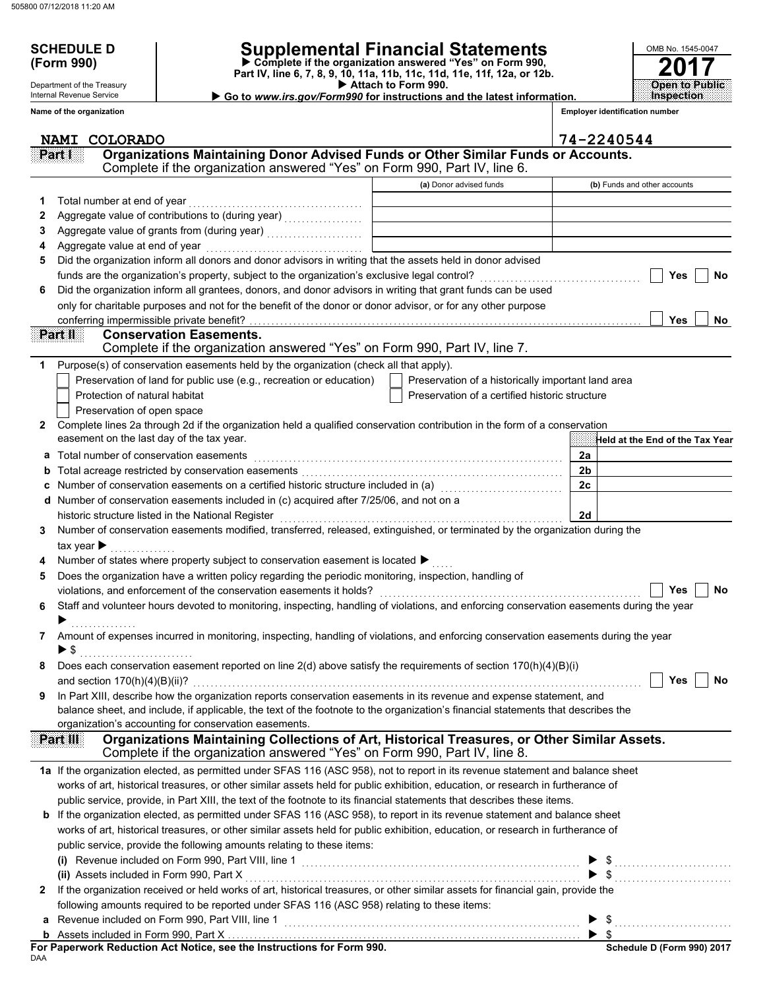Department of the Treasury Internal Revenue Service **Name of the organization**

## **SCHEDULE D Supplemental Financial Statements**

 **Attach to Form 990. (Form 990) Part IV, line 6, 7, 8, 9, 10, 11a, 11b, 11c, 11d, 11e, 11f, 12a, or 12b. Complete if the organization answered "Yes" on Form 990,**

 **Go to** *www.irs.gov/Form990* **for instructions and the latest information.**

| OMB No. 1545-0047 |
|-------------------|
| 201               |
|                   |
|                   |

**Employer identification number**

|              | NAMI COLORADO                                                                                                                             |                                                    | 74-2240544                      |
|--------------|-------------------------------------------------------------------------------------------------------------------------------------------|----------------------------------------------------|---------------------------------|
|              | Organizations Maintaining Donor Advised Funds or Other Similar Funds or Accounts.<br>Part I                                               |                                                    |                                 |
|              | Complete if the organization answered "Yes" on Form 990, Part IV, line 6.                                                                 |                                                    |                                 |
|              |                                                                                                                                           | (a) Donor advised funds                            | (b) Funds and other accounts    |
| 1.           | Total number at end of year                                                                                                               |                                                    |                                 |
| 2            |                                                                                                                                           |                                                    |                                 |
| 3            |                                                                                                                                           |                                                    |                                 |
| 4            | Aggregate value at end of year                                                                                                            |                                                    |                                 |
| 5            | Did the organization inform all donors and donor advisors in writing that the assets held in donor advised                                |                                                    |                                 |
|              | funds are the organization's property, subject to the organization's exclusive legal control?                                             |                                                    | Yes<br>No                       |
| 6            | Did the organization inform all grantees, donors, and donor advisors in writing that grant funds can be used                              |                                                    |                                 |
|              | only for charitable purposes and not for the benefit of the donor or donor advisor, or for any other purpose                              |                                                    |                                 |
|              | conferring impermissible private benefit?                                                                                                 |                                                    | <b>Yes</b><br>No                |
|              | <b>Conservation Easements.</b><br>Part II                                                                                                 |                                                    |                                 |
|              | Complete if the organization answered "Yes" on Form 990, Part IV, line 7.                                                                 |                                                    |                                 |
| 1            | Purpose(s) of conservation easements held by the organization (check all that apply).                                                     |                                                    |                                 |
|              | Preservation of land for public use (e.g., recreation or education)                                                                       | Preservation of a historically important land area |                                 |
|              | Protection of natural habitat                                                                                                             | Preservation of a certified historic structure     |                                 |
|              | Preservation of open space                                                                                                                |                                                    |                                 |
| $\mathbf{2}$ | Complete lines 2a through 2d if the organization held a qualified conservation contribution in the form of a conservation                 |                                                    |                                 |
|              | easement on the last day of the tax year.                                                                                                 |                                                    | Held at the End of the Tax Year |
| а            | Total number of conservation easements                                                                                                    |                                                    | 2a                              |
| b            |                                                                                                                                           |                                                    | 2 <sub>b</sub>                  |
| c            | Number of conservation easements on a certified historic structure included in (a)<br>[20]                                                |                                                    | 2c                              |
| d            | Number of conservation easements included in (c) acquired after 7/25/06, and not on a                                                     |                                                    |                                 |
|              | historic structure listed in the National Register                                                                                        |                                                    | 2d                              |
| 3.           | Number of conservation easements modified, transferred, released, extinguished, or terminated by the organization during the              |                                                    |                                 |
|              | tax year $\blacktriangleright$                                                                                                            |                                                    |                                 |
|              | Number of states where property subject to conservation easement is located ▶                                                             |                                                    |                                 |
| 5            | Does the organization have a written policy regarding the periodic monitoring, inspection, handling of                                    |                                                    |                                 |
|              | violations, and enforcement of the conservation easements it holds?                                                                       |                                                    | Yes<br>No                       |
| 6            | Staff and volunteer hours devoted to monitoring, inspecting, handling of violations, and enforcing conservation easements during the year |                                                    |                                 |
|              |                                                                                                                                           |                                                    |                                 |
| 7            | Amount of expenses incurred in monitoring, inspecting, handling of violations, and enforcing conservation easements during the year       |                                                    |                                 |
|              | ► \$                                                                                                                                      |                                                    |                                 |
|              | Does each conservation easement reported on line 2(d) above satisfy the requirements of section 170(h)(4)(B)(i)                           |                                                    |                                 |
|              |                                                                                                                                           |                                                    |                                 |
| 9            | In Part XIII, describe how the organization reports conservation easements in its revenue and expense statement, and                      |                                                    |                                 |
|              | balance sheet, and include, if applicable, the text of the footnote to the organization's financial statements that describes the         |                                                    |                                 |
|              | organization's accounting for conservation easements.                                                                                     |                                                    |                                 |
|              | Organizations Maintaining Collections of Art, Historical Treasures, or Other Similar Assets.<br>Part III                                  |                                                    |                                 |
|              | Complete if the organization answered "Yes" on Form 990, Part IV, line 8.                                                                 |                                                    |                                 |
|              | 1a If the organization elected, as permitted under SFAS 116 (ASC 958), not to report in its revenue statement and balance sheet           |                                                    |                                 |
|              | works of art, historical treasures, or other similar assets held for public exhibition, education, or research in furtherance of          |                                                    |                                 |
|              | public service, provide, in Part XIII, the text of the footnote to its financial statements that describes these items.                   |                                                    |                                 |
|              | b If the organization elected, as permitted under SFAS 116 (ASC 958), to report in its revenue statement and balance sheet                |                                                    |                                 |
|              | works of art, historical treasures, or other similar assets held for public exhibition, education, or research in furtherance of          |                                                    |                                 |
|              | public service, provide the following amounts relating to these items:                                                                    |                                                    |                                 |
|              | (i) Revenue included on Form 990, Part VIII, line 1 [2010] CONDING THE CONDUCT REVENUES And REVENUES And REVENUES                         |                                                    | $\frac{1}{2}$                   |
|              | (ii) Assets included in Form 990, Part X                                                                                                  |                                                    |                                 |
| $\mathbf{2}$ | If the organization received or held works of art, historical treasures, or other similar assets for financial gain, provide the          |                                                    |                                 |
|              | following amounts required to be reported under SFAS 116 (ASC 958) relating to these items:                                               |                                                    |                                 |
|              | Revenue included on Form 990, Part VIII, line 1                                                                                           |                                                    |                                 |
|              |                                                                                                                                           |                                                    |                                 |

#### DAA **For Paperwork Reduction Act Notice, see the Instructions for Form 990.**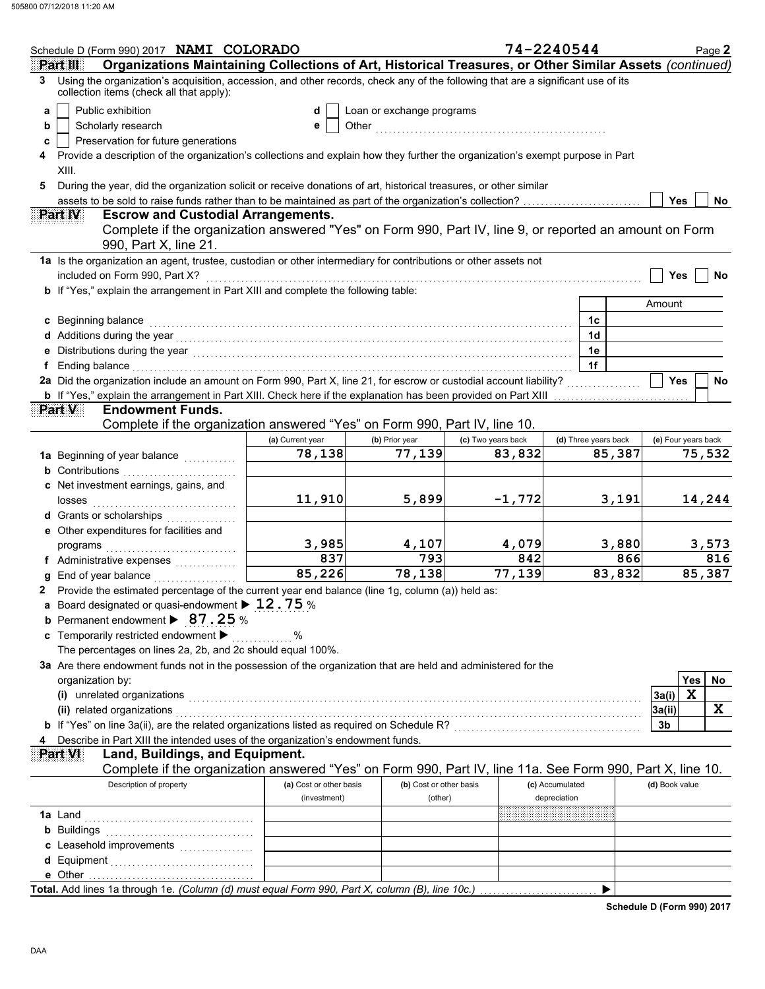| Schedule D (Form 990) 2017 NAMI COLORADO                                                                                                                                                                                           |                         |                           |                    | 74-2240544           |       |                      | Page 2 |
|------------------------------------------------------------------------------------------------------------------------------------------------------------------------------------------------------------------------------------|-------------------------|---------------------------|--------------------|----------------------|-------|----------------------|--------|
| Organizations Maintaining Collections of Art, Historical Treasures, or Other Similar Assets (continued)<br><b>Partilli</b>                                                                                                         |                         |                           |                    |                      |       |                      |        |
| Using the organization's acquisition, accession, and other records, check any of the following that are a significant use of its<br>3<br>collection items (check all that apply):                                                  |                         |                           |                    |                      |       |                      |        |
| Public exhibition<br>a                                                                                                                                                                                                             | d                       | Loan or exchange programs |                    |                      |       |                      |        |
| Scholarly research<br>b                                                                                                                                                                                                            | е                       |                           |                    |                      |       |                      |        |
| Preservation for future generations<br>c                                                                                                                                                                                           |                         |                           |                    |                      |       |                      |        |
| Provide a description of the organization's collections and explain how they further the organization's exempt purpose in Part<br>4                                                                                                |                         |                           |                    |                      |       |                      |        |
| XIII.                                                                                                                                                                                                                              |                         |                           |                    |                      |       |                      |        |
| 5<br>During the year, did the organization solicit or receive donations of art, historical treasures, or other similar                                                                                                             |                         |                           |                    |                      |       |                      |        |
| assets to be sold to raise funds rather than to be maintained as part of the organization's collection?                                                                                                                            |                         |                           |                    |                      |       | <b>Yes</b>           | No.    |
| <b>Escrow and Custodial Arrangements.</b><br>IP alawa                                                                                                                                                                              |                         |                           |                    |                      |       |                      |        |
| Complete if the organization answered "Yes" on Form 990, Part IV, line 9, or reported an amount on Form                                                                                                                            |                         |                           |                    |                      |       |                      |        |
| 990, Part X, line 21.                                                                                                                                                                                                              |                         |                           |                    |                      |       |                      |        |
| 1a Is the organization an agent, trustee, custodian or other intermediary for contributions or other assets not                                                                                                                    |                         |                           |                    |                      |       |                      |        |
| included on Form 990, Part X?                                                                                                                                                                                                      |                         |                           |                    |                      |       | Yes                  | No     |
| b If "Yes," explain the arrangement in Part XIII and complete the following table:                                                                                                                                                 |                         |                           |                    |                      |       |                      |        |
|                                                                                                                                                                                                                                    |                         |                           |                    |                      |       | Amount               |        |
| c Beginning balance                                                                                                                                                                                                                |                         |                           |                    | 1c                   |       |                      |        |
| d Additions during the year<br>interaction continuous continuous continuous during the year of the year of the set of the set of the set of the set of the set of the set of the set of the set of the set of the set of the set   |                         |                           |                    | 1d                   |       |                      |        |
|                                                                                                                                                                                                                                    |                         |                           |                    | 1e                   |       |                      |        |
| f Ending balance encourance and a series of the contract of the contract of the contract of the contract of the contract of the contract of the contract of the contract of the contract of the contract of the contract of th     |                         |                           |                    | 1f                   |       |                      |        |
| 2a Did the organization include an amount on Form 990, Part X, line 21, for escrow or custodial account liability?                                                                                                                 |                         |                           |                    |                      |       | <b>Yes</b>           | No     |
| <b>b</b> If "Yes," explain the arrangement in Part XIII. Check here if the explanation has been provided on Part XIII                                                                                                              |                         |                           |                    |                      |       |                      |        |
| Part V<br><b>Endowment Funds.</b>                                                                                                                                                                                                  |                         |                           |                    |                      |       |                      |        |
| Complete if the organization answered "Yes" on Form 990, Part IV, line 10.                                                                                                                                                         |                         |                           |                    |                      |       |                      |        |
|                                                                                                                                                                                                                                    | (a) Current year        | (b) Prior year            | (c) Two years back | (d) Three years back |       | (e) Four years back  |        |
| 1a Beginning of year balance                                                                                                                                                                                                       | 78,138                  | 77,139                    | 83,832             | 85,387               |       |                      | 75,532 |
| <b>b</b> Contributions                                                                                                                                                                                                             |                         |                           |                    |                      |       |                      |        |
| c Net investment earnings, gains, and                                                                                                                                                                                              |                         |                           |                    |                      |       |                      |        |
| losses                                                                                                                                                                                                                             | 11,910                  | 5,899                     | $-1,772$           |                      | 3,191 |                      | 14,244 |
| d Grants or scholarships                                                                                                                                                                                                           |                         |                           |                    |                      |       |                      |        |
| e Other expenditures for facilities and                                                                                                                                                                                            |                         |                           |                    |                      |       |                      |        |
| programs                                                                                                                                                                                                                           | 3,985<br>837            | 4,107                     | 4,079              |                      | 3,880 |                      | 3,573  |
| f Administrative expenses                                                                                                                                                                                                          | 85,226                  | 793                       | 842<br>77,139      | 83,832               | 866   |                      | 816    |
| End of year balance <i>manufactured</i> in the set of the set of the set of the set of the set of the set of the set of the set of the set of the set of the set of the set of the set of the set of the set of the set of the set |                         | 78,138                    |                    |                      |       |                      | 85,387 |
| 2 Provide the estimated percentage of the current year end balance (line 1g, column (a)) held as:                                                                                                                                  |                         |                           |                    |                      |       |                      |        |
| a Board designated or quasi-endowment $\blacktriangleright$ 12.75 %<br><b>b</b> Permanent endowment $\triangleright$ 87.25 %                                                                                                       |                         |                           |                    |                      |       |                      |        |
| c Temporarily restricted endowment >                                                                                                                                                                                               | %                       |                           |                    |                      |       |                      |        |
| The percentages on lines 2a, 2b, and 2c should equal 100%.                                                                                                                                                                         |                         |                           |                    |                      |       |                      |        |
| 3a Are there endowment funds not in the possession of the organization that are held and administered for the                                                                                                                      |                         |                           |                    |                      |       |                      |        |
| organization by:                                                                                                                                                                                                                   |                         |                           |                    |                      |       | <b>Yes</b>           | No     |
| (i) unrelated organizations entertainment and all the contract of the contract of the contract or contract or the contract of the contract of the contract of the contract of the contract of the contract of the contract of      |                         |                           |                    |                      |       | $\mathbf x$<br>3a(i) |        |
| (ii) related organizations with an account of the contract of the contract of the contract of the contract of the contract of the contract of the contract of the contract of the contract of the contract of the contract of      |                         |                           |                    |                      |       | 3a(ii)               | X      |
|                                                                                                                                                                                                                                    |                         |                           |                    |                      |       | 3b                   |        |
| Describe in Part XIII the intended uses of the organization's endowment funds.<br>4                                                                                                                                                |                         |                           |                    |                      |       |                      |        |
| Land, Buildings, and Equipment.<br><b>Part VI</b>                                                                                                                                                                                  |                         |                           |                    |                      |       |                      |        |
| Complete if the organization answered "Yes" on Form 990, Part IV, line 11a. See Form 990, Part X, line 10.                                                                                                                         |                         |                           |                    |                      |       |                      |        |
| Description of property                                                                                                                                                                                                            | (a) Cost or other basis | (b) Cost or other basis   |                    | (c) Accumulated      |       | (d) Book value       |        |
|                                                                                                                                                                                                                                    | (investment)            | (other)                   |                    | depreciation         |       |                      |        |
|                                                                                                                                                                                                                                    |                         |                           |                    |                      |       |                      |        |
|                                                                                                                                                                                                                                    |                         |                           |                    |                      |       |                      |        |
| c Leasehold improvements                                                                                                                                                                                                           |                         |                           |                    |                      |       |                      |        |
|                                                                                                                                                                                                                                    |                         |                           |                    |                      |       |                      |        |
|                                                                                                                                                                                                                                    |                         |                           |                    |                      |       |                      |        |
|                                                                                                                                                                                                                                    |                         |                           |                    | ▶                    |       |                      |        |

**Schedule D (Form 990) 2017**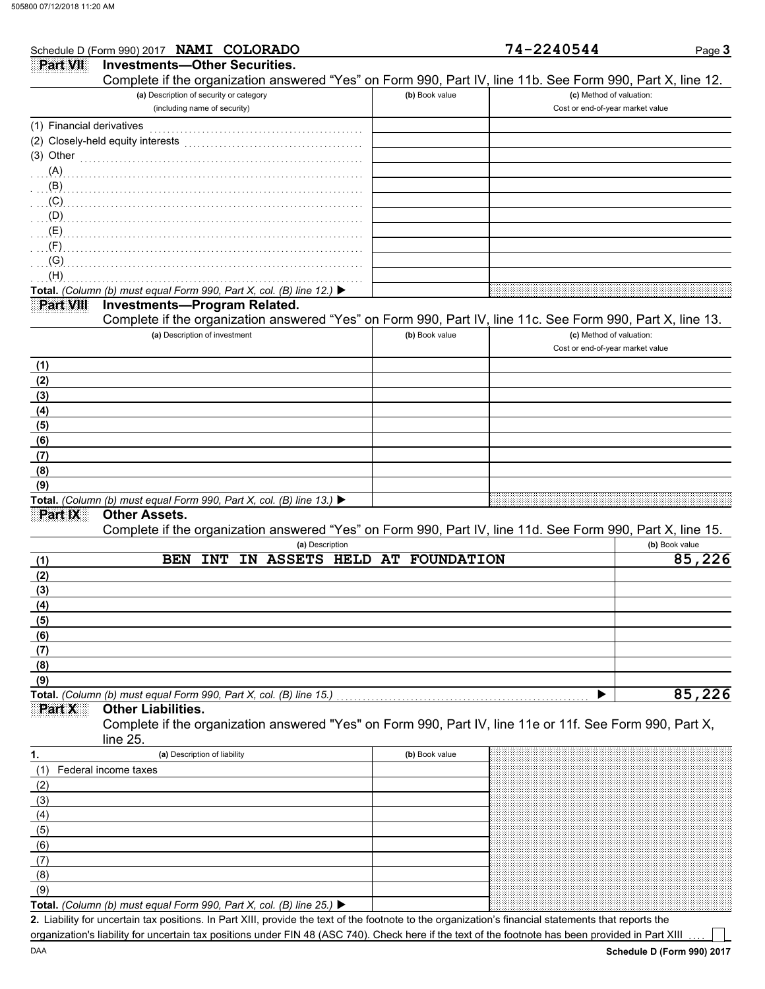| Schedule D (Form 990) 2017 NAMI COLORADO                                                                   |                | 74-2240544                       | Page 3         |
|------------------------------------------------------------------------------------------------------------|----------------|----------------------------------|----------------|
| <b>Investments-Other Securities.</b><br><b>Part VII</b>                                                    |                |                                  |                |
| Complete if the organization answered "Yes" on Form 990, Part IV, line 11b. See Form 990, Part X, line 12. |                |                                  |                |
| (a) Description of security or category                                                                    | (b) Book value | (c) Method of valuation:         |                |
| (including name of security)                                                                               |                | Cost or end-of-year market value |                |
| (1) Financial derivatives                                                                                  |                |                                  |                |
|                                                                                                            |                |                                  |                |
| (3) Other $\ldots$ and $\ldots$                                                                            |                |                                  |                |
| (A)                                                                                                        |                |                                  |                |
| $\mathbf{B}$                                                                                               |                |                                  |                |
| (C)                                                                                                        |                |                                  |                |
| $\Box$ (D)                                                                                                 |                |                                  |                |
| (E)                                                                                                        |                |                                  |                |
| (F)                                                                                                        |                |                                  |                |
| (G)                                                                                                        |                |                                  |                |
| (H)                                                                                                        |                |                                  |                |
| Total. (Column (b) must equal Form 990, Part X, col. (B) line 12.) ▶                                       |                |                                  |                |
| <b>Investments-Program Related.</b><br><b>Part VIII</b>                                                    |                |                                  |                |
| Complete if the organization answered "Yes" on Form 990, Part IV, line 11c. See Form 990, Part X, line 13. |                | (c) Method of valuation:         |                |
| (a) Description of investment                                                                              | (b) Book value | Cost or end-of-year market value |                |
|                                                                                                            |                |                                  |                |
| (1)                                                                                                        |                |                                  |                |
| (2)<br>(3)                                                                                                 |                |                                  |                |
| (4)                                                                                                        |                |                                  |                |
| (5)                                                                                                        |                |                                  |                |
| (6)                                                                                                        |                |                                  |                |
| (7)                                                                                                        |                |                                  |                |
| (8)                                                                                                        |                |                                  |                |
| (9)                                                                                                        |                |                                  |                |
| Total. (Column (b) must equal Form 990, Part X, col. (B) line 13.) $\blacktriangleright$                   |                |                                  |                |
| <b>Other Assets.</b><br>Part IX                                                                            |                |                                  |                |
| Complete if the organization answered "Yes" on Form 990, Part IV, line 11d. See Form 990, Part X, line 15. |                |                                  |                |
| (a) Description                                                                                            |                |                                  | (b) Book value |
| <b>BEN INT</b><br>IN ASSETS HELD AT FOUNDATION<br>(1)                                                      |                |                                  | 85,226         |
| (2)                                                                                                        |                |                                  |                |
| (3)                                                                                                        |                |                                  |                |
| (4)                                                                                                        |                |                                  |                |
| (5)                                                                                                        |                |                                  |                |
| (6)                                                                                                        |                |                                  |                |
| (7)                                                                                                        |                |                                  |                |
| (8)                                                                                                        |                |                                  |                |
| (9)                                                                                                        |                |                                  | 85,226         |
| Total. (Column (b) must equal Form 990, Part X, col. (B) line 15.)<br><b>Other Liabilities.</b><br>Part X  |                |                                  |                |
| Complete if the organization answered "Yes" on Form 990, Part IV, line 11e or 11f. See Form 990, Part X,   |                |                                  |                |
| line 25.                                                                                                   |                |                                  |                |
| (a) Description of liability<br>1.                                                                         | (b) Book value |                                  |                |
| Federal income taxes<br>(1)                                                                                |                |                                  |                |
|                                                                                                            |                |                                  |                |
| (2)<br>(3)                                                                                                 |                |                                  |                |
| (4)                                                                                                        |                |                                  |                |
| (5)                                                                                                        |                |                                  |                |
| (6)                                                                                                        |                |                                  |                |
| (7)                                                                                                        |                |                                  |                |
| (8)                                                                                                        |                |                                  |                |
| (9)                                                                                                        |                |                                  |                |
|                                                                                                            |                |                                  |                |

**Total.** *(Column (b) must equal Form 990, Part X, col. (B) line 25.)* 

Liability for uncertain tax positions. In Part XIII, provide the text of the footnote to the organization's financial statements that reports the **2.** organization's liability for uncertain tax positions under FIN 48 (ASC 740). Check here if the text of the footnote has been provided in Part XIII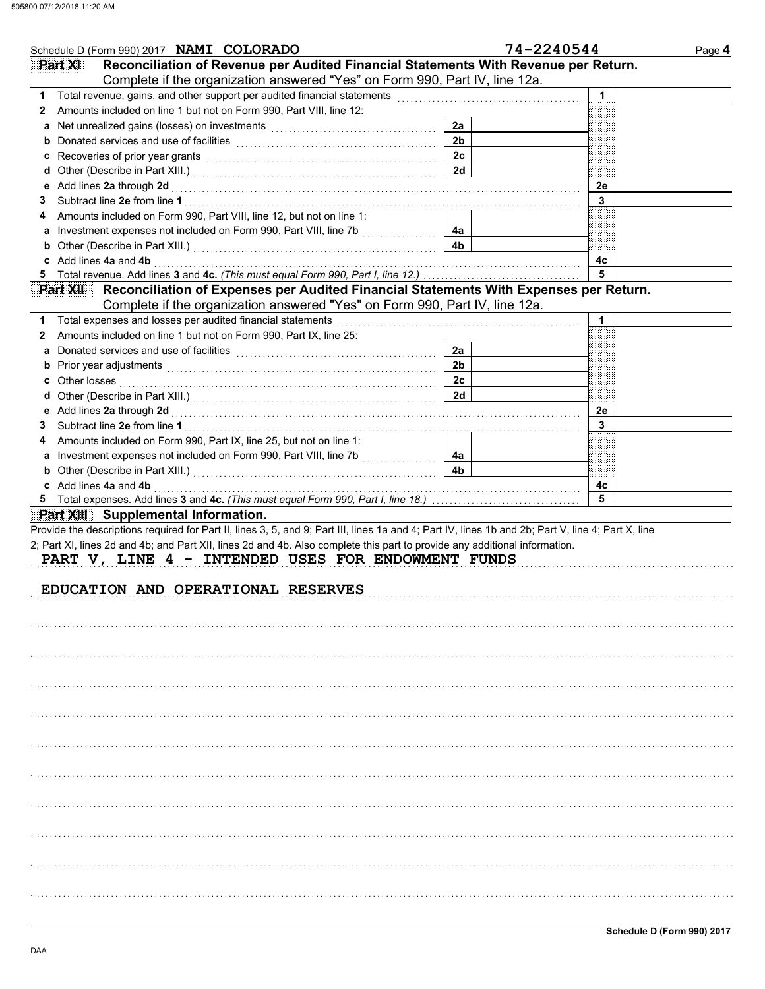|    | Schedule D (Form 990) 2017 NAMI COLORADO                                                                                                           |                      | 74-2240544 | Page 4 |
|----|----------------------------------------------------------------------------------------------------------------------------------------------------|----------------------|------------|--------|
|    | Reconciliation of Revenue per Audited Financial Statements With Revenue per Return.<br>Part XI                                                     |                      |            |        |
|    | Complete if the organization answered "Yes" on Form 990, Part IV, line 12a.                                                                        |                      |            |        |
|    | 1 Total revenue, gains, and other support per audited financial statements                                                                         |                      | 1          |        |
| 2  | Amounts included on line 1 but not on Form 990, Part VIII, line 12:                                                                                |                      |            |        |
| а  |                                                                                                                                                    | 2a                   |            |        |
|    |                                                                                                                                                    | 2 <sub>b</sub>       |            |        |
|    |                                                                                                                                                    | 2c                   |            |        |
|    |                                                                                                                                                    | 2d                   |            |        |
|    |                                                                                                                                                    |                      | 2e         |        |
| З  |                                                                                                                                                    |                      | 3          |        |
| 4  | Amounts included on Form 990, Part VIII, line 12, but not on line 1:                                                                               |                      |            |        |
|    | a Investment expenses not included on Form 990, Part VIII, line 7b [11, 11, 11, 11, 11]                                                            | 4а                   |            |        |
|    | <b>b</b> Other (Describe in Part XIII.) <b>CONSIDENT Description Part XIII.</b>                                                                    | 4 <sub>b</sub>       |            |        |
|    | c Add lines 4a and 4b                                                                                                                              |                      | 4с         |        |
| 5  |                                                                                                                                                    |                      | 5          |        |
|    | Part XII: Reconciliation of Expenses per Audited Financial Statements With Expenses per Return.                                                    |                      |            |        |
|    | Complete if the organization answered "Yes" on Form 990, Part IV, line 12a.                                                                        |                      |            |        |
| 1. | Total expenses and losses per audited financial statements                                                                                         |                      | 1          |        |
| 2  | Amounts included on line 1 but not on Form 990, Part IX, line 25:                                                                                  |                      |            |        |
| а  |                                                                                                                                                    | 2a<br>2 <sub>b</sub> |            |        |
|    |                                                                                                                                                    | 2c                   |            |        |
|    | <b>c</b> Other losses                                                                                                                              | 2d                   |            |        |
|    |                                                                                                                                                    |                      | 2e         |        |
| З  |                                                                                                                                                    |                      | 3          |        |
| 4  | Amounts included on Form 990, Part IX, line 25, but not on line 1:                                                                                 |                      |            |        |
|    | a Investment expenses not included on Form 990, Part VIII, line 7b [11, 11, 11, 11, 11]                                                            | 4а                   |            |        |
|    |                                                                                                                                                    | 4 <sub>b</sub>       |            |        |
|    | c Add lines 4a and 4b                                                                                                                              |                      | 4с         |        |
|    |                                                                                                                                                    |                      | 5          |        |
|    | Part XIII Supplemental Information.                                                                                                                |                      |            |        |
|    | Provide the descriptions required for Part II, lines 3, 5, and 9; Part III, lines 1a and 4; Part IV, lines 1b and 2b; Part V, line 4; Part X, line |                      |            |        |
|    | 2; Part XI, lines 2d and 4b; and Part XII, lines 2d and 4b. Also complete this part to provide any additional information.                         |                      |            |        |
|    | PART V, LINE 4 - INTENDED USES FOR ENDOWMENT FUNDS                                                                                                 |                      |            |        |
|    |                                                                                                                                                    |                      |            |        |
|    | EDUCATION AND OPERATIONAL RESERVES                                                                                                                 |                      |            |        |
|    |                                                                                                                                                    |                      |            |        |
|    |                                                                                                                                                    |                      |            |        |
|    |                                                                                                                                                    |                      |            |        |
|    |                                                                                                                                                    |                      |            |        |
|    |                                                                                                                                                    |                      |            |        |
|    |                                                                                                                                                    |                      |            |        |
|    |                                                                                                                                                    |                      |            |        |
|    |                                                                                                                                                    |                      |            |        |
|    |                                                                                                                                                    |                      |            |        |
|    |                                                                                                                                                    |                      |            |        |
|    |                                                                                                                                                    |                      |            |        |
|    |                                                                                                                                                    |                      |            |        |
|    |                                                                                                                                                    |                      |            |        |
|    |                                                                                                                                                    |                      |            |        |
|    |                                                                                                                                                    |                      |            |        |
|    |                                                                                                                                                    |                      |            |        |
|    |                                                                                                                                                    |                      |            |        |
|    |                                                                                                                                                    |                      |            |        |
|    |                                                                                                                                                    |                      |            |        |
|    |                                                                                                                                                    |                      |            |        |
|    |                                                                                                                                                    |                      |            |        |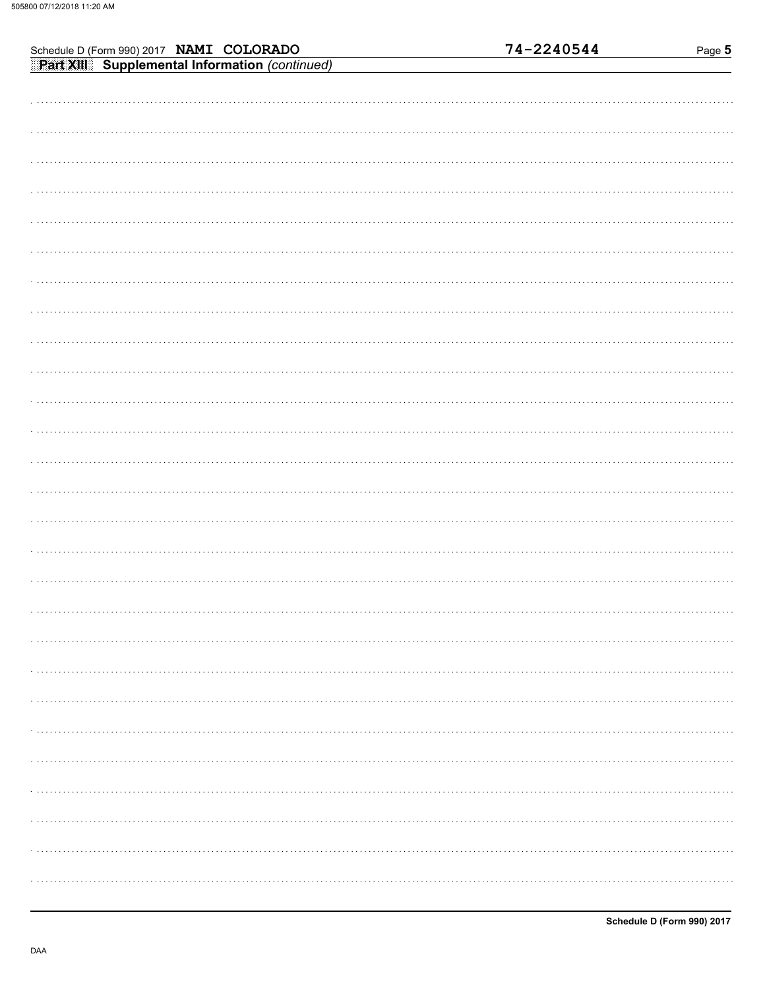|                                                                                            | 74-2240544 | Page 5 |
|--------------------------------------------------------------------------------------------|------------|--------|
| Schedule D (Form 990) 2017 NAMI COLORADO<br>Part XIII Supplemental Information (continued) |            |        |
|                                                                                            |            |        |
|                                                                                            |            |        |
|                                                                                            |            |        |
|                                                                                            |            |        |
|                                                                                            |            |        |
|                                                                                            |            |        |
|                                                                                            |            |        |
|                                                                                            |            |        |
|                                                                                            |            |        |
|                                                                                            |            |        |
|                                                                                            |            |        |
|                                                                                            |            |        |
|                                                                                            |            |        |
|                                                                                            |            |        |
|                                                                                            |            |        |
|                                                                                            |            |        |
|                                                                                            |            |        |
|                                                                                            |            |        |
|                                                                                            |            |        |
|                                                                                            |            |        |
|                                                                                            |            |        |
|                                                                                            |            |        |
|                                                                                            |            |        |
|                                                                                            |            |        |
|                                                                                            |            |        |
|                                                                                            |            |        |
|                                                                                            |            |        |
|                                                                                            |            |        |
|                                                                                            |            |        |
|                                                                                            |            |        |
|                                                                                            |            |        |
|                                                                                            |            |        |
|                                                                                            |            |        |
|                                                                                            |            |        |
|                                                                                            |            |        |
|                                                                                            |            |        |
|                                                                                            |            |        |
|                                                                                            |            |        |
|                                                                                            |            |        |
|                                                                                            |            |        |
|                                                                                            |            |        |
|                                                                                            |            |        |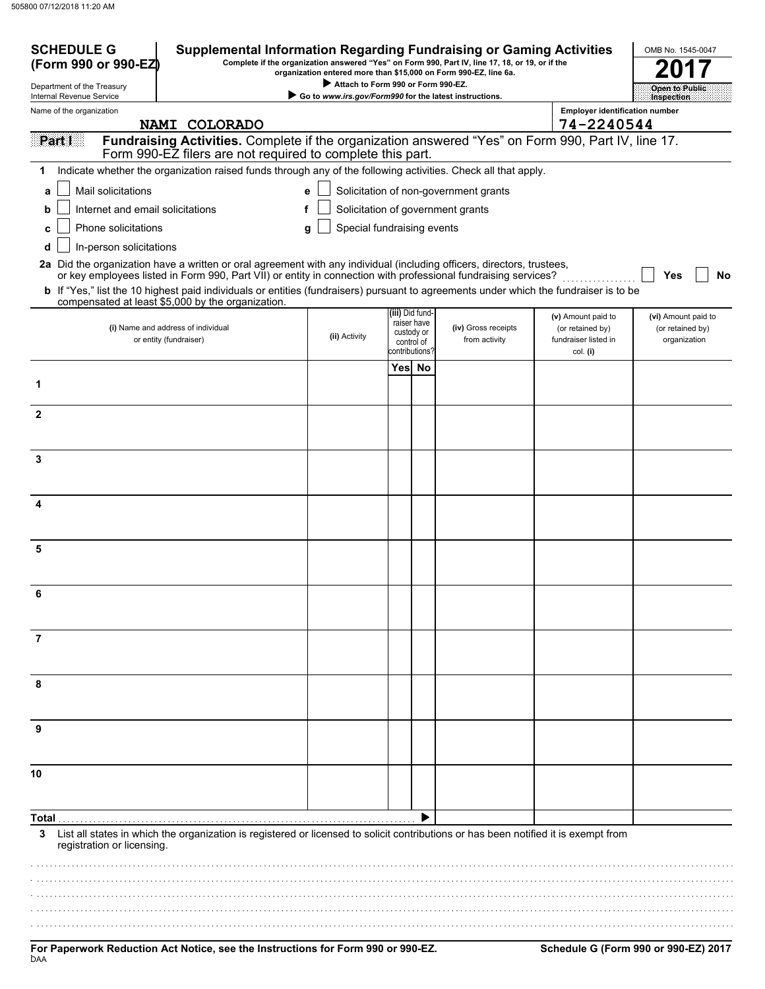| <b>SCHEDULE G</b><br>(Form 990 or 990-EZ)              | <b>Supplemental Information Regarding Fundraising or Gaming Activities</b>                                                                                                                                                                                                                                                                                                        |                                                                                              |                 |                                         | Complete if the organization answered "Yes" on Form 990, Part IV, line 17, 18, or 19, or if the<br>organization entered more than \$15,000 on Form 990-EZ, line 6a. |                                                                            | OMB No. 1545-0047                |
|--------------------------------------------------------|-----------------------------------------------------------------------------------------------------------------------------------------------------------------------------------------------------------------------------------------------------------------------------------------------------------------------------------------------------------------------------------|----------------------------------------------------------------------------------------------|-----------------|-----------------------------------------|---------------------------------------------------------------------------------------------------------------------------------------------------------------------|----------------------------------------------------------------------------|----------------------------------|
| Department of the Treasury<br>Internal Revenue Service |                                                                                                                                                                                                                                                                                                                                                                                   | Attach to Form 990 or Form 990-EZ.<br>Go to www.irs.gov/Form990 for the latest instructions. |                 |                                         |                                                                                                                                                                     |                                                                            | Open to Public<br>Inspection     |
| Name of the organization                               |                                                                                                                                                                                                                                                                                                                                                                                   |                                                                                              |                 |                                         |                                                                                                                                                                     | <b>Employer identification number</b>                                      |                                  |
|                                                        | NAMI COLORADO                                                                                                                                                                                                                                                                                                                                                                     |                                                                                              |                 |                                         |                                                                                                                                                                     | 74-2240544                                                                 |                                  |
| Part I                                                 | Fundraising Activities. Complete if the organization answered "Yes" on Form 990, Part IV, line 17.<br>Form 990-EZ filers are not required to complete this part.                                                                                                                                                                                                                  |                                                                                              |                 |                                         |                                                                                                                                                                     |                                                                            |                                  |
| 1                                                      | Indicate whether the organization raised funds through any of the following activities. Check all that apply.                                                                                                                                                                                                                                                                     |                                                                                              |                 |                                         |                                                                                                                                                                     |                                                                            |                                  |
| Mail solicitations<br>a                                |                                                                                                                                                                                                                                                                                                                                                                                   | e                                                                                            |                 |                                         | Solicitation of non-government grants                                                                                                                               |                                                                            |                                  |
| Internet and email solicitations<br>b                  | f                                                                                                                                                                                                                                                                                                                                                                                 |                                                                                              |                 |                                         | Solicitation of government grants                                                                                                                                   |                                                                            |                                  |
| Phone solicitations<br>C                               |                                                                                                                                                                                                                                                                                                                                                                                   | Special fundraising events<br>g                                                              |                 |                                         |                                                                                                                                                                     |                                                                            |                                  |
| In-person solicitations<br>d                           |                                                                                                                                                                                                                                                                                                                                                                                   |                                                                                              |                 |                                         |                                                                                                                                                                     |                                                                            |                                  |
|                                                        | 2a Did the organization have a written or oral agreement with any individual (including officers, directors, trustees,<br>or key employees listed in Form 990, Part VII) or entity in connection with professional fundraising services?<br>b If "Yes," list the 10 highest paid individuals or entities (fundraisers) pursuant to agreements under which the fundraiser is to be |                                                                                              |                 |                                         |                                                                                                                                                                     |                                                                            | Yes<br>No                        |
|                                                        | compensated at least \$5,000 by the organization.                                                                                                                                                                                                                                                                                                                                 |                                                                                              | (iii) Did fund- |                                         |                                                                                                                                                                     |                                                                            | (vi) Amount paid to              |
|                                                        | (i) Name and address of individual<br>or entity (fundraiser)                                                                                                                                                                                                                                                                                                                      | (ii) Activity                                                                                | contributions?  | raiser have<br>custody or<br>control of | (iv) Gross receipts<br>from activity                                                                                                                                | (v) Amount paid to<br>(or retained by)<br>fundraiser listed in<br>col. (i) | (or retained by)<br>organization |
|                                                        |                                                                                                                                                                                                                                                                                                                                                                                   |                                                                                              | Yes No          |                                         |                                                                                                                                                                     |                                                                            |                                  |
| 1                                                      |                                                                                                                                                                                                                                                                                                                                                                                   |                                                                                              |                 |                                         |                                                                                                                                                                     |                                                                            |                                  |
| $\mathbf{2}$                                           |                                                                                                                                                                                                                                                                                                                                                                                   |                                                                                              |                 |                                         |                                                                                                                                                                     |                                                                            |                                  |
| 3                                                      |                                                                                                                                                                                                                                                                                                                                                                                   |                                                                                              |                 |                                         |                                                                                                                                                                     |                                                                            |                                  |
|                                                        |                                                                                                                                                                                                                                                                                                                                                                                   |                                                                                              |                 |                                         |                                                                                                                                                                     |                                                                            |                                  |
| 4                                                      |                                                                                                                                                                                                                                                                                                                                                                                   |                                                                                              |                 |                                         |                                                                                                                                                                     |                                                                            |                                  |
| 5                                                      |                                                                                                                                                                                                                                                                                                                                                                                   |                                                                                              |                 |                                         |                                                                                                                                                                     |                                                                            |                                  |
| 6                                                      |                                                                                                                                                                                                                                                                                                                                                                                   |                                                                                              |                 |                                         |                                                                                                                                                                     |                                                                            |                                  |
| 7                                                      |                                                                                                                                                                                                                                                                                                                                                                                   |                                                                                              |                 |                                         |                                                                                                                                                                     |                                                                            |                                  |
|                                                        |                                                                                                                                                                                                                                                                                                                                                                                   |                                                                                              |                 |                                         |                                                                                                                                                                     |                                                                            |                                  |
| 8                                                      |                                                                                                                                                                                                                                                                                                                                                                                   |                                                                                              |                 |                                         |                                                                                                                                                                     |                                                                            |                                  |
| 9                                                      |                                                                                                                                                                                                                                                                                                                                                                                   |                                                                                              |                 |                                         |                                                                                                                                                                     |                                                                            |                                  |
| 10                                                     |                                                                                                                                                                                                                                                                                                                                                                                   |                                                                                              |                 |                                         |                                                                                                                                                                     |                                                                            |                                  |
|                                                        |                                                                                                                                                                                                                                                                                                                                                                                   |                                                                                              |                 |                                         |                                                                                                                                                                     |                                                                            |                                  |
| Total .<br>3<br>registration or licensing.             | List all states in which the organization is registered or licensed to solicit contributions or has been notified it is exempt from                                                                                                                                                                                                                                               |                                                                                              |                 |                                         |                                                                                                                                                                     |                                                                            |                                  |
|                                                        |                                                                                                                                                                                                                                                                                                                                                                                   |                                                                                              |                 |                                         |                                                                                                                                                                     |                                                                            |                                  |
|                                                        |                                                                                                                                                                                                                                                                                                                                                                                   |                                                                                              |                 |                                         |                                                                                                                                                                     |                                                                            |                                  |
|                                                        |                                                                                                                                                                                                                                                                                                                                                                                   |                                                                                              |                 |                                         |                                                                                                                                                                     |                                                                            |                                  |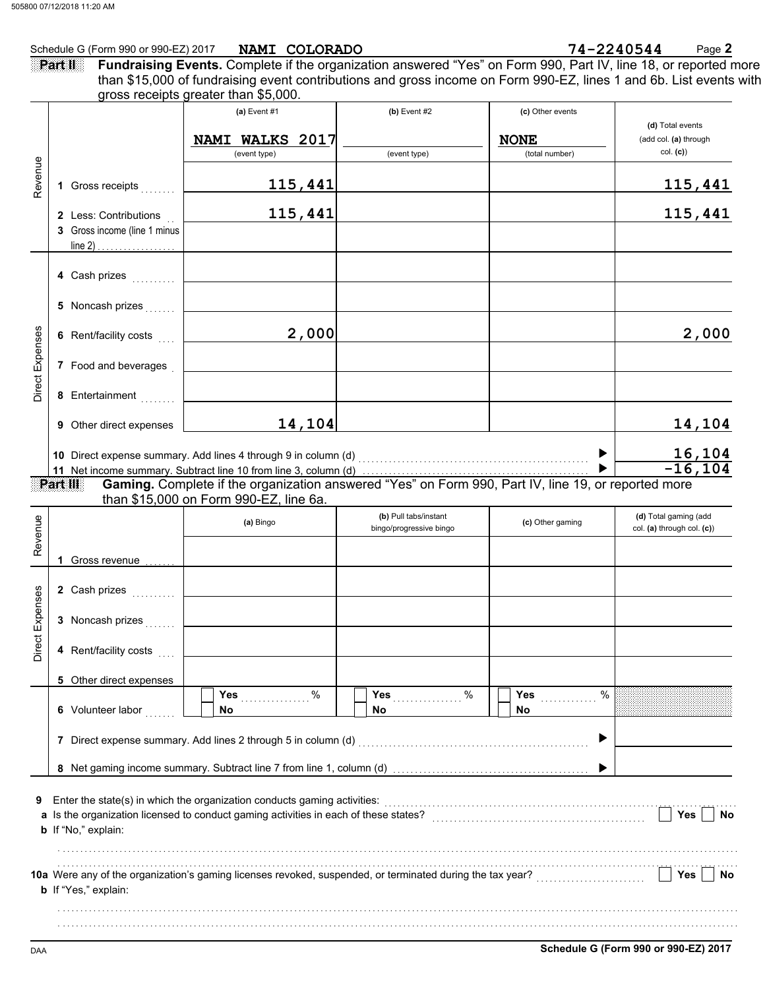|         | Schedule G (Form 990 or 990-EZ) 2017 |                                      | NAMI COLORADO |  | 74-2240544 | Page 2                                                                                                                 |
|---------|--------------------------------------|--------------------------------------|---------------|--|------------|------------------------------------------------------------------------------------------------------------------------|
| Part II |                                      |                                      |               |  |            | <b>Fundraising Events.</b> Complete if the organization answered "Yes" on Form 990, Part IV, line 18, or reported more |
|         |                                      |                                      |               |  |            | than \$15,000 of fundraising event contributions and gross income on Form 990-EZ, lines 1 and 6b. List events with     |
|         |                                      | gross receipts greater than \$5,000. |               |  |            |                                                                                                                        |
|         |                                      |                                      |               |  |            |                                                                                                                        |

|                 |                                                       | (a) Event $#1$<br>NAMI WALKS 2017<br>(event type)                                                                                                                 | $(b)$ Event #2<br>(event type)                   | (c) Other events<br><b>NONE</b><br>(total number) | (d) Total events<br>(add col. (a) through<br>col. (c) |
|-----------------|-------------------------------------------------------|-------------------------------------------------------------------------------------------------------------------------------------------------------------------|--------------------------------------------------|---------------------------------------------------|-------------------------------------------------------|
| Revenue         | 1 Gross receipts                                      | 115,441                                                                                                                                                           |                                                  |                                                   | <u>115,441</u>                                        |
|                 | 2 Less: Contributions<br>3 Gross income (line 1 minus | 115,441                                                                                                                                                           |                                                  |                                                   | 115,441                                               |
|                 | 4 Cash prizes                                         |                                                                                                                                                                   |                                                  |                                                   |                                                       |
|                 | 5 Noncash prizes                                      |                                                                                                                                                                   |                                                  |                                                   |                                                       |
| Direct Expenses | 6 Rent/facility costs                                 | 2,000                                                                                                                                                             |                                                  |                                                   | 2,000                                                 |
|                 | 7 Food and beverages                                  |                                                                                                                                                                   |                                                  |                                                   |                                                       |
|                 | 8 Entertainment<br>9 Other direct expenses            | 14,104                                                                                                                                                            |                                                  |                                                   | 14,104                                                |
|                 |                                                       | 10 Direct expense summary. Add lines 4 through 9 in column (d) [11] content to content the summary of Direct expense summary. Add lines 4 through 9 in column (d) |                                                  |                                                   | $\frac{16,104}{-16,104}$                              |
|                 | Part III                                              | Gaming. Complete if the organization answered "Yes" on Form 990, Part IV, line 19, or reported more<br>than \$15,000 on Form 990-EZ, line 6a.                     |                                                  |                                                   |                                                       |
| Revenue         |                                                       | (a) Bingo                                                                                                                                                         | (b) Pull tabs/instant<br>bingo/progressive bingo | (c) Other gaming                                  | (d) Total gaming (add<br>col. (a) through col. (c))   |
|                 | 1 Gross revenue                                       |                                                                                                                                                                   |                                                  |                                                   |                                                       |
|                 | 2 Cash prizes                                         |                                                                                                                                                                   |                                                  |                                                   |                                                       |
| Direct Expenses | 3 Noncash prizes<br>4 Rent/facility costs [11]        |                                                                                                                                                                   |                                                  |                                                   |                                                       |
|                 | 5 Other direct expenses                               |                                                                                                                                                                   |                                                  |                                                   |                                                       |
|                 | 6 Volunteer labor                                     | %<br>Yes<br>No                                                                                                                                                    | $\%$<br>Yes<br>No                                | $\%$<br>Yes<br>No                                 |                                                       |
|                 |                                                       | 7 Direct expense summary. Add lines 2 through 5 in column (d)                                                                                                     |                                                  |                                                   |                                                       |
|                 |                                                       |                                                                                                                                                                   |                                                  |                                                   |                                                       |
| 9               | b If "No," explain:                                   | Enter the state(s) in which the organization conducts gaming activities:                                                                                          |                                                  |                                                   | Yes<br>No                                             |
|                 | b If "Yes," explain:                                  |                                                                                                                                                                   |                                                  |                                                   | Yes<br>No.                                            |
|                 |                                                       |                                                                                                                                                                   |                                                  |                                                   |                                                       |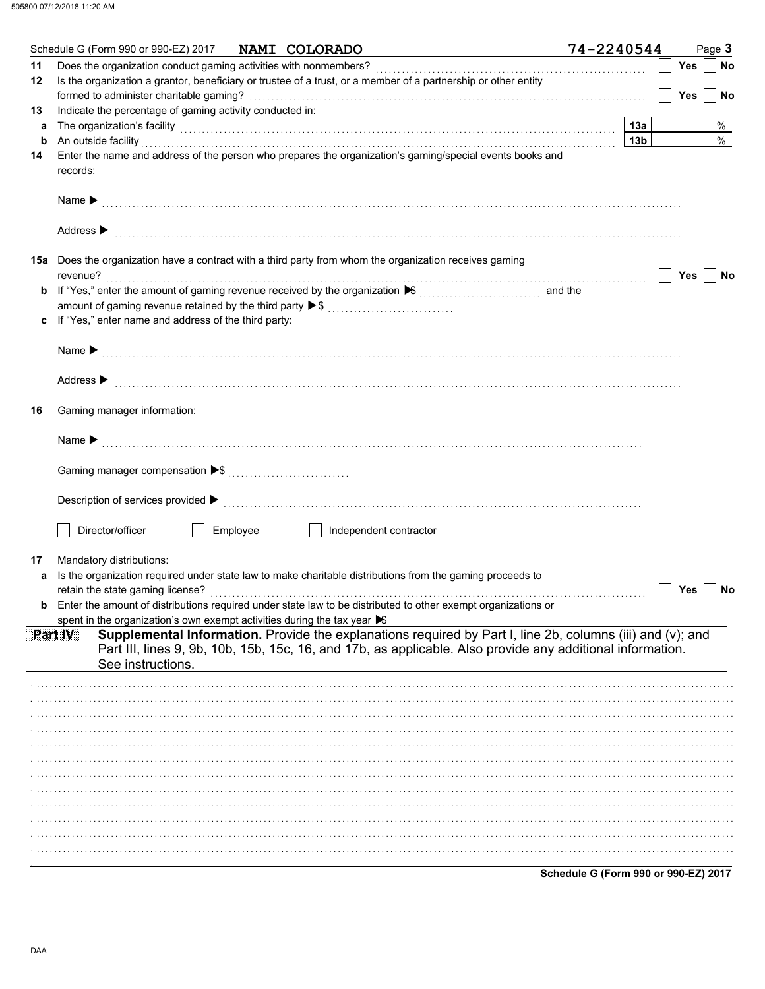|    | Schedule G (Form 990 or 990-EZ) 2017 NAMI COLORADO                                                                                                                                                                   | 74-2240544                           | Page 3           |
|----|----------------------------------------------------------------------------------------------------------------------------------------------------------------------------------------------------------------------|--------------------------------------|------------------|
| 11 | Does the organization conduct gaming activities with nonmembers?                                                                                                                                                     |                                      | <b>Yes</b><br>No |
| 12 | Is the organization a grantor, beneficiary or trustee of a trust, or a member of a partnership or other entity                                                                                                       |                                      |                  |
|    |                                                                                                                                                                                                                      |                                      | <b>Yes</b><br>No |
| 13 | Indicate the percentage of gaming activity conducted in:                                                                                                                                                             |                                      |                  |
| a  | The organization's facility <b>contained a contained a contained a contained a contained a contained a contained a</b>                                                                                               | 13а                                  | %                |
| b  | An outside facility                                                                                                                                                                                                  | 13 <sub>b</sub>                      | $\%$             |
| 14 | Enter the name and address of the person who prepares the organization's gaming/special events books and                                                                                                             |                                      |                  |
|    | records:                                                                                                                                                                                                             |                                      |                  |
|    |                                                                                                                                                                                                                      |                                      |                  |
|    |                                                                                                                                                                                                                      |                                      |                  |
|    |                                                                                                                                                                                                                      |                                      |                  |
|    | Address $\blacktriangleright$                                                                                                                                                                                        |                                      |                  |
|    |                                                                                                                                                                                                                      |                                      |                  |
|    | <b>15a</b> Does the organization have a contract with a third party from whom the organization receives gaming                                                                                                       |                                      |                  |
|    | revenue?                                                                                                                                                                                                             |                                      | Yes<br>No        |
| b  |                                                                                                                                                                                                                      |                                      |                  |
|    | amount of gaming revenue retained by the third party ▶ \$                                                                                                                                                            |                                      |                  |
|    | c If "Yes," enter name and address of the third party:                                                                                                                                                               |                                      |                  |
|    |                                                                                                                                                                                                                      |                                      |                  |
|    |                                                                                                                                                                                                                      |                                      |                  |
|    |                                                                                                                                                                                                                      |                                      |                  |
|    | Address ▶                                                                                                                                                                                                            |                                      |                  |
|    |                                                                                                                                                                                                                      |                                      |                  |
| 16 | Gaming manager information:                                                                                                                                                                                          |                                      |                  |
|    |                                                                                                                                                                                                                      |                                      |                  |
|    |                                                                                                                                                                                                                      |                                      |                  |
|    |                                                                                                                                                                                                                      |                                      |                  |
|    |                                                                                                                                                                                                                      |                                      |                  |
|    |                                                                                                                                                                                                                      |                                      |                  |
|    |                                                                                                                                                                                                                      |                                      |                  |
|    |                                                                                                                                                                                                                      |                                      |                  |
|    | Director/officer<br>Employee<br>Independent contractor                                                                                                                                                               |                                      |                  |
|    |                                                                                                                                                                                                                      |                                      |                  |
| 17 |                                                                                                                                                                                                                      |                                      |                  |
|    | Mandatory distributions:<br>Is the organization required under state law to make charitable distributions from the gaming proceeds to                                                                                |                                      |                  |
| a  |                                                                                                                                                                                                                      |                                      |                  |
|    | retain the state gaming license?<br>Enter the amount of distributions required under state law to be distributed to other exempt organizations or                                                                    |                                      | Yes<br>No        |
|    |                                                                                                                                                                                                                      |                                      |                  |
|    | spent in the organization's own exempt activities during the tax year $\blacktriangleright$<br>Supplemental Information. Provide the explanations required by Part I, line 2b, columns (iii) and (v); and<br>Part IV |                                      |                  |
|    | Part III, lines 9, 9b, 10b, 15b, 15c, 16, and 17b, as applicable. Also provide any additional information.                                                                                                           |                                      |                  |
|    |                                                                                                                                                                                                                      |                                      |                  |
|    | See instructions.                                                                                                                                                                                                    |                                      |                  |
|    |                                                                                                                                                                                                                      |                                      |                  |
|    |                                                                                                                                                                                                                      |                                      |                  |
|    |                                                                                                                                                                                                                      |                                      |                  |
|    |                                                                                                                                                                                                                      |                                      |                  |
|    |                                                                                                                                                                                                                      |                                      |                  |
|    |                                                                                                                                                                                                                      |                                      |                  |
|    |                                                                                                                                                                                                                      |                                      |                  |
|    |                                                                                                                                                                                                                      |                                      |                  |
|    |                                                                                                                                                                                                                      |                                      |                  |
|    |                                                                                                                                                                                                                      |                                      |                  |
|    |                                                                                                                                                                                                                      |                                      |                  |
|    |                                                                                                                                                                                                                      |                                      |                  |
|    |                                                                                                                                                                                                                      |                                      |                  |
|    |                                                                                                                                                                                                                      | Schedule G (Form 990 or 990-EZ) 2017 |                  |